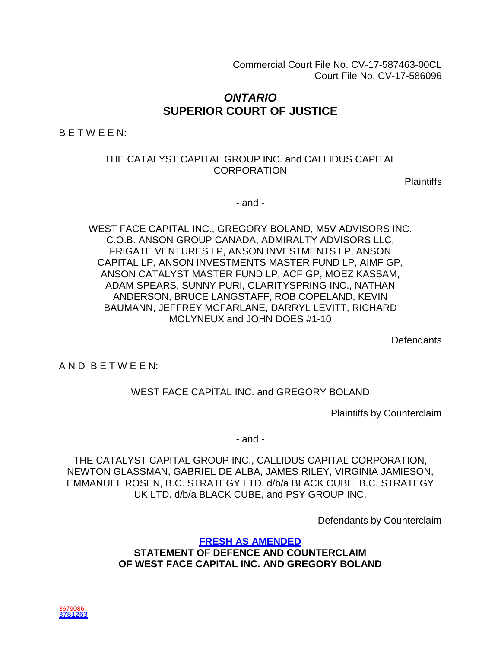Commercial Court File No. CV-17-587463-00CL Court File No. CV-17-586096

# *ONTARIO* **SUPERIOR COURT OF JUSTICE**

B E T W E E N:

### THE CATALYST CAPITAL GROUP INC. and CALLIDUS CAPITAL **CORPORATION**

Plaintiffs

- and -

WEST FACE CAPITAL INC., GREGORY BOLAND, M5V ADVISORS INC. C.O.B. ANSON GROUP CANADA, ADMIRALTY ADVISORS LLC, FRIGATE VENTURES LP, ANSON INVESTMENTS LP, ANSON CAPITAL LP, ANSON INVESTMENTS MASTER FUND LP, AIMF GP, ANSON CATALYST MASTER FUND LP, ACF GP, MOEZ KASSAM, ADAM SPEARS, SUNNY PURI, CLARITYSPRING INC., NATHAN ANDERSON, BRUCE LANGSTAFF, ROB COPELAND, KEVIN BAUMANN, JEFFREY MCFARLANE, DARRYL LEVITT, RICHARD MOLYNEUX and JOHN DOES #1-10

**Defendants** 

A N D B E T W E E N:

WEST FACE CAPITAL INC. and GREGORY BOLAND

Plaintiffs by Counterclaim

- and -

THE CATALYST CAPITAL GROUP INC., CALLIDUS CAPITAL CORPORATION, NEWTON GLASSMAN, GABRIEL DE ALBA, JAMES RILEY, VIRGINIA JAMIESON, EMMANUEL ROSEN, B.C. STRATEGY LTD. d/b/a BLACK CUBE, B.C. STRATEGY UK LTD. d/b/a BLACK CUBE, and PSY GROUP INC.

Defendants by Counterclaim

**FRESH AS AMENDED STATEMENT OF DEFENCE AND COUNTERCLAIM OF WEST FACE CAPITAL INC. AND GREGORY BOLAND**

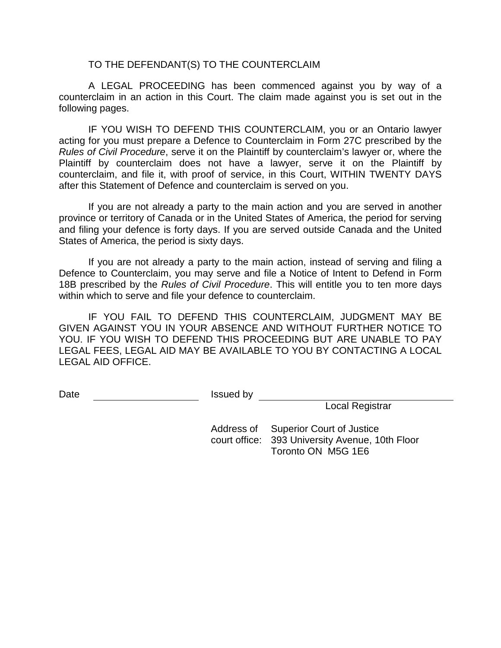## TO THE DEFENDANT(S) TO THE COUNTERCLAIM

A LEGAL PROCEEDING has been commenced against you by way of a counterclaim in an action in this Court. The claim made against you is set out in the following pages.

IF YOU WISH TO DEFEND THIS COUNTERCLAIM, you or an Ontario lawyer acting for you must prepare a Defence to Counterclaim in Form 27C prescribed by the *Rules of Civil Procedure*, serve it on the Plaintiff by counterclaim's lawyer or, where the Plaintiff by counterclaim does not have a lawyer, serve it on the Plaintiff by counterclaim, and file it, with proof of service, in this Court, WITHIN TWENTY DAYS after this Statement of Defence and counterclaim is served on you.

If you are not already a party to the main action and you are served in another province or territory of Canada or in the United States of America, the period for serving and filing your defence is forty days. If you are served outside Canada and the United States of America, the period is sixty days.

If you are not already a party to the main action, instead of serving and filing a Defence to Counterclaim, you may serve and file a Notice of Intent to Defend in Form 18B prescribed by the *Rules of Civil Procedure*. This will entitle you to ten more days within which to serve and file your defence to counterclaim.

IF YOU FAIL TO DEFEND THIS COUNTERCLAIM, JUDGMENT MAY BE GIVEN AGAINST YOU IN YOUR ABSENCE AND WITHOUT FURTHER NOTICE TO YOU. IF YOU WISH TO DEFEND THIS PROCEEDING BUT ARE UNABLE TO PAY LEGAL FEES, LEGAL AID MAY BE AVAILABLE TO YOU BY CONTACTING A LOCAL LEGAL AID OFFICE.

| Date | Issued by |
|------|-----------|
|------|-----------|

Local Registrar

Address of Superior Court of Justice court office: 393 University Avenue, 10th Floor Toronto ON M5G 1E6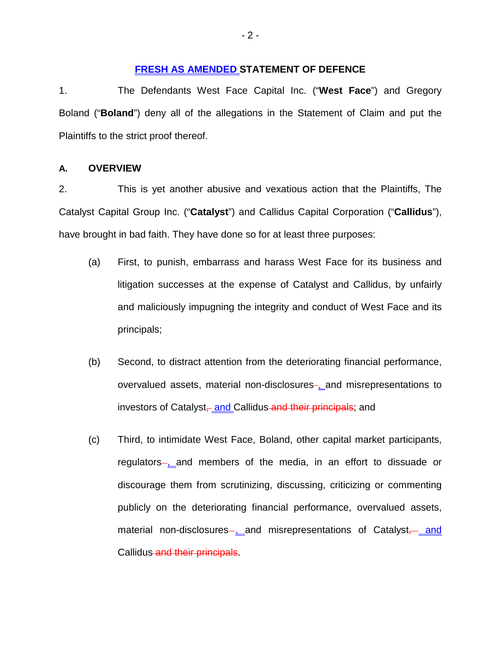#### **FRESH AS AMENDED STATEMENT OF DEFENCE**

1. The Defendants West Face Capital Inc. ("**West Face**") and Gregory Boland ("**Boland**") deny all of the allegations in the Statement of Claim and put the Plaintiffs to the strict proof thereof.

#### **A. OVERVIEW**

2. This is yet another abusive and vexatious action that the Plaintiffs, The Catalyst Capital Group Inc. ("**Catalyst**") and Callidus Capital Corporation ("**Callidus**"), have brought in bad faith. They have done so for at least three purposes:

- (a) First, to punish, embarrass and harass West Face for its business and litigation successes at the expense of Catalyst and Callidus, by unfairly and maliciously impugning the integrity and conduct of West Face and its principals;
- (b) Second, to distract attention from the deteriorating financial performance, overvalued assets, material non-disclosures-, and misrepresentations to investors of Catalyst, and Callidus and their principals; and
- (c) Third, to intimidate West Face, Boland, other capital market participants, regulators--- and members of the media, in an effort to dissuade or discourage them from scrutinizing, discussing, criticizing or commenting publicly on the deteriorating financial performance, overvalued assets, material non-disclosures-<br>
<u>
and</u> misrepresentations of Catalyst, and Callidus and their principals.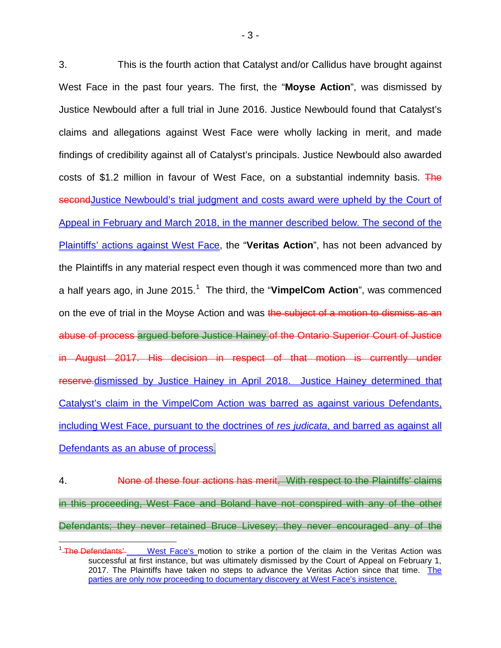3. This is the fourth action that Catalyst and/or Callidus have brought against West Face in the past four years. The first, the "**Moyse Action**", was dismissed by Justice Newbould after a full trial in June 2016. Justice Newbould found that Catalyst's claims and allegations against West Face were wholly lacking in merit, and made findings of credibility against all of Catalyst's principals. Justice Newbould also awarded costs of \$1.2 million in favour of West Face, on a substantial indemnity basis. The second Justice Newbould's trial judgment and costs award were upheld by the Court of Appeal in February and March 2018, in the manner described below. The second of the Plaintiffs' actions against West Face, the "**Veritas Action**", has not been advanced by the Plaintiffs in any material respect even though it was commenced more than two and a half years ago, in June 2015. [1](#page-3-0) The third, the "**VimpelCom Action**", was commenced on the eve of trial in the Moyse Action and was the subject of a motion to dismiss as an abuse of process argued before Justice Hainey of the Ontario Superior Court of Justice in August 2017. His decision in respect of that motion is currently under reserve.dismissed by Justice Hainey in April 2018. Justice Hainey determined that Catalyst's claim in the VimpelCom Action was barred as against various Defendants, including West Face, pursuant to the doctrines of *res judicata*, and barred as against all Defendants as an abuse of process.

4. None of these four actions has merit. With respect to the Plaintiffs' claims in this proceeding, West Face and Boland have not conspired with any of the other Defendants; they never retained Bruce Livesey; they never encouraged any of the

<span id="page-3-0"></span><sup>&</sup>lt;sup>1</sup> The Defendants' West Face's motion to strike a portion of the claim in the Veritas Action was successful at first instance, but was ultimately dismissed by the Court of Appeal on February 1, 2017. The Plaintiffs have taken no steps to advance the Veritas Action since that time. The parties are only now proceeding to documentary discovery at West Face's insistence.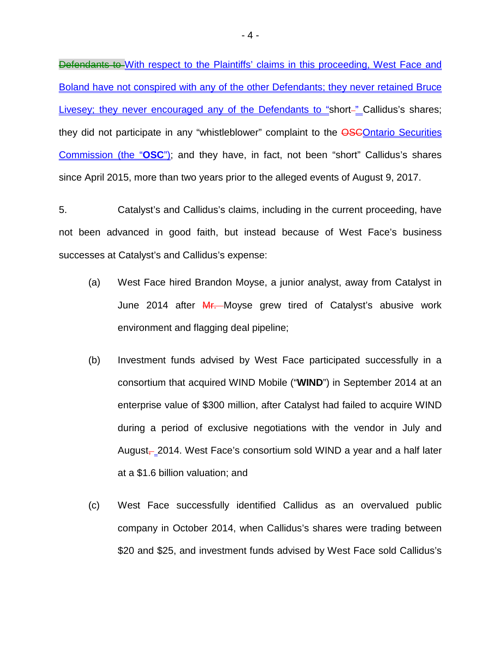Defendants to With respect to the Plaintiffs' claims in this proceeding, West Face and Boland have not conspired with any of the other Defendants; they never retained Bruce Livesey; they never encouraged any of the Defendants to "short-" Callidus's shares; they did not participate in any "whistleblower" complaint to the OSCOntario Securities Commission (the "**OSC**"); and they have, in fact, not been "short" Callidus's shares since April 2015, more than two years prior to the alleged events of August 9, 2017.

5. Catalyst's and Callidus's claims, including in the current proceeding, have not been advanced in good faith, but instead because of West Face's business successes at Catalyst's and Callidus's expense:

- (a) West Face hired Brandon Moyse, a junior analyst, away from Catalyst in June 2014 after Mr. Moyse grew tired of Catalyst's abusive work environment and flagging deal pipeline;
- (b) Investment funds advised by West Face participated successfully in a consortium that acquired WIND Mobile ("**WIND**") in September 2014 at an enterprise value of \$300 million, after Catalyst had failed to acquire WIND during a period of exclusive negotiations with the vendor in July and August<sub>t</sub> 2014. West Face's consortium sold WIND a year and a half later at a \$1.6 billion valuation; and
- (c) West Face successfully identified Callidus as an overvalued public company in October 2014, when Callidus's shares were trading between \$20 and \$25, and investment funds advised by West Face sold Callidus's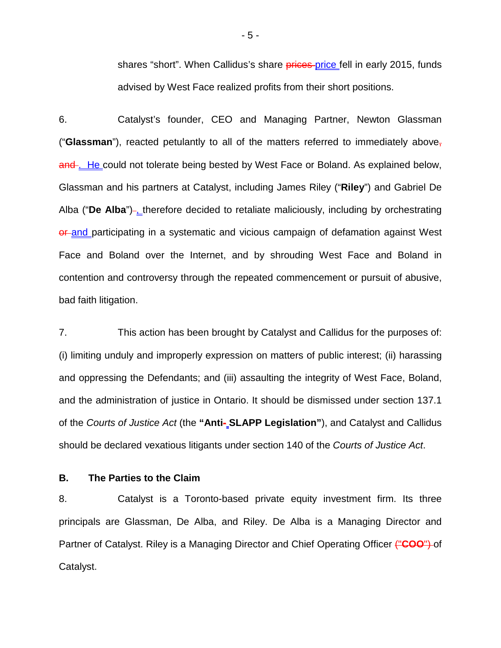shares "short". When Callidus's share prices price fell in early 2015, funds advised by West Face realized profits from their short positions.

6. Catalyst's founder, CEO and Managing Partner, Newton Glassman ("**Glassman**"), reacted petulantly to all of the matters referred to immediately above, and. He could not tolerate being bested by West Face or Boland. As explained below, Glassman and his partners at Catalyst, including James Riley ("**Riley**") and Gabriel De Alba ("De Alba")-, therefore decided to retaliate maliciously, including by orchestrating or and participating in a systematic and vicious campaign of defamation against West Face and Boland over the Internet, and by shrouding West Face and Boland in contention and controversy through the repeated commencement or pursuit of abusive, bad faith litigation.

7. This action has been brought by Catalyst and Callidus for the purposes of: (i) limiting unduly and improperly expression on matters of public interest; (ii) harassing and oppressing the Defendants; and (iii) assaulting the integrity of West Face, Boland, and the administration of justice in Ontario. It should be dismissed under section 137.1 of the *Courts of Justice Act* (the **"Anti- SLAPP Legislation"**), and Catalyst and Callidus should be declared vexatious litigants under section 140 of the *Courts of Justice Act*.

#### **B. The Parties to the Claim**

8. Catalyst is a Toronto-based private equity investment firm. Its three principals are Glassman, De Alba, and Riley. De Alba is a Managing Director and Partner of Catalyst. Riley is a Managing Director and Chief Operating Officer ("**COO**") of Catalyst.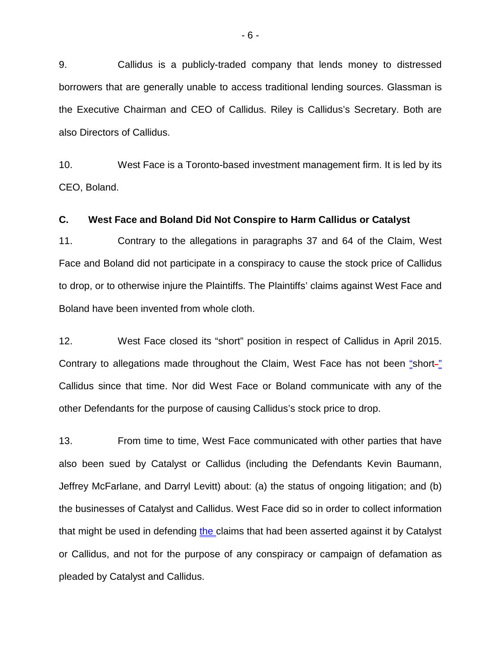9. Callidus is a publicly-traded company that lends money to distressed borrowers that are generally unable to access traditional lending sources. Glassman is the Executive Chairman and CEO of Callidus. Riley is Callidus's Secretary. Both are also Directors of Callidus.

10. West Face is a Toronto-based investment management firm. It is led by its CEO, Boland.

### **C. West Face and Boland Did Not Conspire to Harm Callidus or Catalyst**

11. Contrary to the allegations in paragraphs 37 and 64 of the Claim, West Face and Boland did not participate in a conspiracy to cause the stock price of Callidus to drop, or to otherwise injure the Plaintiffs. The Plaintiffs' claims against West Face and Boland have been invented from whole cloth.

12. West Face closed its "short" position in respect of Callidus in April 2015. Contrary to allegations made throughout the Claim, West Face has not been "short-" Callidus since that time. Nor did West Face or Boland communicate with any of the other Defendants for the purpose of causing Callidus's stock price to drop.

13. From time to time, West Face communicated with other parties that have also been sued by Catalyst or Callidus (including the Defendants Kevin Baumann, Jeffrey McFarlane, and Darryl Levitt) about: (a) the status of ongoing litigation; and (b) the businesses of Catalyst and Callidus. West Face did so in order to collect information that might be used in defending the claims that had been asserted against it by Catalyst or Callidus, and not for the purpose of any conspiracy or campaign of defamation as pleaded by Catalyst and Callidus.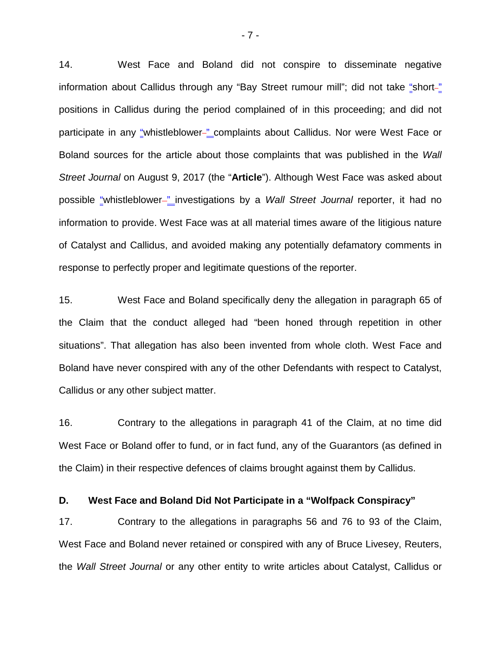14. West Face and Boland did not conspire to disseminate negative information about Callidus through any "Bay Street rumour mill"; did not take "short-" positions in Callidus during the period complained of in this proceeding; and did not participate in any "whistleblower-" complaints about Callidus. Nor were West Face or Boland sources for the article about those complaints that was published in the *Wall Street Journal* on August 9, 2017 (the "**Article**"). Although West Face was asked about possible "whistleblower-" investigations by a *Wall Street Journal* reporter, it had no information to provide. West Face was at all material times aware of the litigious nature of Catalyst and Callidus, and avoided making any potentially defamatory comments in response to perfectly proper and legitimate questions of the reporter.

15. West Face and Boland specifically deny the allegation in paragraph 65 of the Claim that the conduct alleged had "been honed through repetition in other situations". That allegation has also been invented from whole cloth. West Face and Boland have never conspired with any of the other Defendants with respect to Catalyst, Callidus or any other subject matter.

16. Contrary to the allegations in paragraph 41 of the Claim, at no time did West Face or Boland offer to fund, or in fact fund, any of the Guarantors (as defined in the Claim) in their respective defences of claims brought against them by Callidus.

### **D. West Face and Boland Did Not Participate in a "Wolfpack Conspiracy"**

17. Contrary to the allegations in paragraphs 56 and 76 to 93 of the Claim, West Face and Boland never retained or conspired with any of Bruce Livesey, Reuters, the *Wall Street Journal* or any other entity to write articles about Catalyst, Callidus or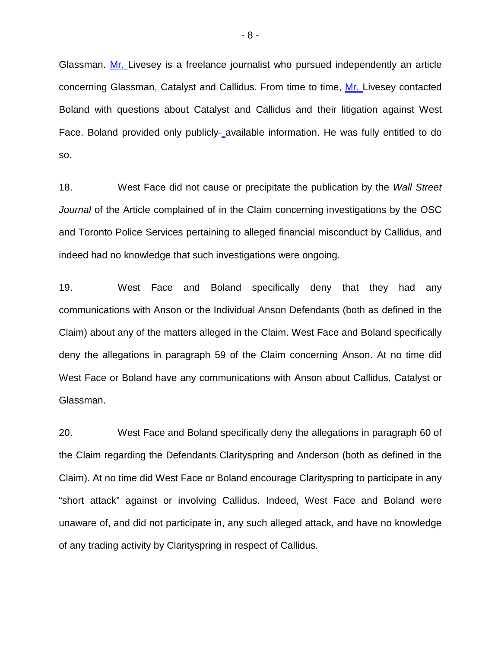Glassman. Mr. Livesey is a freelance journalist who pursued independently an article concerning Glassman, Catalyst and Callidus. From time to time, Mr. Livesey contacted Boland with questions about Catalyst and Callidus and their litigation against West Face. Boland provided only publicly- available information. He was fully entitled to do so.

18. West Face did not cause or precipitate the publication by the *Wall Street Journal* of the Article complained of in the Claim concerning investigations by the OSC and Toronto Police Services pertaining to alleged financial misconduct by Callidus, and indeed had no knowledge that such investigations were ongoing.

19. West Face and Boland specifically deny that they had any communications with Anson or the Individual Anson Defendants (both as defined in the Claim) about any of the matters alleged in the Claim. West Face and Boland specifically deny the allegations in paragraph 59 of the Claim concerning Anson. At no time did West Face or Boland have any communications with Anson about Callidus, Catalyst or Glassman.

20. West Face and Boland specifically deny the allegations in paragraph 60 of the Claim regarding the Defendants Clarityspring and Anderson (both as defined in the Claim). At no time did West Face or Boland encourage Clarityspring to participate in any "short attack" against or involving Callidus. Indeed, West Face and Boland were unaware of, and did not participate in, any such alleged attack, and have no knowledge of any trading activity by Clarityspring in respect of Callidus.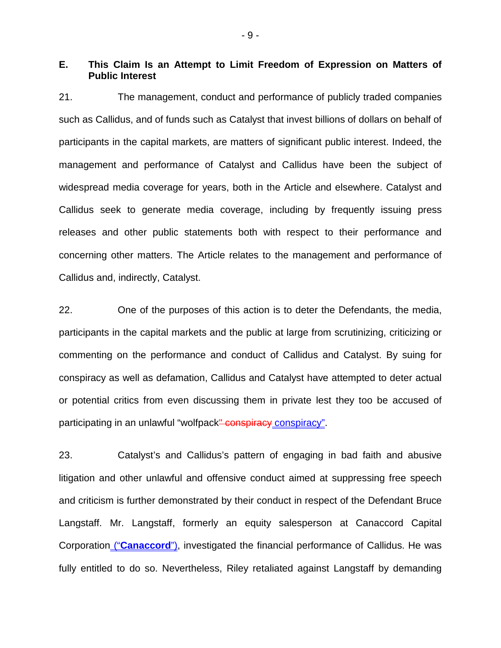### **E. This Claim Is an Attempt to Limit Freedom of Expression on Matters of Public Interest**

21. The management, conduct and performance of publicly traded companies such as Callidus, and of funds such as Catalyst that invest billions of dollars on behalf of participants in the capital markets, are matters of significant public interest. Indeed, the management and performance of Catalyst and Callidus have been the subject of widespread media coverage for years, both in the Article and elsewhere. Catalyst and Callidus seek to generate media coverage, including by frequently issuing press releases and other public statements both with respect to their performance and concerning other matters. The Article relates to the management and performance of Callidus and, indirectly, Catalyst.

22. One of the purposes of this action is to deter the Defendants, the media, participants in the capital markets and the public at large from scrutinizing, criticizing or commenting on the performance and conduct of Callidus and Catalyst. By suing for conspiracy as well as defamation, Callidus and Catalyst have attempted to deter actual or potential critics from even discussing them in private lest they too be accused of participating in an unlawful "wolfpack" conspiracy conspiracy".

23. Catalyst's and Callidus's pattern of engaging in bad faith and abusive litigation and other unlawful and offensive conduct aimed at suppressing free speech and criticism is further demonstrated by their conduct in respect of the Defendant Bruce Langstaff. Mr. Langstaff, formerly an equity salesperson at Canaccord Capital Corporation ("**Canaccord**"), investigated the financial performance of Callidus. He was fully entitled to do so. Nevertheless, Riley retaliated against Langstaff by demanding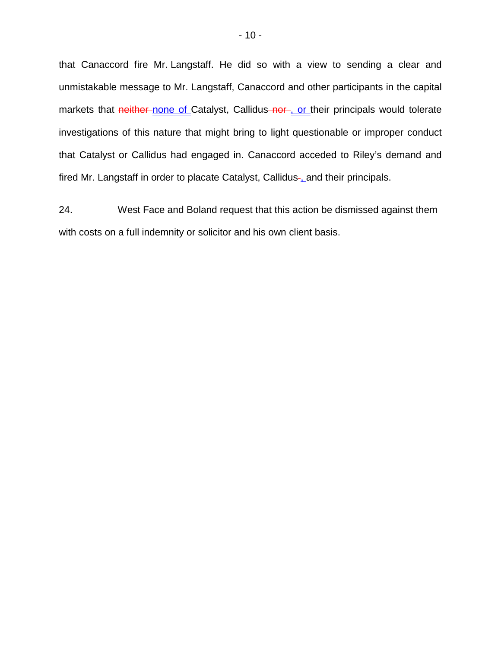that Canaccord fire Mr. Langstaff. He did so with a view to sending a clear and unmistakable message to Mr. Langstaff, Canaccord and other participants in the capital markets that neither-none of Catalyst, Callidus-nor, or their principals would tolerate investigations of this nature that might bring to light questionable or improper conduct that Catalyst or Callidus had engaged in. Canaccord acceded to Riley's demand and fired Mr. Langstaff in order to placate Catalyst, Callidus-, and their principals.

24. West Face and Boland request that this action be dismissed against them with costs on a full indemnity or solicitor and his own client basis.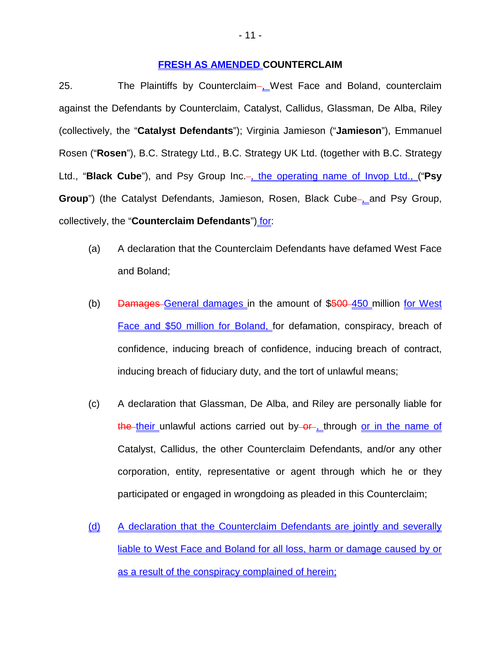#### **FRESH AS AMENDED COUNTERCLAIM**

25. The Plaintiffs by CounterclaimWest Face and Boland, counterclaim against the Defendants by Counterclaim, Catalyst, Callidus, Glassman, De Alba, Riley (collectively, the "**Catalyst Defendants**"); Virginia Jamieson ("**Jamieson**"), Emmanuel Rosen ("**Rosen**"), B.C. Strategy Ltd., B.C. Strategy UK Ltd. (together with B.C. Strategy Ltd., "**Black Cube**"), and Psy Group Inc.-, the operating name of Invop Ltd., ("Psy **Group**") (the Catalyst Defendants, Jamieson, Rosen, Black Cube-, and Psy Group, collectively, the "**Counterclaim Defendants**") for:

- (a) A declaration that the Counterclaim Defendants have defamed West Face and Boland;
- (b) Damages General damages in the amount of \$500-450 million for West Face and \$50 million for Boland, for defamation, conspiracy, breach of confidence, inducing breach of confidence, inducing breach of contract, inducing breach of fiduciary duty, and the tort of unlawful means;
- (c) A declaration that Glassman, De Alba, and Riley are personally liable for the their unlawful actions carried out by or , through or in the name of Catalyst, Callidus, the other Counterclaim Defendants, and/or any other corporation, entity, representative or agent through which he or they participated or engaged in wrongdoing as pleaded in this Counterclaim;
- (d) A declaration that the Counterclaim Defendants are jointly and severally liable to West Face and Boland for all loss, harm or damage caused by or as a result of the conspiracy complained of herein;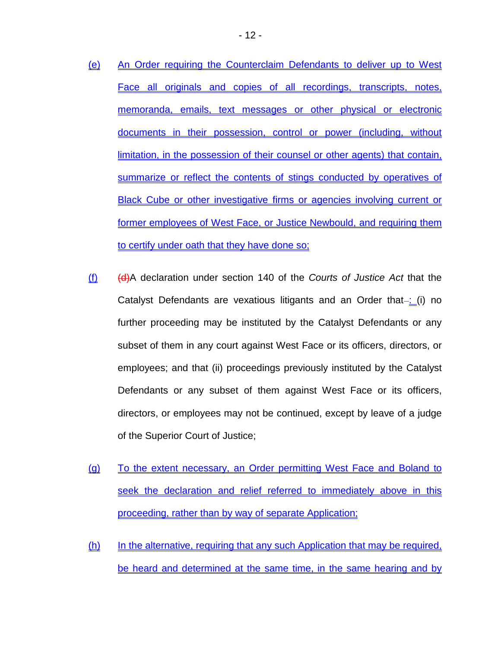- (e) An Order requiring the Counterclaim Defendants to deliver up to West Face all originals and copies of all recordings, transcripts, notes, memoranda, emails, text messages or other physical or electronic documents in their possession, control or power (including, without limitation, in the possession of their counsel or other agents) that contain, summarize or reflect the contents of stings conducted by operatives of Black Cube or other investigative firms or agencies involving current or former employees of West Face, or Justice Newbould, and requiring them to certify under oath that they have done so;
- (f) (d)A declaration under section 140 of the *Courts of Justice Act* that the Catalyst Defendants are vexatious litigants and an Order that $-$ : (i) no further proceeding may be instituted by the Catalyst Defendants or any subset of them in any court against West Face or its officers, directors, or employees; and that (ii) proceedings previously instituted by the Catalyst Defendants or any subset of them against West Face or its officers, directors, or employees may not be continued, except by leave of a judge of the Superior Court of Justice;
- (g) To the extent necessary, an Order permitting West Face and Boland to seek the declaration and relief referred to immediately above in this proceeding, rather than by way of separate Application;
- (h) In the alternative, requiring that any such Application that may be required, be heard and determined at the same time, in the same hearing and by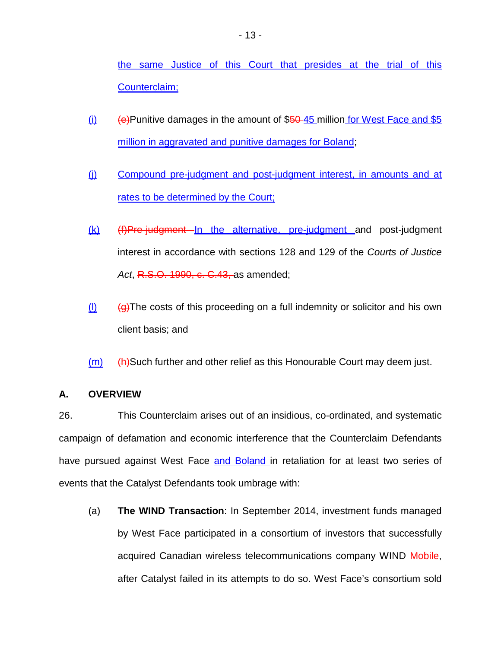the same Justice of this Court that presides at the trial of this Counterclaim;

- $(i)$  (e)Punitive damages in the amount of \$50-45 million for West Face and \$5 million in aggravated and punitive damages for Boland;
- (j) Compound pre-judgment and post-judgment interest, in amounts and at rates to be determined by the Court;
- $(k)$  (f)Pre-judgment In the alternative, pre-judgment and post-judgment interest in accordance with sections 128 and 129 of the *Courts of Justice Act*, R.S.O. 1990, c. C.43, as amended;
- $\frac{1}{2}$  (g)The costs of this proceeding on a full indemnity or solicitor and his own client basis; and
- $(m)$  (h)Such further and other relief as this Honourable Court may deem just.

## **A. OVERVIEW**

26. This Counterclaim arises out of an insidious, co-ordinated, and systematic campaign of defamation and economic interference that the Counterclaim Defendants have pursued against West Face and Boland in retaliation for at least two series of events that the Catalyst Defendants took umbrage with:

(a) **The WIND Transaction**: In September 2014, investment funds managed by West Face participated in a consortium of investors that successfully acquired Canadian wireless telecommunications company WIND Mobile, after Catalyst failed in its attempts to do so. West Face's consortium sold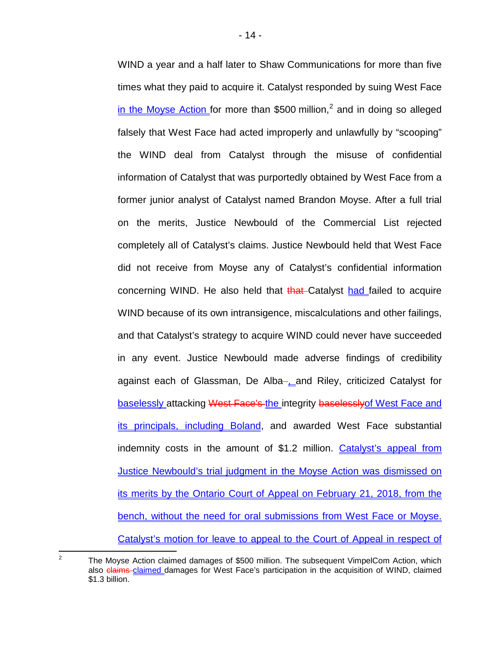WIND a year and a half later to Shaw Communications for more than five times what they paid to acquire it. Catalyst responded by suing West Face in the Moyse Action for more than \$500 million, $<sup>2</sup>$  $<sup>2</sup>$  $<sup>2</sup>$  and in doing so alleged</sup> falsely that West Face had acted improperly and unlawfully by "scooping" the WIND deal from Catalyst through the misuse of confidential information of Catalyst that was purportedly obtained by West Face from a former junior analyst of Catalyst named Brandon Moyse. After a full trial on the merits, Justice Newbould of the Commercial List rejected completely all of Catalyst's claims. Justice Newbould held that West Face did not receive from Moyse any of Catalyst's confidential information concerning WIND. He also held that that Catalyst had failed to acquire WIND because of its own intransigence, miscalculations and other failings, and that Catalyst's strategy to acquire WIND could never have succeeded in any event. Justice Newbould made adverse findings of credibility against each of Glassman, De Alba-, and Riley, criticized Catalyst for baselessly attacking West Face's the integrity baselessly of West Face and its principals, including Boland, and awarded West Face substantial indemnity costs in the amount of \$1.2 million. Catalyst's appeal from Justice Newbould's trial judgment in the Moyse Action was dismissed on its merits by the Ontario Court of Appeal on February 21, 2018, from the bench, without the need for oral submissions from West Face or Moyse. Catalyst's motion for leave to appeal to the Court of Appeal in respect of

<span id="page-14-0"></span><sup>&</sup>lt;sup>2</sup> The Moyse Action claimed damages of \$500 million. The subsequent VimpelCom Action, which also claims claimed damages for West Face's participation in the acquisition of WIND, claimed \$1.3 billion.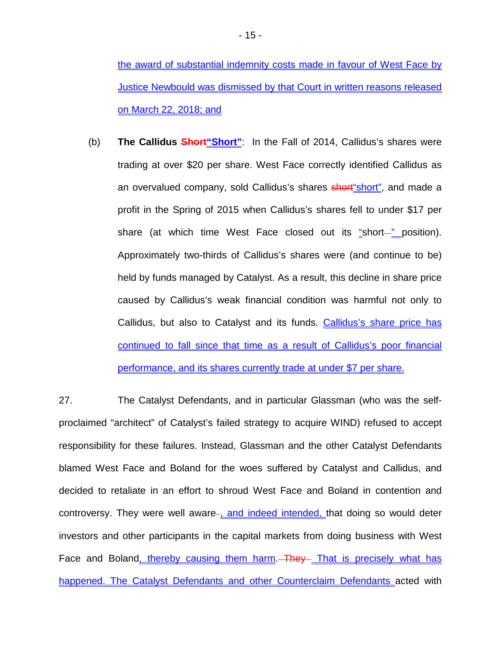the award of substantial indemnity costs made in favour of West Face by Justice Newbould was dismissed by that Court in written reasons released on March 22, 2018; and

(b) **The Callidus Short"Short"**: In the Fall of 2014, Callidus's shares were trading at over \$20 per share. West Face correctly identified Callidus as an overvalued company, sold Callidus's shares short short", and made a profit in the Spring of 2015 when Callidus's shares fell to under \$17 per share (at which time West Face closed out its "short-" position). Approximately two-thirds of Callidus's shares were (and continue to be) held by funds managed by Catalyst. As a result, this decline in share price caused by Callidus's weak financial condition was harmful not only to Callidus, but also to Catalyst and its funds. Callidus's share price has continued to fall since that time as a result of Callidus's poor financial performance, and its shares currently trade at under \$7 per share.

27. The Catalyst Defendants, and in particular Glassman (who was the selfproclaimed "architect" of Catalyst's failed strategy to acquire WIND) refused to accept responsibility for these failures. Instead, Glassman and the other Catalyst Defendants blamed West Face and Boland for the woes suffered by Catalyst and Callidus, and decided to retaliate in an effort to shroud West Face and Boland in contention and controversy. They were well aware-, and indeed intended, that doing so would deter investors and other participants in the capital markets from doing business with West Face and Boland, thereby causing them harm - They That is precisely what has happened. The Catalyst Defendants and other Counterclaim Defendants acted with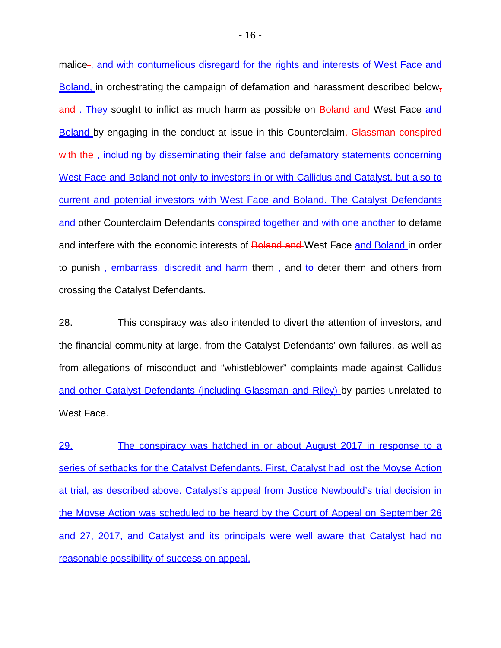malice<sub>, and with contumelious disregard for the rights and interests of West Face and</sub> Boland, in orchestrating the campaign of defamation and harassment described below, and. They sought to inflict as much harm as possible on Boland and West Face and Boland by engaging in the conduct at issue in this Counterclaim. Glassman conspired with the , including by disseminating their false and defamatory statements concerning West Face and Boland not only to investors in or with Callidus and Catalyst, but also to current and potential investors with West Face and Boland. The Catalyst Defendants and other Counterclaim Defendants conspired together and with one another to defame and interfere with the economic interests of Boland and West Face and Boland in order to punish-, embarrass, discredit and harm them-, and to deter them and others from crossing the Catalyst Defendants.

28. This conspiracy was also intended to divert the attention of investors, and the financial community at large, from the Catalyst Defendants' own failures, as well as from allegations of misconduct and "whistleblower" complaints made against Callidus and other Catalyst Defendants (including Glassman and Riley) by parties unrelated to West Face.

29. The conspiracy was hatched in or about August 2017 in response to a series of setbacks for the Catalyst Defendants. First, Catalyst had lost the Moyse Action at trial, as described above. Catalyst's appeal from Justice Newbould's trial decision in the Moyse Action was scheduled to be heard by the Court of Appeal on September 26 and 27, 2017, and Catalyst and its principals were well aware that Catalyst had no reasonable possibility of success on appeal.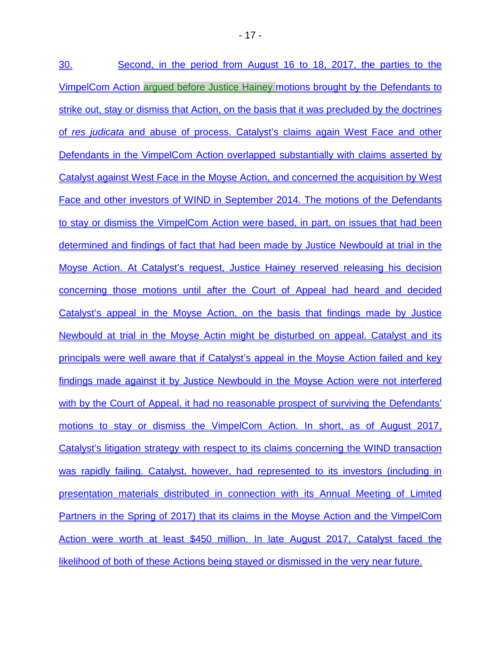30. Second, in the period from August 16 to 18, 2017, the parties to the VimpelCom Action argued before Justice Hainey motions brought by the Defendants to strike out, stay or dismiss that Action, on the basis that it was precluded by the doctrines of *res judicata* and abuse of process. Catalyst's claims again West Face and other Defendants in the VimpelCom Action overlapped substantially with claims asserted by Catalyst against West Face in the Moyse Action, and concerned the acquisition by West Face and other investors of WIND in September 2014. The motions of the Defendants to stay or dismiss the VimpelCom Action were based, in part, on issues that had been determined and findings of fact that had been made by Justice Newbould at trial in the Moyse Action. At Catalyst's request, Justice Hainey reserved releasing his decision concerning those motions until after the Court of Appeal had heard and decided Catalyst's appeal in the Moyse Action, on the basis that findings made by Justice Newbould at trial in the Moyse Actin might be disturbed on appeal. Catalyst and its principals were well aware that if Catalyst's appeal in the Moyse Action failed and key findings made against it by Justice Newbould in the Moyse Action were not interfered with by the Court of Appeal, it had no reasonable prospect of surviving the Defendants' motions to stay or dismiss the VimpelCom Action. In short, as of August 2017, Catalyst's litigation strategy with respect to its claims concerning the WIND transaction was rapidly failing. Catalyst, however, had represented to its investors (including in presentation materials distributed in connection with its Annual Meeting of Limited Partners in the Spring of 2017) that its claims in the Moyse Action and the VimpelCom Action were worth at least \$450 million. In late August 2017, Catalyst faced the likelihood of both of these Actions being stayed or dismissed in the very near future.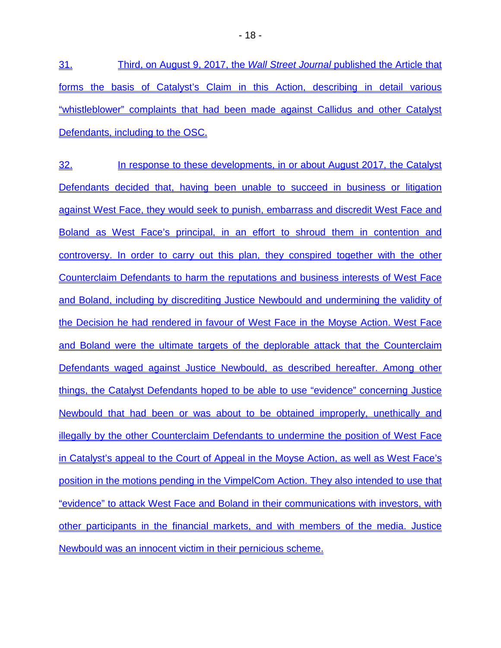31. Third, on August 9, 2017, the *Wall Street Journal* published the Article that forms the basis of Catalyst's Claim in this Action, describing in detail various "whistleblower" complaints that had been made against Callidus and other Catalyst Defendants, including to the OSC.

32. In response to these developments, in or about August 2017, the Catalyst Defendants decided that, having been unable to succeed in business or litigation against West Face, they would seek to punish, embarrass and discredit West Face and Boland as West Face's principal, in an effort to shroud them in contention and controversy. In order to carry out this plan, they conspired together with the other Counterclaim Defendants to harm the reputations and business interests of West Face and Boland, including by discrediting Justice Newbould and undermining the validity of the Decision he had rendered in favour of West Face in the Moyse Action. West Face and Boland were the ultimate targets of the deplorable attack that the Counterclaim Defendants waged against Justice Newbould, as described hereafter. Among other things, the Catalyst Defendants hoped to be able to use "evidence" concerning Justice Newbould that had been or was about to be obtained improperly, unethically and illegally by the other Counterclaim Defendants to undermine the position of West Face in Catalyst's appeal to the Court of Appeal in the Moyse Action, as well as West Face's position in the motions pending in the VimpelCom Action. They also intended to use that "evidence" to attack West Face and Boland in their communications with investors, with other participants in the financial markets, and with members of the media. Justice Newbould was an innocent victim in their pernicious scheme.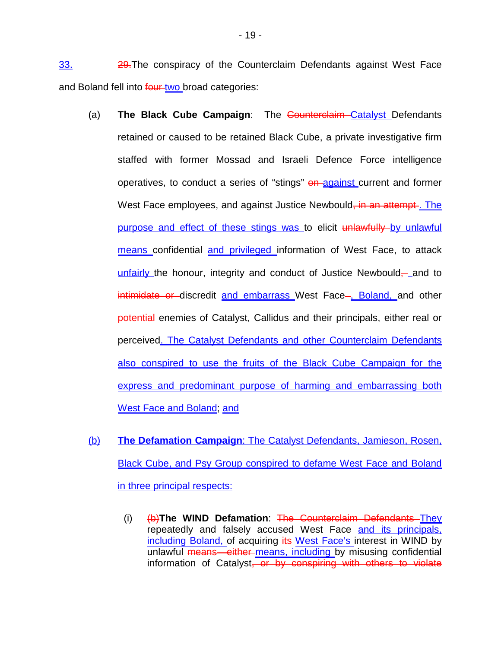33. 29. 29. The conspiracy of the Counterclaim Defendants against West Face and Boland fell into four two broad categories:

- (a) **The Black Cube Campaign**: The Counterclaim Catalyst Defendants retained or caused to be retained Black Cube, a private investigative firm staffed with former Mossad and Israeli Defence Force intelligence operatives, to conduct a series of "stings" on against current and former West Face employees, and against Justice Newbould, in an attempt. The purpose and effect of these stings was to elicit unlawfully by unlawful means confidential and privileged information of West Face, to attack unfairly the honour, integrity and conduct of Justice Newbould—and to intimidate or discredit and embarrass West Face-, Boland, and other potential enemies of Catalyst, Callidus and their principals, either real or perceived. The Catalyst Defendants and other Counterclaim Defendants also conspired to use the fruits of the Black Cube Campaign for the express and predominant purpose of harming and embarrassing both West Face and Boland; and
- (b) **The Defamation Campaign**: The Catalyst Defendants, Jamieson, Rosen, Black Cube, and Psy Group conspired to defame West Face and Boland in three principal respects:
	- (i) (b)**The WIND Defamation**: The Counterclaim Defendants They repeatedly and falsely accused West Face and its principals, including Boland, of acquiring its West Face's interest in WIND by unlawful means—either means, including by misusing confidential information of Catalyst, or by conspiring with others to violate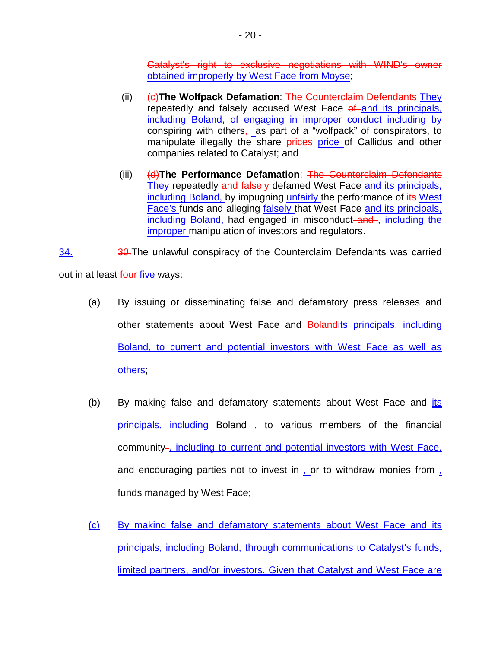Catalyst's right to exclusive negotiations with WIND's owner obtained improperly by West Face from Moyse;

- (ii) (c)**The Wolfpack Defamation**: The Counterclaim Defendants They repeatedly and falsely accused West Face of and its principals, including Boland, of engaging in improper conduct including by conspiring with others $-$  as part of a "wolfpack" of conspirators, to manipulate illegally the share **prices** price of Callidus and other companies related to Catalyst; and
- (iii) (d)**The Performance Defamation**: The Counterclaim Defendants They repeatedly and falsely defamed West Face and its principals, including Boland, by impugning unfairly the performance of its West Face's funds and alleging falsely that West Face and its principals, including Boland, had engaged in misconduct and , including the improper manipulation of investors and regulators.

34. 30.The unlawful conspiracy of the Counterclaim Defendants was carried

out in at least four-five ways:

- (a) By issuing or disseminating false and defamatory press releases and other statements about West Face and Bolandits principals, including Boland, to current and potential investors with West Face as well as others;
- (b) By making false and defamatory statements about West Face and its principals, including Boland-, to various members of the financial community-, including to current and potential investors with West Face, and encouraging parties not to invest in-, or to withdraw monies from-, funds managed by West Face;
- (c) By making false and defamatory statements about West Face and its principals, including Boland, through communications to Catalyst's funds, limited partners, and/or investors. Given that Catalyst and West Face are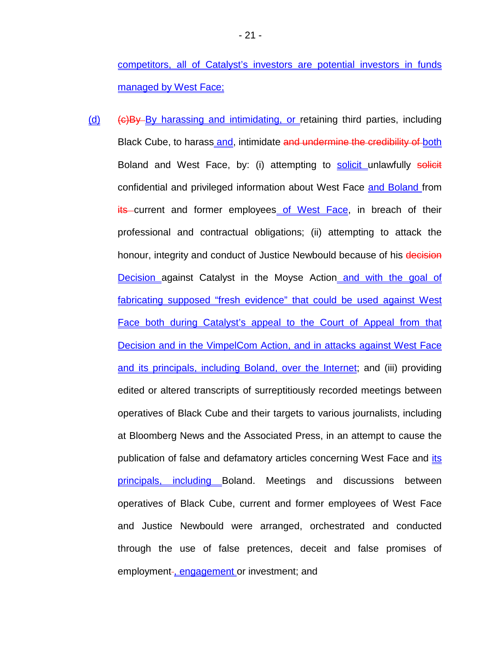competitors, all of Catalyst's investors are potential investors in funds managed by West Face;

(d) (c)By By harassing and intimidating, or retaining third parties, including Black Cube, to harass and, intimidate and undermine the credibility of both Boland and West Face, by: (i) attempting to solicit unlawfully solicit confidential and privileged information about West Face and Boland from its current and former employees of West Face, in breach of their professional and contractual obligations; (ii) attempting to attack the honour, integrity and conduct of Justice Newbould because of his decision Decision against Catalyst in the Moyse Action and with the goal of fabricating supposed "fresh evidence" that could be used against West Face both during Catalyst's appeal to the Court of Appeal from that Decision and in the VimpelCom Action, and in attacks against West Face and its principals, including Boland, over the Internet; and (iii) providing edited or altered transcripts of surreptitiously recorded meetings between operatives of Black Cube and their targets to various journalists, including at Bloomberg News and the Associated Press, in an attempt to cause the publication of false and defamatory articles concerning West Face and *its* principals, including Boland. Meetings and discussions between operatives of Black Cube, current and former employees of West Face and Justice Newbould were arranged, orchestrated and conducted through the use of false pretences, deceit and false promises of employment-, engagement or investment; and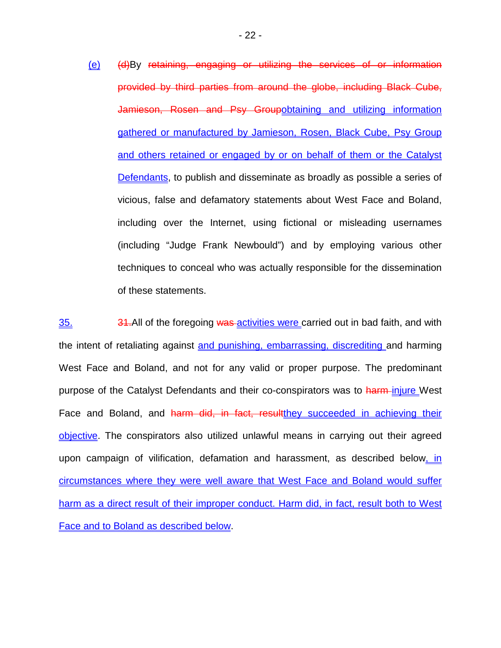(e) (d)By retaining, engaging or utilizing the services of or information provided by third parties from around the globe, including Black Cube, Jamieson, Rosen and Psy Groupobtaining and utilizing information gathered or manufactured by Jamieson, Rosen, Black Cube, Psy Group and others retained or engaged by or on behalf of them or the Catalyst Defendants, to publish and disseminate as broadly as possible a series of vicious, false and defamatory statements about West Face and Boland, including over the Internet, using fictional or misleading usernames (including "Judge Frank Newbould") and by employing various other techniques to conceal who was actually responsible for the dissemination of these statements.

35. 35. 34.All of the foregoing was activities were carried out in bad faith, and with the intent of retaliating against and punishing, embarrassing, discrediting and harming West Face and Boland, and not for any valid or proper purpose. The predominant purpose of the Catalyst Defendants and their co-conspirators was to harm-injure West Face and Boland, and harm did, in fact, result they succeeded in achieving their objective. The conspirators also utilized unlawful means in carrying out their agreed upon campaign of vilification, defamation and harassment, as described below, in circumstances where they were well aware that West Face and Boland would suffer harm as a direct result of their improper conduct. Harm did, in fact, result both to West Face and to Boland as described below.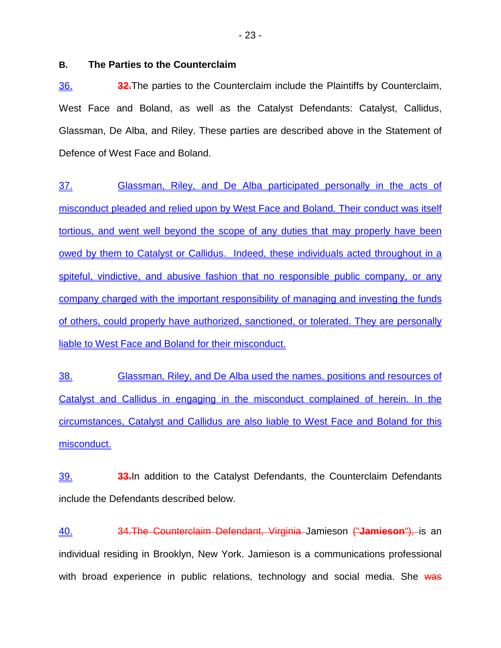### **B. The Parties to the Counterclaim**

36. **32.**The parties to the Counterclaim include the Plaintiffs by Counterclaim, West Face and Boland, as well as the Catalyst Defendants: Catalyst, Callidus, Glassman, De Alba, and Riley. These parties are described above in the Statement of Defence of West Face and Boland.

37. Glassman, Riley, and De Alba participated personally in the acts of misconduct pleaded and relied upon by West Face and Boland. Their conduct was itself tortious, and went well beyond the scope of any duties that may properly have been owed by them to Catalyst or Callidus. Indeed, these individuals acted throughout in a spiteful, vindictive, and abusive fashion that no responsible public company, or any company charged with the important responsibility of managing and investing the funds of others, could properly have authorized, sanctioned, or tolerated. They are personally liable to West Face and Boland for their misconduct.

38. Glassman, Riley, and De Alba used the names, positions and resources of Catalyst and Callidus in engaging in the misconduct complained of herein. In the circumstances, Catalyst and Callidus are also liable to West Face and Boland for this misconduct.

39. **33.**In addition to the Catalyst Defendants, the Counterclaim Defendants include the Defendants described below.

40. 34.The Counterclaim Defendant, Virginia Jamieson ("**Jamieson**"), is an individual residing in Brooklyn, New York. Jamieson is a communications professional with broad experience in public relations, technology and social media. She was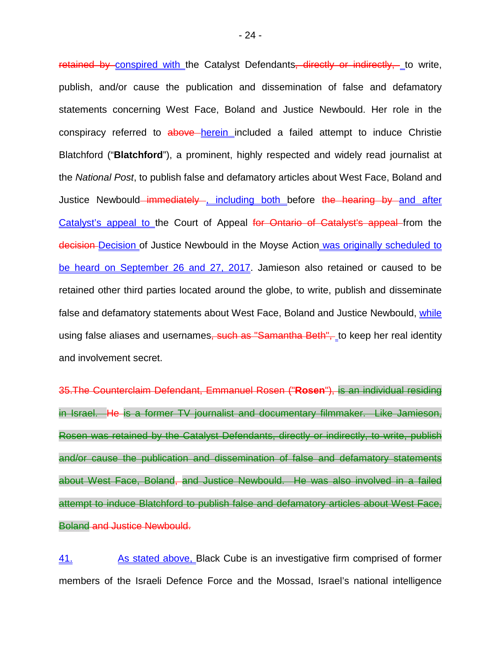retained by conspired with the Catalyst Defendants, directly or indirectly, to write, publish, and/or cause the publication and dissemination of false and defamatory statements concerning West Face, Boland and Justice Newbould. Her role in the conspiracy referred to above herein included a failed attempt to induce Christie Blatchford ("**Blatchford**"), a prominent, highly respected and widely read journalist at the *National Post*, to publish false and defamatory articles about West Face, Boland and Justice Newbould immediately, including both before the hearing by and after Catalyst's appeal to the Court of Appeal for Ontario of Catalyst's appeal from the decision Decision of Justice Newbould in the Moyse Action was originally scheduled to be heard on September 26 and 27, 2017. Jamieson also retained or caused to be retained other third parties located around the globe, to write, publish and disseminate false and defamatory statements about West Face, Boland and Justice Newbould, while using false aliases and usernames, such as "Samantha Beth", to keep her real identity and involvement secret.

35.The Counterclaim Defendant, Emmanuel Rosen ("**Rosen**"), is an individual residing in Israel. He is a former TV journalist and documentary filmmaker. Like Jamieson, Rosen was retained by the Catalyst Defendants, directly or indirectly, to write, publish and/or cause the publication and dissemination of false and defamatory statements about West Face, Boland, and Justice Newbould. He was also involved in a failed attempt to induce Blatchford to publish false and defamatory articles about West Face, Boland and Justice Newbould.

41. As stated above, Black Cube is an investigative firm comprised of former members of the Israeli Defence Force and the Mossad, Israel's national intelligence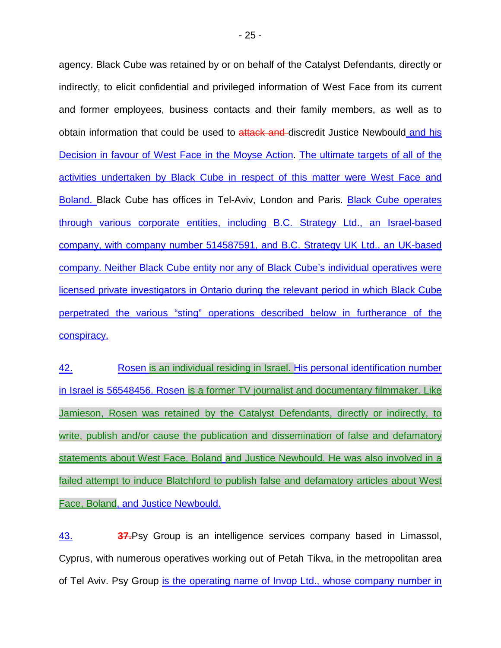agency. Black Cube was retained by or on behalf of the Catalyst Defendants, directly or indirectly, to elicit confidential and privileged information of West Face from its current and former employees, business contacts and their family members, as well as to obtain information that could be used to attack and discredit Justice Newbould and his Decision in favour of West Face in the Moyse Action. The ultimate targets of all of the activities undertaken by Black Cube in respect of this matter were West Face and Boland. Black Cube has offices in Tel-Aviv, London and Paris. Black Cube operates through various corporate entities, including B.C. Strategy Ltd., an Israel-based company, with company number 514587591, and B.C. Strategy UK Ltd., an UK-based company. Neither Black Cube entity nor any of Black Cube's individual operatives were licensed private investigators in Ontario during the relevant period in which Black Cube perpetrated the various "sting" operations described below in furtherance of the conspiracy.

42. Rosen is an individual residing in Israel. His personal identification number in Israel is 56548456. Rosen is a former TV journalist and documentary filmmaker. Like Jamieson, Rosen was retained by the Catalyst Defendants, directly or indirectly, to write, publish and/or cause the publication and dissemination of false and defamatory statements about West Face, Boland and Justice Newbould. He was also involved in a failed attempt to induce Blatchford to publish false and defamatory articles about West Face, Boland, and Justice Newbould.

43. **37.**Psy Group is an intelligence services company based in Limassol, Cyprus, with numerous operatives working out of Petah Tikva, in the metropolitan area of Tel Aviv. Psy Group is the operating name of Invop Ltd., whose company number in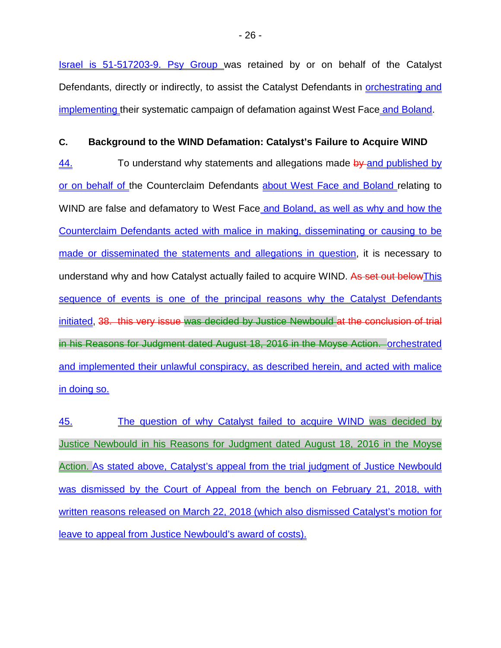**Israel is 51-517203-9. Psy Group was retained by or on behalf of the Catalyst** Defendants, directly or indirectly, to assist the Catalyst Defendants in **orchestrating and** implementing their systematic campaign of defamation against West Face and Boland.

### **C. Background to the WIND Defamation: Catalyst's Failure to Acquire WIND**

 $\frac{44}{1}$  To understand why statements and allegations made by and published by or on behalf of the Counterclaim Defendants about West Face and Boland relating to WIND are false and defamatory to West Face and Boland, as well as why and how the Counterclaim Defendants acted with malice in making, disseminating or causing to be made or disseminated the statements and allegations in question, it is necessary to understand why and how Catalyst actually failed to acquire WIND. As set out below This sequence of events is one of the principal reasons why the Catalyst Defendants initiated, 38. this very issue was decided by Justice Newbould at the conclusion of trial in his Reasons for Judgment dated August 18, 2016 in the Moyse Action. orchestrated and implemented their unlawful conspiracy, as described herein, and acted with malice in doing so.

45. The question of why Catalyst failed to acquire WIND was decided by Justice Newbould in his Reasons for Judgment dated August 18, 2016 in the Moyse Action. As stated above, Catalyst's appeal from the trial judgment of Justice Newbould was dismissed by the Court of Appeal from the bench on February 21, 2018, with written reasons released on March 22, 2018 (which also dismissed Catalyst's motion for leave to appeal from Justice Newbould's award of costs).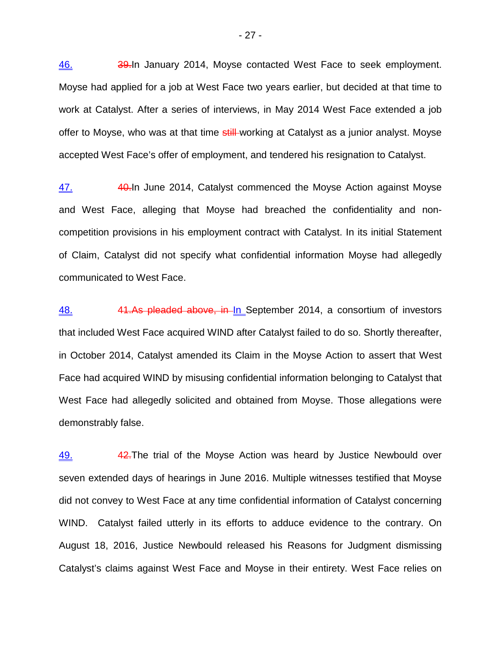46. 39.In January 2014, Moyse contacted West Face to seek employment. Moyse had applied for a job at West Face two years earlier, but decided at that time to work at Catalyst. After a series of interviews, in May 2014 West Face extended a job offer to Moyse, who was at that time still working at Catalyst as a junior analyst. Moyse accepted West Face's offer of employment, and tendered his resignation to Catalyst.

47. 40. 40. 40. All and the 2014, Catalyst commenced the Moyse Action against Moyse and West Face, alleging that Moyse had breached the confidentiality and noncompetition provisions in his employment contract with Catalyst. In its initial Statement of Claim, Catalyst did not specify what confidential information Moyse had allegedly communicated to West Face.

48. 41.As pleaded above, in In September 2014, a consortium of investors that included West Face acquired WIND after Catalyst failed to do so. Shortly thereafter, in October 2014, Catalyst amended its Claim in the Moyse Action to assert that West Face had acquired WIND by misusing confidential information belonging to Catalyst that West Face had allegedly solicited and obtained from Moyse. Those allegations were demonstrably false.

49. 42. The trial of the Moyse Action was heard by Justice Newbould over seven extended days of hearings in June 2016. Multiple witnesses testified that Moyse did not convey to West Face at any time confidential information of Catalyst concerning WIND. Catalyst failed utterly in its efforts to adduce evidence to the contrary. On August 18, 2016, Justice Newbould released his Reasons for Judgment dismissing Catalyst's claims against West Face and Moyse in their entirety. West Face relies on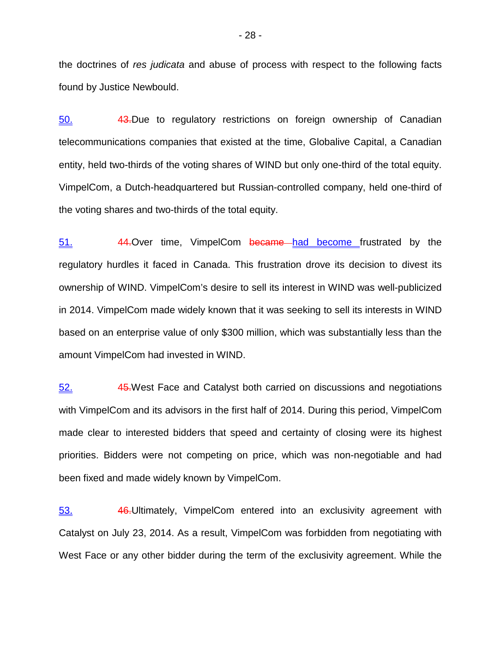the doctrines of *res judicata* and abuse of process with respect to the following facts found by Justice Newbould.

50. 43.Due to regulatory restrictions on foreign ownership of Canadian telecommunications companies that existed at the time, Globalive Capital, a Canadian entity, held two-thirds of the voting shares of WIND but only one-third of the total equity. VimpelCom, a Dutch-headquartered but Russian-controlled company, held one-third of the voting shares and two-thirds of the total equity.

51. 44. Over time, VimpelCom became had become frustrated by the regulatory hurdles it faced in Canada. This frustration drove its decision to divest its ownership of WIND. VimpelCom's desire to sell its interest in WIND was well-publicized in 2014. VimpelCom made widely known that it was seeking to sell its interests in WIND based on an enterprise value of only \$300 million, which was substantially less than the amount VimpelCom had invested in WIND.

52. 45.West Face and Catalyst both carried on discussions and negotiations with VimpelCom and its advisors in the first half of 2014. During this period, VimpelCom made clear to interested bidders that speed and certainty of closing were its highest priorities. Bidders were not competing on price, which was non-negotiable and had been fixed and made widely known by VimpelCom.

53. 46.Ultimately, VimpelCom entered into an exclusivity agreement with Catalyst on July 23, 2014. As a result, VimpelCom was forbidden from negotiating with West Face or any other bidder during the term of the exclusivity agreement. While the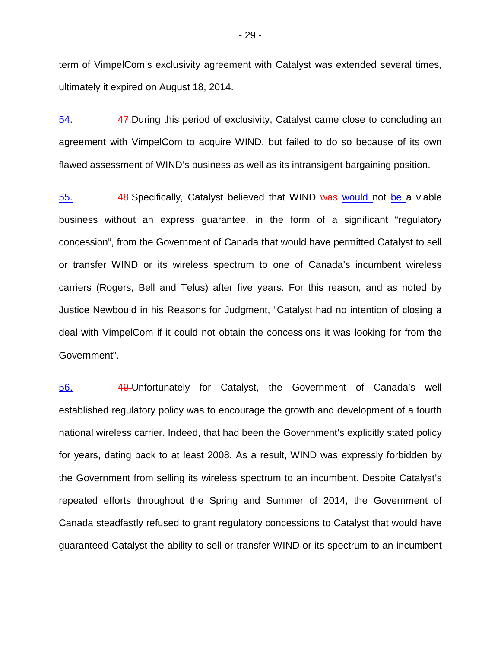term of VimpelCom's exclusivity agreement with Catalyst was extended several times, ultimately it expired on August 18, 2014.

54. 47. During this period of exclusivity, Catalyst came close to concluding an agreement with VimpelCom to acquire WIND, but failed to do so because of its own flawed assessment of WIND's business as well as its intransigent bargaining position.

55. 48. Specifically, Catalyst believed that WIND was would not be a viable business without an express guarantee, in the form of a significant "regulatory concession", from the Government of Canada that would have permitted Catalyst to sell or transfer WIND or its wireless spectrum to one of Canada's incumbent wireless carriers (Rogers, Bell and Telus) after five years. For this reason, and as noted by Justice Newbould in his Reasons for Judgment, "Catalyst had no intention of closing a deal with VimpelCom if it could not obtain the concessions it was looking for from the Government".

56. 49.Unfortunately for Catalyst, the Government of Canada's well established regulatory policy was to encourage the growth and development of a fourth national wireless carrier. Indeed, that had been the Government's explicitly stated policy for years, dating back to at least 2008. As a result, WIND was expressly forbidden by the Government from selling its wireless spectrum to an incumbent. Despite Catalyst's repeated efforts throughout the Spring and Summer of 2014, the Government of Canada steadfastly refused to grant regulatory concessions to Catalyst that would have guaranteed Catalyst the ability to sell or transfer WIND or its spectrum to an incumbent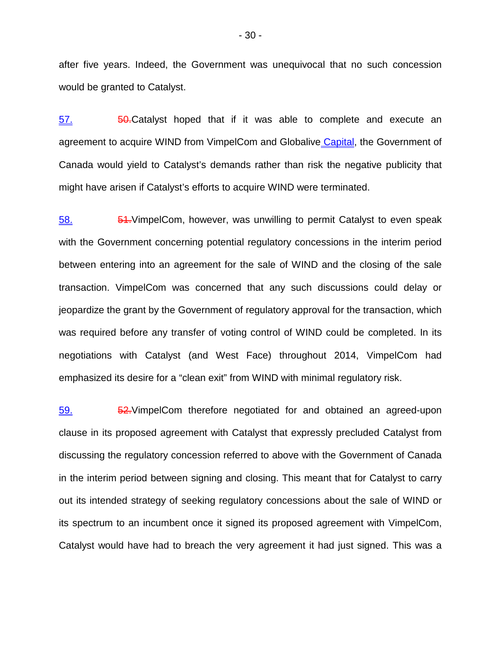after five years. Indeed, the Government was unequivocal that no such concession would be granted to Catalyst.

57. 50. 50.Catalyst hoped that if it was able to complete and execute an agreement to acquire WIND from VimpelCom and Globalive Capital, the Government of Canada would yield to Catalyst's demands rather than risk the negative publicity that might have arisen if Catalyst's efforts to acquire WIND were terminated.

58. 51.VimpelCom, however, was unwilling to permit Catalyst to even speak with the Government concerning potential regulatory concessions in the interim period between entering into an agreement for the sale of WIND and the closing of the sale transaction. VimpelCom was concerned that any such discussions could delay or jeopardize the grant by the Government of regulatory approval for the transaction, which was required before any transfer of voting control of WIND could be completed. In its negotiations with Catalyst (and West Face) throughout 2014, VimpelCom had emphasized its desire for a "clean exit" from WIND with minimal regulatory risk.

59. 52.VimpelCom therefore negotiated for and obtained an agreed-upon clause in its proposed agreement with Catalyst that expressly precluded Catalyst from discussing the regulatory concession referred to above with the Government of Canada in the interim period between signing and closing. This meant that for Catalyst to carry out its intended strategy of seeking regulatory concessions about the sale of WIND or its spectrum to an incumbent once it signed its proposed agreement with VimpelCom, Catalyst would have had to breach the very agreement it had just signed. This was a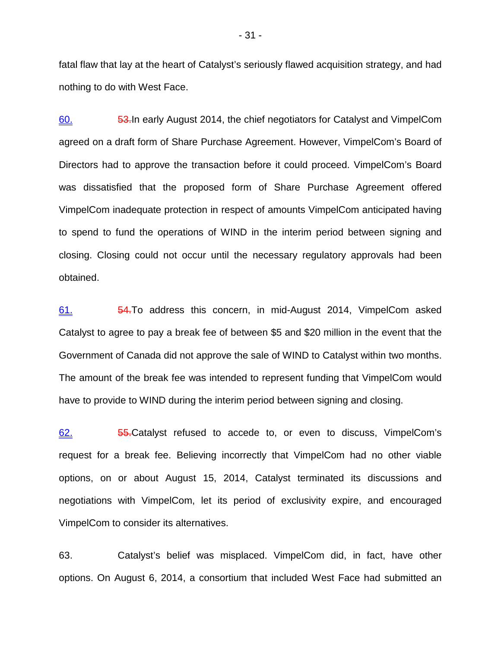fatal flaw that lay at the heart of Catalyst's seriously flawed acquisition strategy, and had nothing to do with West Face.

60. 53. In early August 2014, the chief negotiators for Catalyst and VimpelCom agreed on a draft form of Share Purchase Agreement. However, VimpelCom's Board of Directors had to approve the transaction before it could proceed. VimpelCom's Board was dissatisfied that the proposed form of Share Purchase Agreement offered VimpelCom inadequate protection in respect of amounts VimpelCom anticipated having to spend to fund the operations of WIND in the interim period between signing and closing. Closing could not occur until the necessary regulatory approvals had been obtained.

61. 54.To address this concern, in mid-August 2014, VimpelCom asked Catalyst to agree to pay a break fee of between \$5 and \$20 million in the event that the Government of Canada did not approve the sale of WIND to Catalyst within two months. The amount of the break fee was intended to represent funding that VimpelCom would have to provide to WIND during the interim period between signing and closing.

62. 55-Catalyst refused to accede to, or even to discuss, VimpelCom's request for a break fee. Believing incorrectly that VimpelCom had no other viable options, on or about August 15, 2014, Catalyst terminated its discussions and negotiations with VimpelCom, let its period of exclusivity expire, and encouraged VimpelCom to consider its alternatives.

63. Catalyst's belief was misplaced. VimpelCom did, in fact, have other options. On August 6, 2014, a consortium that included West Face had submitted an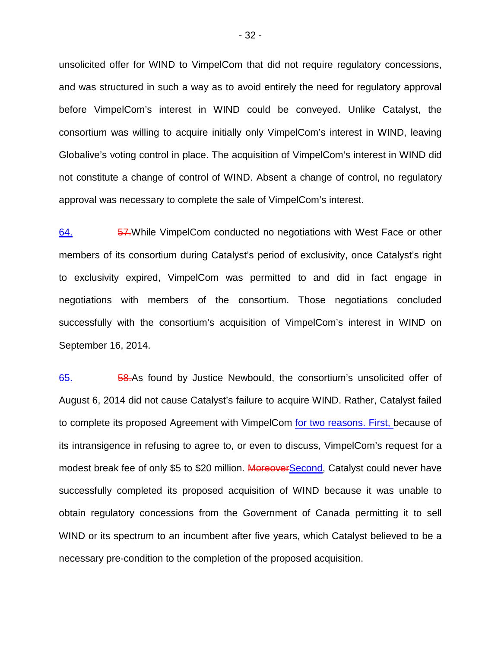unsolicited offer for WIND to VimpelCom that did not require regulatory concessions, and was structured in such a way as to avoid entirely the need for regulatory approval before VimpelCom's interest in WIND could be conveyed. Unlike Catalyst, the consortium was willing to acquire initially only VimpelCom's interest in WIND, leaving Globalive's voting control in place. The acquisition of VimpelCom's interest in WIND did not constitute a change of control of WIND. Absent a change of control, no regulatory approval was necessary to complete the sale of VimpelCom's interest.

64. 57. While VimpelCom conducted no negotiations with West Face or other members of its consortium during Catalyst's period of exclusivity, once Catalyst's right to exclusivity expired, VimpelCom was permitted to and did in fact engage in negotiations with members of the consortium. Those negotiations concluded successfully with the consortium's acquisition of VimpelCom's interest in WIND on September 16, 2014.

65. **58.**As found by Justice Newbould, the consortium's unsolicited offer of August 6, 2014 did not cause Catalyst's failure to acquire WIND. Rather, Catalyst failed to complete its proposed Agreement with VimpelCom for two reasons. First, because of its intransigence in refusing to agree to, or even to discuss, VimpelCom's request for a modest break fee of only \$5 to \$20 million. Moreover Second, Catalyst could never have successfully completed its proposed acquisition of WIND because it was unable to obtain regulatory concessions from the Government of Canada permitting it to sell WIND or its spectrum to an incumbent after five years, which Catalyst believed to be a necessary pre-condition to the completion of the proposed acquisition.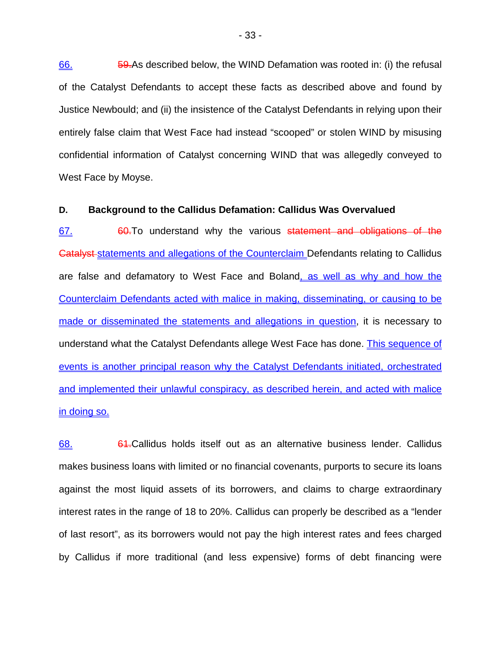66. 59.As described below, the WIND Defamation was rooted in: (i) the refusal of the Catalyst Defendants to accept these facts as described above and found by Justice Newbould; and (ii) the insistence of the Catalyst Defendants in relying upon their entirely false claim that West Face had instead "scooped" or stolen WIND by misusing confidential information of Catalyst concerning WIND that was allegedly conveyed to West Face by Moyse.

#### **D. Background to the Callidus Defamation: Callidus Was Overvalued**

67. 60.To understand why the various statement and obligations of the Catalyst statements and allegations of the Counterclaim Defendants relating to Callidus are false and defamatory to West Face and Boland, as well as why and how the Counterclaim Defendants acted with malice in making, disseminating, or causing to be made or disseminated the statements and allegations in question, it is necessary to understand what the Catalyst Defendants allege West Face has done. This sequence of events is another principal reason why the Catalyst Defendants initiated, orchestrated and implemented their unlawful conspiracy, as described herein, and acted with malice in doing so.

68. 61.Callidus holds itself out as an alternative business lender. Callidus makes business loans with limited or no financial covenants, purports to secure its loans against the most liquid assets of its borrowers, and claims to charge extraordinary interest rates in the range of 18 to 20%. Callidus can properly be described as a "lender of last resort", as its borrowers would not pay the high interest rates and fees charged by Callidus if more traditional (and less expensive) forms of debt financing were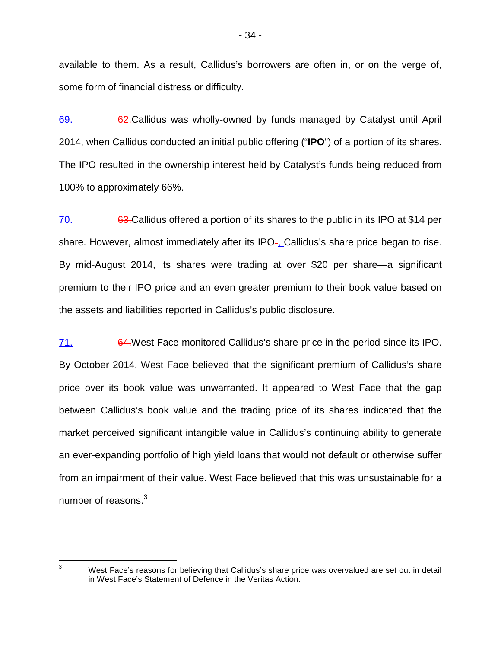available to them. As a result, Callidus's borrowers are often in, or on the verge of, some form of financial distress or difficulty.

69. 62. Gallidus was wholly-owned by funds managed by Catalyst until April 2014, when Callidus conducted an initial public offering ("**IPO**") of a portion of its shares. The IPO resulted in the ownership interest held by Catalyst's funds being reduced from 100% to approximately 66%.

70. 63.Callidus offered a portion of its shares to the public in its IPO at \$14 per share. However, almost immediately after its IPO-. Callidus's share price began to rise. By mid-August 2014, its shares were trading at over \$20 per share—a significant premium to their IPO price and an even greater premium to their book value based on the assets and liabilities reported in Callidus's public disclosure.

71. 64.West Face monitored Callidus's share price in the period since its IPO. By October 2014, West Face believed that the significant premium of Callidus's share price over its book value was unwarranted. It appeared to West Face that the gap between Callidus's book value and the trading price of its shares indicated that the market perceived significant intangible value in Callidus's continuing ability to generate an ever-expanding portfolio of high yield loans that would not default or otherwise suffer from an impairment of their value. West Face believed that this was unsustainable for a number of reasons.<sup>[3](#page-34-0)</sup>

<span id="page-34-0"></span><sup>&</sup>lt;sup>3</sup> West Face's reasons for believing that Callidus's share price was overvalued are set out in detail in West Face's Statement of Defence in the Veritas Action.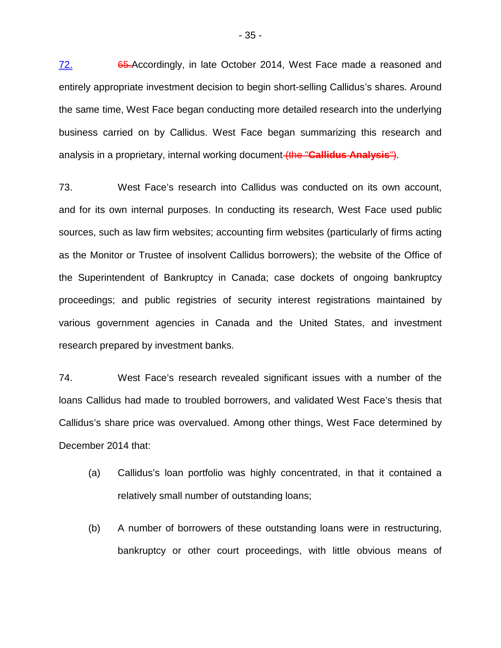72. **65.**Accordingly, in late October 2014, West Face made a reasoned and entirely appropriate investment decision to begin short-selling Callidus's shares. Around the same time, West Face began conducting more detailed research into the underlying business carried on by Callidus. West Face began summarizing this research and analysis in a proprietary, internal working document (the "**Callidus Analysis**").

73. West Face's research into Callidus was conducted on its own account, and for its own internal purposes. In conducting its research, West Face used public sources, such as law firm websites; accounting firm websites (particularly of firms acting as the Monitor or Trustee of insolvent Callidus borrowers); the website of the Office of the Superintendent of Bankruptcy in Canada; case dockets of ongoing bankruptcy proceedings; and public registries of security interest registrations maintained by various government agencies in Canada and the United States, and investment research prepared by investment banks.

74. West Face's research revealed significant issues with a number of the loans Callidus had made to troubled borrowers, and validated West Face's thesis that Callidus's share price was overvalued. Among other things, West Face determined by December 2014 that:

- (a) Callidus's loan portfolio was highly concentrated, in that it contained a relatively small number of outstanding loans;
- (b) A number of borrowers of these outstanding loans were in restructuring, bankruptcy or other court proceedings, with little obvious means of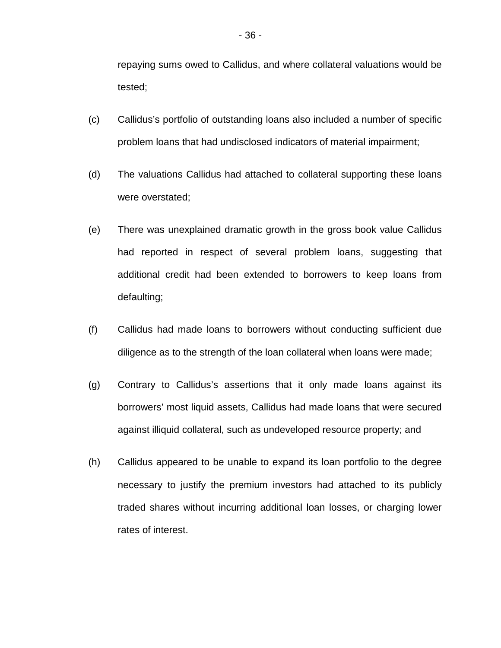repaying sums owed to Callidus, and where collateral valuations would be tested;

- (c) Callidus's portfolio of outstanding loans also included a number of specific problem loans that had undisclosed indicators of material impairment;
- (d) The valuations Callidus had attached to collateral supporting these loans were overstated;
- (e) There was unexplained dramatic growth in the gross book value Callidus had reported in respect of several problem loans, suggesting that additional credit had been extended to borrowers to keep loans from defaulting;
- (f) Callidus had made loans to borrowers without conducting sufficient due diligence as to the strength of the loan collateral when loans were made;
- (g) Contrary to Callidus's assertions that it only made loans against its borrowers' most liquid assets, Callidus had made loans that were secured against illiquid collateral, such as undeveloped resource property; and
- (h) Callidus appeared to be unable to expand its loan portfolio to the degree necessary to justify the premium investors had attached to its publicly traded shares without incurring additional loan losses, or charging lower rates of interest.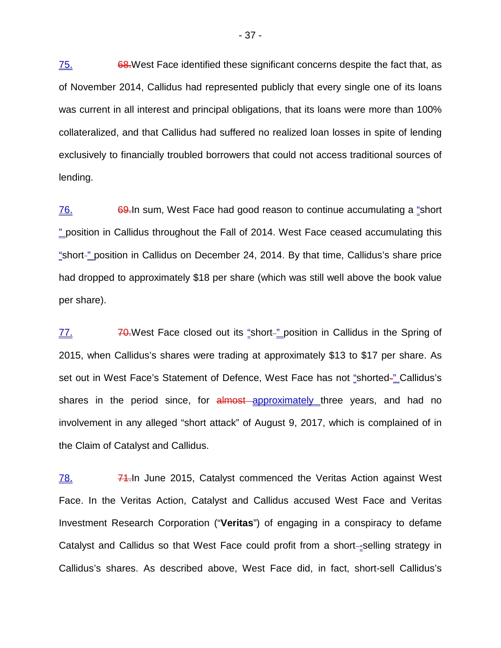75. 68.West Face identified these significant concerns despite the fact that, as of November 2014, Callidus had represented publicly that every single one of its loans was current in all interest and principal obligations, that its loans were more than 100% collateralized, and that Callidus had suffered no realized loan losses in spite of lending exclusively to financially troubled borrowers that could not access traditional sources of lending.

76. 69.In sum, West Face had good reason to continue accumulating a "short" " position in Callidus throughout the Fall of 2014. West Face ceased accumulating this "short-" position in Callidus on December 24, 2014. By that time, Callidus's share price had dropped to approximately \$18 per share (which was still well above the book value per share).

77. **70.** 70. West Face closed out its "short-" position in Callidus in the Spring of 2015, when Callidus's shares were trading at approximately \$13 to \$17 per share. As set out in West Face's Statement of Defence, West Face has not "shorted-" Callidus's shares in the period since, for almost approximately three years, and had no involvement in any alleged "short attack" of August 9, 2017, which is complained of in the Claim of Catalyst and Callidus.

78. **74.**In June 2015, Catalyst commenced the Veritas Action against West Face. In the Veritas Action, Catalyst and Callidus accused West Face and Veritas Investment Research Corporation ("**Veritas**") of engaging in a conspiracy to defame Catalyst and Callidus so that West Face could profit from a short-selling strategy in Callidus's shares. As described above, West Face did, in fact, short-sell Callidus's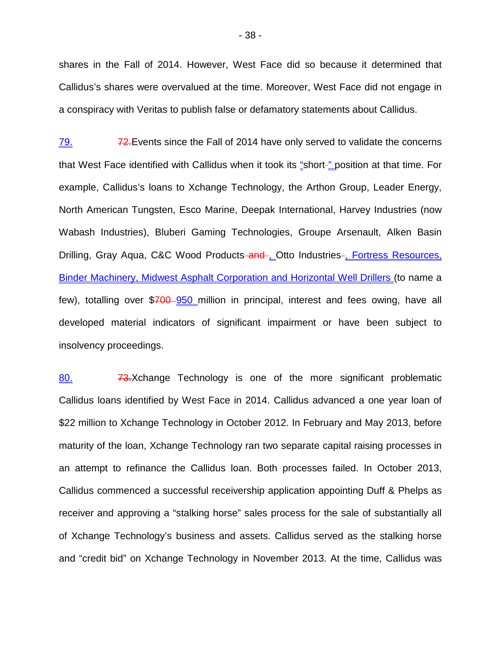shares in the Fall of 2014. However, West Face did so because it determined that Callidus's shares were overvalued at the time. Moreover, West Face did not engage in a conspiracy with Veritas to publish false or defamatory statements about Callidus.

79. **72.** Events since the Fall of 2014 have only served to validate the concerns that West Face identified with Callidus when it took its "short-" position at that time. For example, Callidus's loans to Xchange Technology, the Arthon Group, Leader Energy, North American Tungsten, Esco Marine, Deepak International, Harvey Industries (now Wabash Industries), Bluberi Gaming Technologies, Groupe Arsenault, Alken Basin Drilling, Gray Aqua, C&C Wood Products-and , Otto Industries-, Fortress Resources, Binder Machinery, Midwest Asphalt Corporation and Horizontal Well Drillers (to name a few), totalling over \$700–950 million in principal, interest and fees owing, have all developed material indicators of significant impairment or have been subject to insolvency proceedings.

80. **73.Xchange Technology is one of the more significant problematic** Callidus loans identified by West Face in 2014. Callidus advanced a one year loan of \$22 million to Xchange Technology in October 2012. In February and May 2013, before maturity of the loan, Xchange Technology ran two separate capital raising processes in an attempt to refinance the Callidus loan. Both processes failed. In October 2013, Callidus commenced a successful receivership application appointing Duff & Phelps as receiver and approving a "stalking horse" sales process for the sale of substantially all of Xchange Technology's business and assets. Callidus served as the stalking horse and "credit bid" on Xchange Technology in November 2013. At the time, Callidus was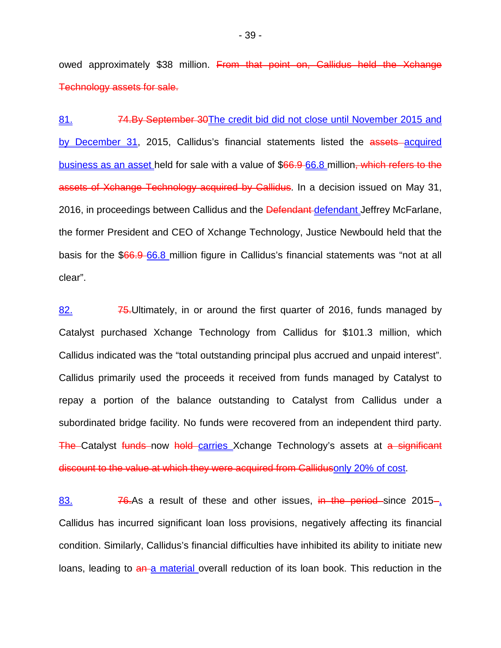owed approximately \$38 million. From that point on, Callidus held the Xchange Technology assets for sale.

81. **74.By September 30The credit bid did not close until November 2015 and** by December 31, 2015, Callidus's financial statements listed the assets acquired business as an asset held for sale with a value of \$66.9-66.8 million, which refers to the assets of Xchange Technology acquired by Callidus. In a decision issued on May 31, 2016, in proceedings between Callidus and the Defendant defendant Jeffrey McFarlane, the former President and CEO of Xchange Technology, Justice Newbould held that the basis for the \$66.9-66.8 million figure in Callidus's financial statements was "not at all clear".

82. **75.** Ultimately, in or around the first quarter of 2016, funds managed by Catalyst purchased Xchange Technology from Callidus for \$101.3 million, which Callidus indicated was the "total outstanding principal plus accrued and unpaid interest". Callidus primarily used the proceeds it received from funds managed by Catalyst to repay a portion of the balance outstanding to Catalyst from Callidus under a subordinated bridge facility. No funds were recovered from an independent third party. The Catalyst funds now hold carries Xchange Technology's assets at a significant discount to the value at which they were acquired from Callidusonly 20% of cost.

 $83.$   $76.$ As a result of these and other issues, in the period since 2015 $-$ Callidus has incurred significant loan loss provisions, negatively affecting its financial condition. Similarly, Callidus's financial difficulties have inhibited its ability to initiate new loans, leading to an a material overall reduction of its loan book. This reduction in the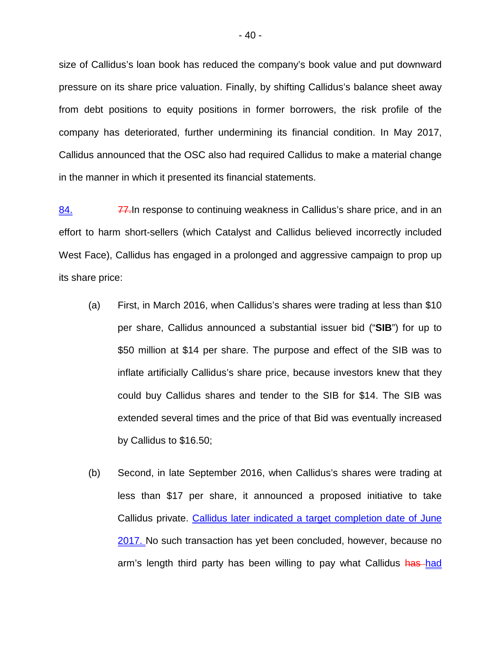size of Callidus's loan book has reduced the company's book value and put downward pressure on its share price valuation. Finally, by shifting Callidus's balance sheet away from debt positions to equity positions in former borrowers, the risk profile of the company has deteriorated, further undermining its financial condition. In May 2017, Callidus announced that the OSC also had required Callidus to make a material change in the manner in which it presented its financial statements.

84. **77.** The response to continuing weakness in Callidus's share price, and in an effort to harm short-sellers (which Catalyst and Callidus believed incorrectly included West Face), Callidus has engaged in a prolonged and aggressive campaign to prop up its share price:

- (a) First, in March 2016, when Callidus's shares were trading at less than \$10 per share, Callidus announced a substantial issuer bid ("**SIB**") for up to \$50 million at \$14 per share. The purpose and effect of the SIB was to inflate artificially Callidus's share price, because investors knew that they could buy Callidus shares and tender to the SIB for \$14. The SIB was extended several times and the price of that Bid was eventually increased by Callidus to \$16.50;
- (b) Second, in late September 2016, when Callidus's shares were trading at less than \$17 per share, it announced a proposed initiative to take Callidus private. Callidus later indicated a target completion date of June 2017. No such transaction has yet been concluded, however, because no arm's length third party has been willing to pay what Callidus has had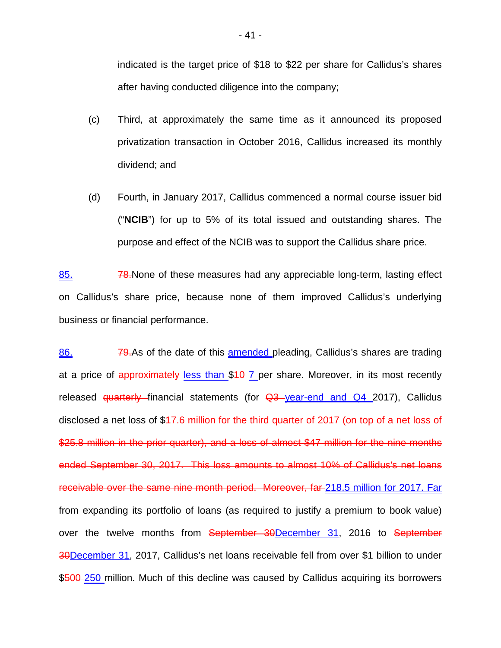indicated is the target price of \$18 to \$22 per share for Callidus's shares after having conducted diligence into the company;

- (c) Third, at approximately the same time as it announced its proposed privatization transaction in October 2016, Callidus increased its monthly dividend; and
- (d) Fourth, in January 2017, Callidus commenced a normal course issuer bid ("**NCIB**") for up to 5% of its total issued and outstanding shares. The purpose and effect of the NCIB was to support the Callidus share price.

85. **78.**None of these measures had any appreciable long-term, lasting effect on Callidus's share price, because none of them improved Callidus's underlying business or financial performance.

86. **79.**As of the date of this amended pleading, Callidus's shares are trading at a price of approximately less than \$10-7 per share. Moreover, in its most recently released quarterly financial statements (for  $Q3$ -year-end and  $Q4$  2017), Callidus disclosed a net loss of \$17.6 million for the third quarter of 2017 (on top of a net loss of \$25.8 million in the prior quarter), and a loss of almost \$47 million for the nine months ended September 30, 2017. This loss amounts to almost 10% of Callidus's net loans receivable over the same nine month period. Moreover, far 218.5 million for 2017. Far from expanding its portfolio of loans (as required to justify a premium to book value) over the twelve months from September 30December 31, 2016 to September 30December 31, 2017, Callidus's net loans receivable fell from over \$1 billion to under \$500-250 million. Much of this decline was caused by Callidus acquiring its borrowers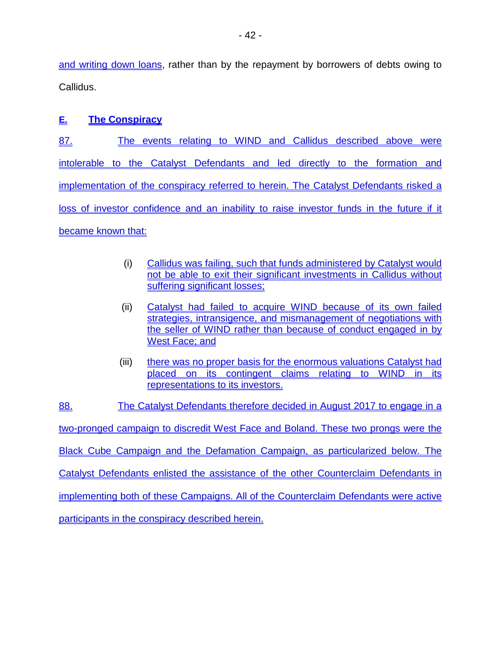and writing down loans, rather than by the repayment by borrowers of debts owing to Callidus.

# **E. The Conspiracy**

87. The events relating to WIND and Callidus described above were intolerable to the Catalyst Defendants and led directly to the formation and implementation of the conspiracy referred to herein. The Catalyst Defendants risked a loss of investor confidence and an inability to raise investor funds in the future if it became known that:

- (i) Callidus was failing, such that funds administered by Catalyst would not be able to exit their significant investments in Callidus without suffering significant losses;
- (ii) Catalyst had failed to acquire WIND because of its own failed strategies, intransigence, and mismanagement of negotiations with the seller of WIND rather than because of conduct engaged in by West Face; and
- (iii) there was no proper basis for the enormous valuations Catalyst had placed on its contingent claims relating to WIND in its representations to its investors.

88. The Catalyst Defendants therefore decided in August 2017 to engage in a two-pronged campaign to discredit West Face and Boland. These two prongs were the Black Cube Campaign and the Defamation Campaign, as particularized below. The Catalyst Defendants enlisted the assistance of the other Counterclaim Defendants in implementing both of these Campaigns. All of the Counterclaim Defendants were active participants in the conspiracy described herein.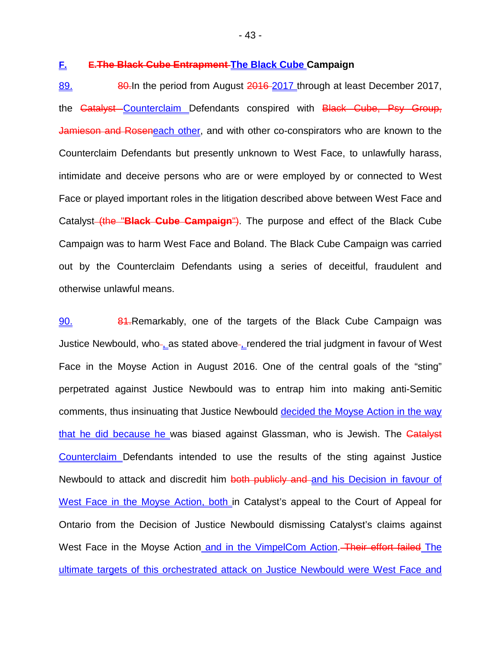#### **F. E.The Black Cube Entrapment The Black Cube Campaign**

89. 80. 80. But the period from August 2016-2017 through at least December 2017, the Catalyst Counterclaim Defendants conspired with Black Cube, Psy Group, Jamieson and Roseneach other, and with other co-conspirators who are known to the Counterclaim Defendants but presently unknown to West Face, to unlawfully harass, intimidate and deceive persons who are or were employed by or connected to West Face or played important roles in the litigation described above between West Face and Catalyst (the "**Black Cube Campaign**"). The purpose and effect of the Black Cube Campaign was to harm West Face and Boland. The Black Cube Campaign was carried out by the Counterclaim Defendants using a series of deceitful, fraudulent and otherwise unlawful means.

90. **81. Bet Algeber** 84. Remarkably, one of the targets of the Black Cube Campaign was Justice Newbould, who-as stated above-arendered the trial judgment in favour of West Face in the Moyse Action in August 2016. One of the central goals of the "sting" perpetrated against Justice Newbould was to entrap him into making anti-Semitic comments, thus insinuating that Justice Newbould decided the Moyse Action in the way that he did because he was biased against Glassman, who is Jewish. The Catalyst Counterclaim Defendants intended to use the results of the sting against Justice Newbould to attack and discredit him both publicly and and his Decision in favour of West Face in the Moyse Action, both in Catalyst's appeal to the Court of Appeal for Ontario from the Decision of Justice Newbould dismissing Catalyst's claims against West Face in the Moyse Action and in the VimpelCom Action. Their effort failed The ultimate targets of this orchestrated attack on Justice Newbould were West Face and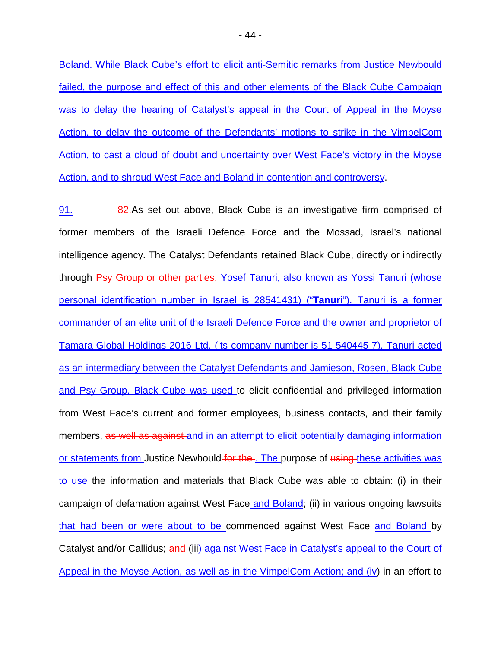Boland. While Black Cube's effort to elicit anti-Semitic remarks from Justice Newbould failed, the purpose and effect of this and other elements of the Black Cube Campaign was to delay the hearing of Catalyst's appeal in the Court of Appeal in the Moyse Action, to delay the outcome of the Defendants' motions to strike in the VimpelCom Action, to cast a cloud of doubt and uncertainty over West Face's victory in the Moyse Action, and to shroud West Face and Boland in contention and controversy.

91. 82.As set out above, Black Cube is an investigative firm comprised of former members of the Israeli Defence Force and the Mossad, Israel's national intelligence agency. The Catalyst Defendants retained Black Cube, directly or indirectly through Psy Group or other parties, Yosef Tanuri, also known as Yossi Tanuri (whose personal identification number in Israel is 28541431) ("**Tanuri**"). Tanuri is a former commander of an elite unit of the Israeli Defence Force and the owner and proprietor of Tamara Global Holdings 2016 Ltd. (its company number is 51-540445-7). Tanuri acted as an intermediary between the Catalyst Defendants and Jamieson, Rosen, Black Cube and Psy Group. Black Cube was used to elicit confidential and privileged information from West Face's current and former employees, business contacts, and their family members, as well as against and in an attempt to elicit potentially damaging information or statements from Justice Newbould for the . The purpose of using these activities was to use the information and materials that Black Cube was able to obtain: (i) in their campaign of defamation against West Face and Boland; (ii) in various ongoing lawsuits that had been or were about to be commenced against West Face and Boland by Catalyst and/or Callidus; and (iii) against West Face in Catalyst's appeal to the Court of Appeal in the Moyse Action, as well as in the VimpelCom Action; and (iv) in an effort to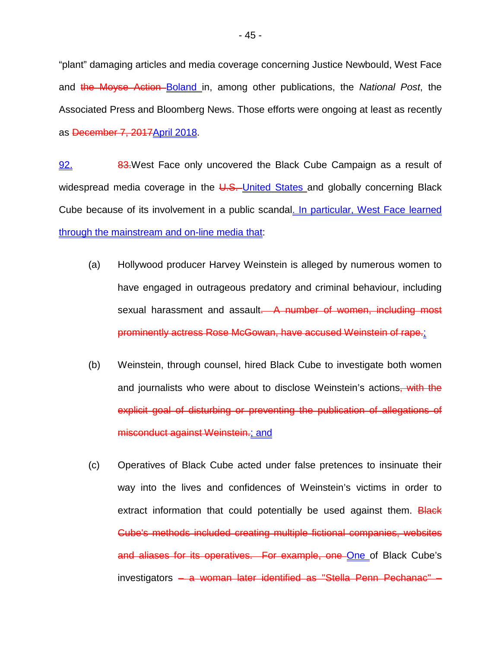"plant" damaging articles and media coverage concerning Justice Newbould, West Face and the Moyse Action Boland in, among other publications, the *National Post*, the Associated Press and Bloomberg News. Those efforts were ongoing at least as recently as December 7, 2017April 2018.

92. **83. West Face only uncovered the Black Cube Campaign as a result of** widespread media coverage in the  $U.S.$  United States and globally concerning Black Cube because of its involvement in a public scandal. In particular, West Face learned through the mainstream and on-line media that:

- (a) Hollywood producer Harvey Weinstein is alleged by numerous women to have engaged in outrageous predatory and criminal behaviour, including sexual harassment and assault. A number of women, including most prominently actress Rose McGowan, have accused Weinstein of rape.;
- (b) Weinstein, through counsel, hired Black Cube to investigate both women and journalists who were about to disclose Weinstein's actions, with the explicit goal of disturbing or preventing the publication of allegations of misconduct against Weinstein.; and
- (c) Operatives of Black Cube acted under false pretences to insinuate their way into the lives and confidences of Weinstein's victims in order to extract information that could potentially be used against them. Black Cube's methods included creating multiple fictional companies, websites and aliases for its operatives. For example, one One of Black Cube's investigators – a woman later identified as "Stella Penn Pechanac" –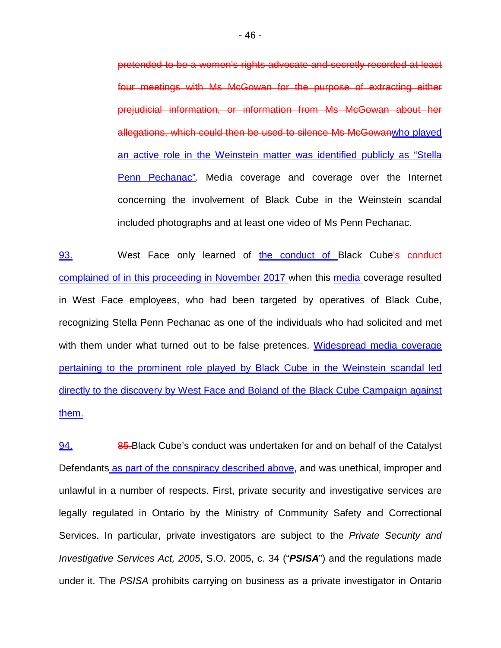pretended to be a women's-rights advocate and secretly recorded at least four meetings with Ms McGowan for the purpose of extracting either prejudicial information, or information from Ms McGowan about her allegations, which could then be used to silence Ms McGowanwho played an active role in the Weinstein matter was identified publicly as "Stella **Penn Pechanac**". Media coverage and coverage over the Internet concerning the involvement of Black Cube in the Weinstein scandal included photographs and at least one video of Ms Penn Pechanac.

93. West Face only learned of the conduct of Black Cube's conduct complained of in this proceeding in November 2017 when this media coverage resulted in West Face employees, who had been targeted by operatives of Black Cube, recognizing Stella Penn Pechanac as one of the individuals who had solicited and met with them under what turned out to be false pretences. Widespread media coverage pertaining to the prominent role played by Black Cube in the Weinstein scandal led directly to the discovery by West Face and Boland of the Black Cube Campaign against them.

94. 85-Black Cube's conduct was undertaken for and on behalf of the Catalyst Defendants as part of the conspiracy described above, and was unethical, improper and unlawful in a number of respects. First, private security and investigative services are legally regulated in Ontario by the Ministry of Community Safety and Correctional Services. In particular, private investigators are subject to the *Private Security and Investigative Services Act, 2005*, S.O. 2005, c. 34 ("*PSISA*") and the regulations made under it. The *PSISA* prohibits carrying on business as a private investigator in Ontario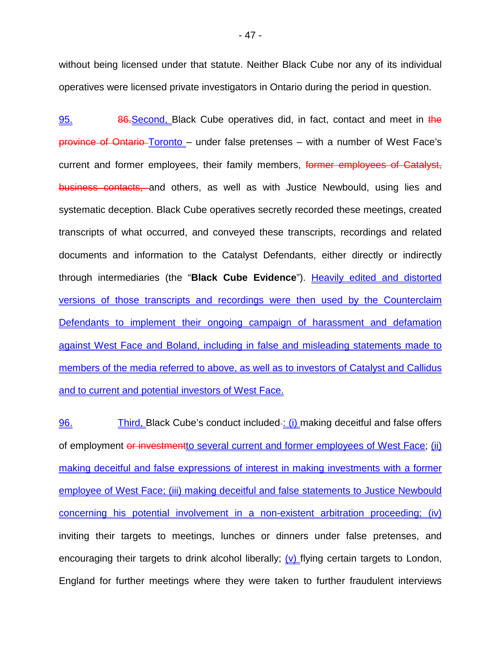without being licensed under that statute. Neither Black Cube nor any of its individual operatives were licensed private investigators in Ontario during the period in question.

95. 86.Second, Black Cube operatives did, in fact, contact and meet in the province of Ontario Toronto – under false pretenses – with a number of West Face's current and former employees, their family members, former employees of Catalyst, business contacts, and others, as well as with Justice Newbould, using lies and systematic deception. Black Cube operatives secretly recorded these meetings, created transcripts of what occurred, and conveyed these transcripts, recordings and related documents and information to the Catalyst Defendants, either directly or indirectly through intermediaries (the "**Black Cube Evidence**"). Heavily edited and distorted versions of those transcripts and recordings were then used by the Counterclaim Defendants to implement their ongoing campaign of harassment and defamation against West Face and Boland, including in false and misleading statements made to members of the media referred to above, as well as to investors of Catalyst and Callidus and to current and potential investors of West Face.

96. Third, Black Cube's conduct included-: (i) making deceitful and false offers of employment or investmentto several current and former employees of West Face; (ii) making deceitful and false expressions of interest in making investments with a former employee of West Face; (iii) making deceitful and false statements to Justice Newbould concerning his potential involvement in a non-existent arbitration proceeding; (iv) inviting their targets to meetings, lunches or dinners under false pretenses, and encouraging their targets to drink alcohol liberally;  $(v)$  flying certain targets to London, England for further meetings where they were taken to further fraudulent interviews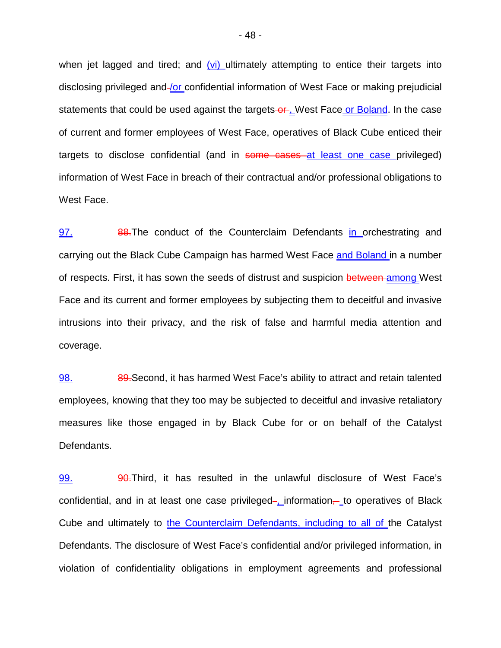when jet lagged and tired; and  $(vi)$  ultimately attempting to entice their targets into disclosing privileged and-/or confidential information of West Face or making prejudicial statements that could be used against the targets-or West Face or Boland. In the case of current and former employees of West Face, operatives of Black Cube enticed their targets to disclose confidential (and in some cases at least one case privileged) information of West Face in breach of their contractual and/or professional obligations to West Face.

97. 88.The conduct of the Counterclaim Defendants in orchestrating and carrying out the Black Cube Campaign has harmed West Face and Boland in a number of respects. First, it has sown the seeds of distrust and suspicion between among West Face and its current and former employees by subjecting them to deceitful and invasive intrusions into their privacy, and the risk of false and harmful media attention and coverage.

98. **89.**Second, it has harmed West Face's ability to attract and retain talented employees, knowing that they too may be subjected to deceitful and invasive retaliatory measures like those engaged in by Black Cube for or on behalf of the Catalyst Defendants.

99. 90.Third, it has resulted in the unlawful disclosure of West Face's confidential, and in at least one case privileged-information, to operatives of Black Cube and ultimately to the Counterclaim Defendants, including to all of the Catalyst Defendants. The disclosure of West Face's confidential and/or privileged information, in violation of confidentiality obligations in employment agreements and professional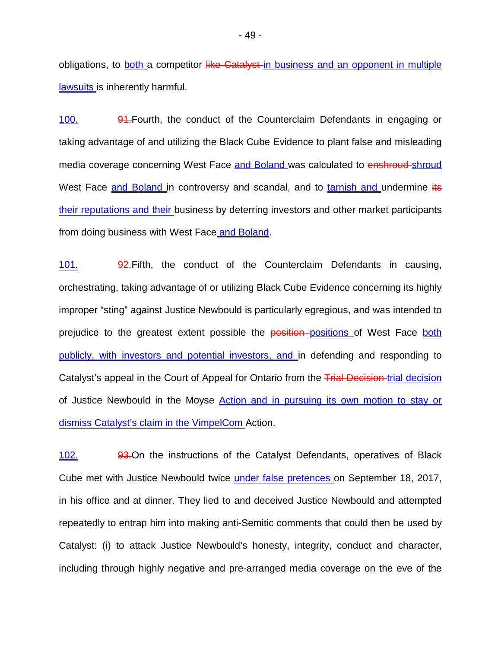obligations, to **both** a competitor like Catalyst in business and an opponent in multiple lawsuits is inherently harmful.

100. 94. Fourth, the conduct of the Counterclaim Defendants in engaging or taking advantage of and utilizing the Black Cube Evidence to plant false and misleading media coverage concerning West Face and Boland was calculated to enshroud-shroud West Face and Boland in controversy and scandal, and to tarnish and undermine its their reputations and their business by deterring investors and other market participants from doing business with West Face and Boland.

101. 92.Fifth, the conduct of the Counterclaim Defendants in causing, orchestrating, taking advantage of or utilizing Black Cube Evidence concerning its highly improper "sting" against Justice Newbould is particularly egregious, and was intended to prejudice to the greatest extent possible the position-positions of West Face both publicly, with investors and potential investors, and in defending and responding to Catalyst's appeal in the Court of Appeal for Ontario from the Trial Decision-trial decision of Justice Newbould in the Moyse Action and in pursuing its own motion to stay or dismiss Catalyst's claim in the VimpelCom Action.

102. 93.On the instructions of the Catalyst Defendants, operatives of Black Cube met with Justice Newbould twice under false pretences on September 18, 2017, in his office and at dinner. They lied to and deceived Justice Newbould and attempted repeatedly to entrap him into making anti-Semitic comments that could then be used by Catalyst: (i) to attack Justice Newbould's honesty, integrity, conduct and character, including through highly negative and pre-arranged media coverage on the eve of the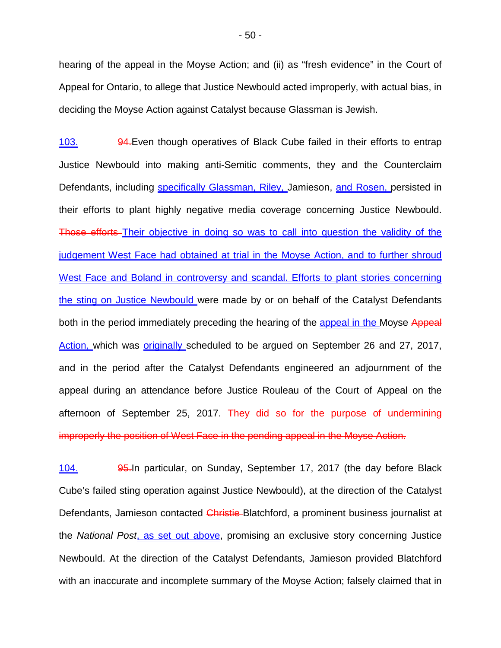hearing of the appeal in the Moyse Action; and (ii) as "fresh evidence" in the Court of Appeal for Ontario, to allege that Justice Newbould acted improperly, with actual bias, in deciding the Moyse Action against Catalyst because Glassman is Jewish.

103. 94.Even though operatives of Black Cube failed in their efforts to entrap Justice Newbould into making anti-Semitic comments, they and the Counterclaim Defendants, including specifically Glassman, Riley, Jamieson, and Rosen, persisted in their efforts to plant highly negative media coverage concerning Justice Newbould. Those efforts Their objective in doing so was to call into question the validity of the judgement West Face had obtained at trial in the Moyse Action, and to further shroud West Face and Boland in controversy and scandal. Efforts to plant stories concerning the sting on Justice Newbould were made by or on behalf of the Catalyst Defendants both in the period immediately preceding the hearing of the appeal in the Moyse Appeal Action, which was *originally* scheduled to be argued on September 26 and 27, 2017, and in the period after the Catalyst Defendants engineered an adjournment of the appeal during an attendance before Justice Rouleau of the Court of Appeal on the afternoon of September 25, 2017. They did so for the purpose of undermining improperly the position of West Face in the pending appeal in the Moyse Action.

104. 95. In particular, on Sunday, September 17, 2017 (the day before Black Cube's failed sting operation against Justice Newbould), at the direction of the Catalyst Defendants, Jamieson contacted Christie-Blatchford, a prominent business journalist at the *National Post*, as set out above, promising an exclusive story concerning Justice Newbould. At the direction of the Catalyst Defendants, Jamieson provided Blatchford with an inaccurate and incomplete summary of the Moyse Action; falsely claimed that in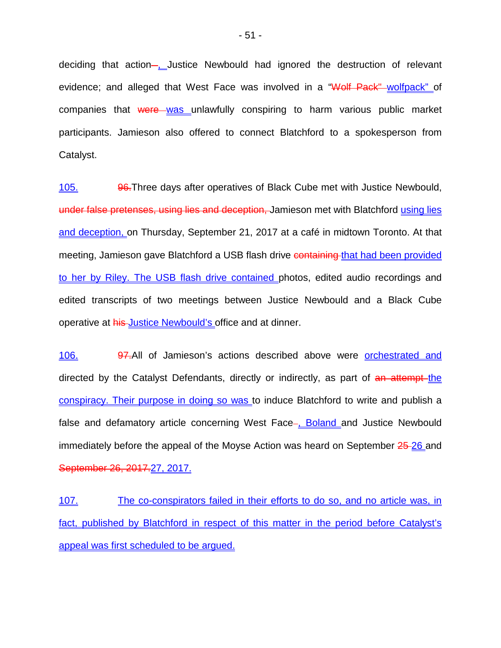deciding that action
ustice Newbould had ignored the destruction of relevant evidence; and alleged that West Face was involved in a "Wolf Pack" wolfpack" of companies that were was unlawfully conspiring to harm various public market participants. Jamieson also offered to connect Blatchford to a spokesperson from Catalyst.

105. 96.Three days after operatives of Black Cube met with Justice Newbould, under false pretenses, using lies and deception, Jamieson met with Blatchford using lies and deception, on Thursday, September 21, 2017 at a café in midtown Toronto. At that meeting, Jamieson gave Blatchford a USB flash drive containing that had been provided to her by Riley. The USB flash drive contained photos, edited audio recordings and edited transcripts of two meetings between Justice Newbould and a Black Cube operative at his Justice Newbould's office and at dinner.

106. 97.All of Jamieson's actions described above were **orchestrated and** directed by the Catalyst Defendants, directly or indirectly, as part of an attempt the conspiracy. Their purpose in doing so was to induce Blatchford to write and publish a false and defamatory article concerning West Face-, Boland and Justice Newbould immediately before the appeal of the Moyse Action was heard on September 25-26 and September 26, 2017.27, 2017.

107. The co-conspirators failed in their efforts to do so, and no article was, in fact, published by Blatchford in respect of this matter in the period before Catalyst's appeal was first scheduled to be argued.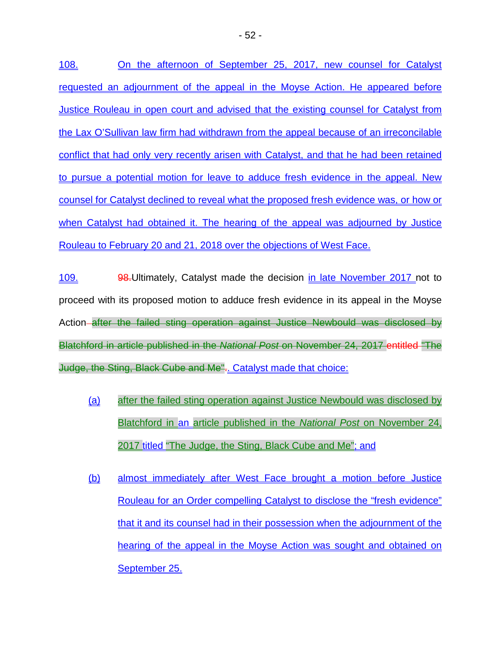108. On the afternoon of September 25, 2017, new counsel for Catalyst requested an adjournment of the appeal in the Moyse Action. He appeared before Justice Rouleau in open court and advised that the existing counsel for Catalyst from the Lax O'Sullivan law firm had withdrawn from the appeal because of an irreconcilable conflict that had only very recently arisen with Catalyst, and that he had been retained to pursue a potential motion for leave to adduce fresh evidence in the appeal. New counsel for Catalyst declined to reveal what the proposed fresh evidence was, or how or when Catalyst had obtained it. The hearing of the appeal was adjourned by Justice Rouleau to February 20 and 21, 2018 over the objections of West Face.

109. 98. Ultimately, Catalyst made the decision in late November 2017 not to proceed with its proposed motion to adduce fresh evidence in its appeal in the Moyse Action after the failed sting operation against Justice Newbould was disclosed by Blatchford in article published in the *National Post* on November 24, 2017 entitled "The Judge, the Sting, Black Cube and Me".. Catalyst made that choice:

- (a) after the failed sting operation against Justice Newbould was disclosed by Blatchford in an article published in the *National Post* on November 24, 2017 titled "The Judge, the Sting, Black Cube and Me"; and
- (b) almost immediately after West Face brought a motion before Justice Rouleau for an Order compelling Catalyst to disclose the "fresh evidence" that it and its counsel had in their possession when the adjournment of the hearing of the appeal in the Moyse Action was sought and obtained on September 25.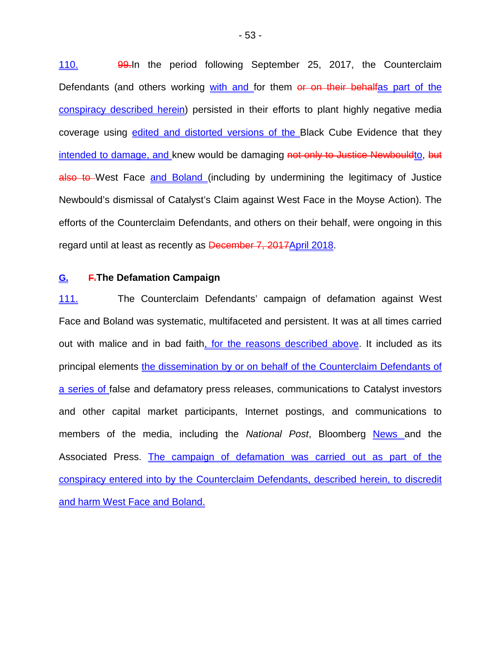110. 99.In the period following September 25, 2017, the Counterclaim Defendants (and others working with and for them or on their behalfas part of the conspiracy described herein) persisted in their efforts to plant highly negative media coverage using edited and distorted versions of the Black Cube Evidence that they intended to damage, and knew would be damaging not only to Justice Newbouldto, but also to West Face and Boland (including by undermining the legitimacy of Justice Newbould's dismissal of Catalyst's Claim against West Face in the Moyse Action). The efforts of the Counterclaim Defendants, and others on their behalf, were ongoing in this regard until at least as recently as December 7, 2017April 2018.

#### **G. F.The Defamation Campaign**

111. The Counterclaim Defendants' campaign of defamation against West Face and Boland was systematic, multifaceted and persistent. It was at all times carried out with malice and in bad faith, for the reasons described above. It included as its principal elements the dissemination by or on behalf of the Counterclaim Defendants of a series of false and defamatory press releases, communications to Catalyst investors and other capital market participants, Internet postings, and communications to members of the media, including the *National Post*, Bloomberg News and the Associated Press. The campaign of defamation was carried out as part of the conspiracy entered into by the Counterclaim Defendants, described herein, to discredit and harm West Face and Boland.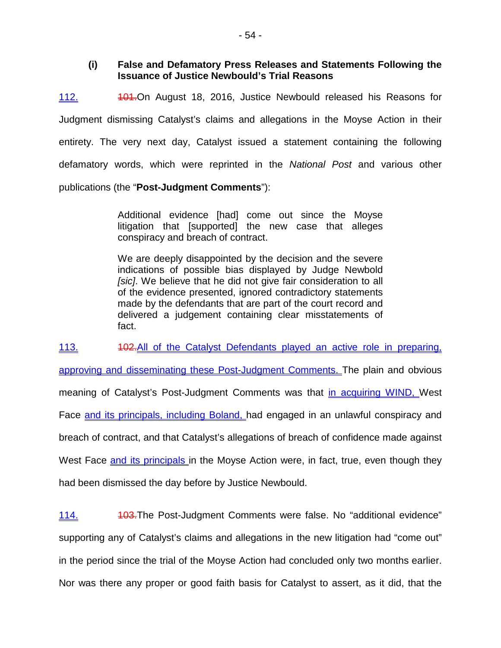#### **(i) False and Defamatory Press Releases and Statements Following the Issuance of Justice Newbould's Trial Reasons**

112. 101.On August 18, 2016, Justice Newbould released his Reasons for Judgment dismissing Catalyst's claims and allegations in the Moyse Action in their entirety. The very next day, Catalyst issued a statement containing the following defamatory words, which were reprinted in the *National Post* and various other publications (the "**Post-Judgment Comments**"):

> Additional evidence [had] come out since the Moyse litigation that [supported] the new case that alleges conspiracy and breach of contract.

> We are deeply disappointed by the decision and the severe indications of possible bias displayed by Judge Newbold *[sic]*. We believe that he did not give fair consideration to all of the evidence presented, ignored contradictory statements made by the defendants that are part of the court record and delivered a judgement containing clear misstatements of fact.

113. 102.All of the Catalyst Defendants played an active role in preparing,

approving and disseminating these Post-Judgment Comments. The plain and obvious meaning of Catalyst's Post-Judgment Comments was that in acquiring WIND, West Face and its principals, including Boland, had engaged in an unlawful conspiracy and breach of contract, and that Catalyst's allegations of breach of confidence made against West Face and its principals in the Moyse Action were, in fact, true, even though they had been dismissed the day before by Justice Newbould.

114. **103.** 103. The Post-Judgment Comments were false. No "additional evidence" supporting any of Catalyst's claims and allegations in the new litigation had "come out" in the period since the trial of the Moyse Action had concluded only two months earlier. Nor was there any proper or good faith basis for Catalyst to assert, as it did, that the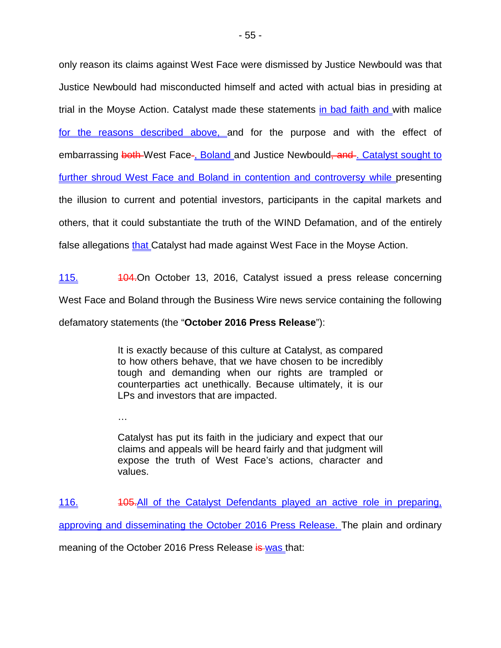only reason its claims against West Face were dismissed by Justice Newbould was that Justice Newbould had misconducted himself and acted with actual bias in presiding at trial in the Moyse Action. Catalyst made these statements in bad faith and with malice for the reasons described above, and for the purpose and with the effect of embarrassing both West Face-, Boland and Justice Newbould, and . Catalyst sought to further shroud West Face and Boland in contention and controversy while presenting the illusion to current and potential investors, participants in the capital markets and others, that it could substantiate the truth of the WIND Defamation, and of the entirely false allegations that Catalyst had made against West Face in the Moyse Action.

115. 104.On October 13, 2016, Catalyst issued a press release concerning West Face and Boland through the Business Wire news service containing the following defamatory statements (the "**October 2016 Press Release**"):

> It is exactly because of this culture at Catalyst, as compared to how others behave, that we have chosen to be incredibly tough and demanding when our rights are trampled or counterparties act unethically. Because ultimately, it is our LPs and investors that are impacted.

> Catalyst has put its faith in the judiciary and expect that our claims and appeals will be heard fairly and that judgment will expose the truth of West Face's actions, character and values.

116. 105.All of the Catalyst Defendants played an active role in preparing, approving and disseminating the October 2016 Press Release. The plain and ordinary

meaning of the October 2016 Press Release is was that:

…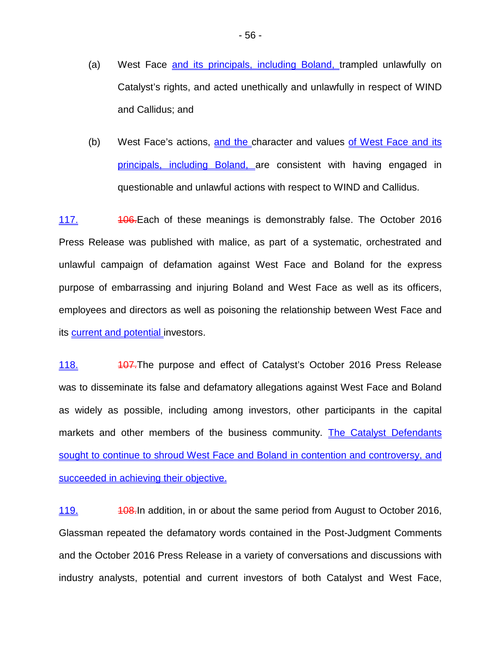- (a) West Face and its principals, including Boland, trampled unlawfully on Catalyst's rights, and acted unethically and unlawfully in respect of WIND and Callidus; and
- (b) West Face's actions, and the character and values of West Face and its principals, including Boland, are consistent with having engaged in questionable and unlawful actions with respect to WIND and Callidus.

117. **106.Each of these meanings is demonstrably false. The October 2016** Press Release was published with malice, as part of a systematic, orchestrated and unlawful campaign of defamation against West Face and Boland for the express purpose of embarrassing and injuring Boland and West Face as well as its officers, employees and directors as well as poisoning the relationship between West Face and its **current and potential** investors.

118. 107.The purpose and effect of Catalyst's October 2016 Press Release was to disseminate its false and defamatory allegations against West Face and Boland as widely as possible, including among investors, other participants in the capital markets and other members of the business community. The Catalyst Defendants sought to continue to shroud West Face and Boland in contention and controversy, and succeeded in achieving their objective.

119. 108.In addition, in or about the same period from August to October 2016, Glassman repeated the defamatory words contained in the Post-Judgment Comments and the October 2016 Press Release in a variety of conversations and discussions with industry analysts, potential and current investors of both Catalyst and West Face,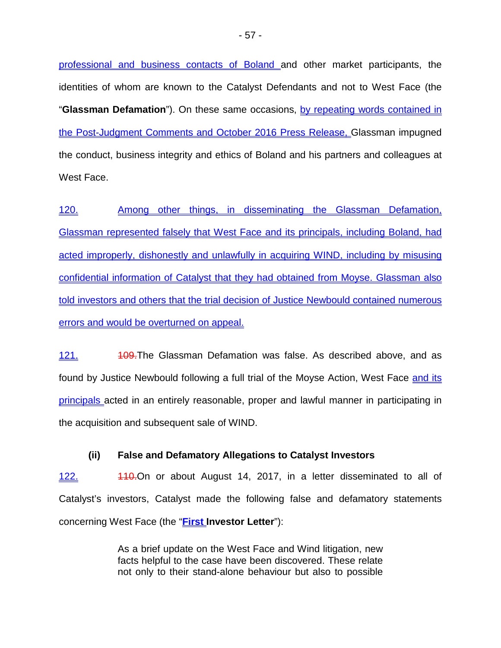professional and business contacts of Boland and other market participants, the identities of whom are known to the Catalyst Defendants and not to West Face (the "**Glassman Defamation**"). On these same occasions, by repeating words contained in the Post-Judgment Comments and October 2016 Press Release, Glassman impugned the conduct, business integrity and ethics of Boland and his partners and colleagues at West Face.

120. Among other things, in disseminating the Glassman Defamation, Glassman represented falsely that West Face and its principals, including Boland, had acted improperly, dishonestly and unlawfully in acquiring WIND, including by misusing confidential information of Catalyst that they had obtained from Moyse. Glassman also told investors and others that the trial decision of Justice Newbould contained numerous errors and would be overturned on appeal.

121. 109. The Glassman Defamation was false. As described above, and as found by Justice Newbould following a full trial of the Moyse Action, West Face and its principals acted in an entirely reasonable, proper and lawful manner in participating in the acquisition and subsequent sale of WIND.

## **(ii) False and Defamatory Allegations to Catalyst Investors**

122. 110.On or about August 14, 2017, in a letter disseminated to all of Catalyst's investors, Catalyst made the following false and defamatory statements concerning West Face (the "**First Investor Letter**"):

> As a brief update on the West Face and Wind litigation, new facts helpful to the case have been discovered. These relate not only to their stand-alone behaviour but also to possible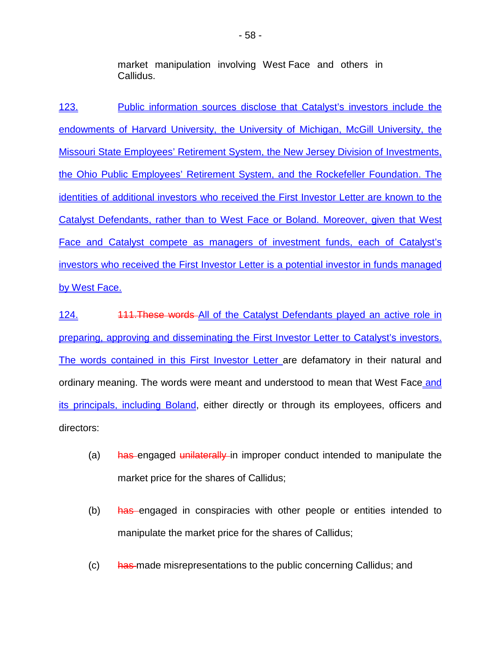market manipulation involving West Face and others in Callidus.

123. Public information sources disclose that Catalyst's investors include the endowments of Harvard University, the University of Michigan, McGill University, the Missouri State Employees' Retirement System, the New Jersey Division of Investments, the Ohio Public Employees' Retirement System, and the Rockefeller Foundation. The identities of additional investors who received the First Investor Letter are known to the Catalyst Defendants, rather than to West Face or Boland. Moreover, given that West Face and Catalyst compete as managers of investment funds, each of Catalyst's investors who received the First Investor Letter is a potential investor in funds managed by West Face.

124. 111. These words All of the Catalyst Defendants played an active role in preparing, approving and disseminating the First Investor Letter to Catalyst's investors. The words contained in this First Investor Letter are defamatory in their natural and ordinary meaning. The words were meant and understood to mean that West Face and its principals, including Boland, either directly or through its employees, officers and directors:

- (a) has engaged unilaterally in improper conduct intended to manipulate the market price for the shares of Callidus;
- (b) has engaged in conspiracies with other people or entities intended to manipulate the market price for the shares of Callidus;
- (c) has made misrepresentations to the public concerning Callidus; and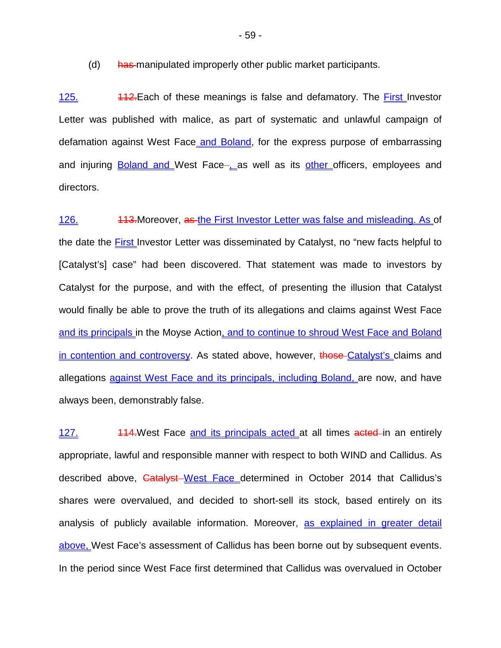(d) has manipulated improperly other public market participants.

125. 112. 112. Each of these meanings is false and defamatory. The First Investor Letter was published with malice, as part of systematic and unlawful campaign of defamation against West Face and Boland, for the express purpose of embarrassing and injuring **Boland and West Face-** as well as its other officers, employees and directors.

126. 113. Moreover, as the First Investor Letter was false and misleading. As of the date the **First** Investor Letter was disseminated by Catalyst, no "new facts helpful to [Catalyst's] case" had been discovered. That statement was made to investors by Catalyst for the purpose, and with the effect, of presenting the illusion that Catalyst would finally be able to prove the truth of its allegations and claims against West Face and its principals in the Moyse Action, and to continue to shroud West Face and Boland in contention and controversy. As stated above, however, those Catalyst's claims and allegations against West Face and its principals, including Boland, are now, and have always been, demonstrably false.

127. 114. West Face and its principals acted at all times acted in an entirely appropriate, lawful and responsible manner with respect to both WIND and Callidus. As described above, Catalyst West Face determined in October 2014 that Callidus's shares were overvalued, and decided to short-sell its stock, based entirely on its analysis of publicly available information. Moreover, as explained in greater detail above, West Face's assessment of Callidus has been borne out by subsequent events. In the period since West Face first determined that Callidus was overvalued in October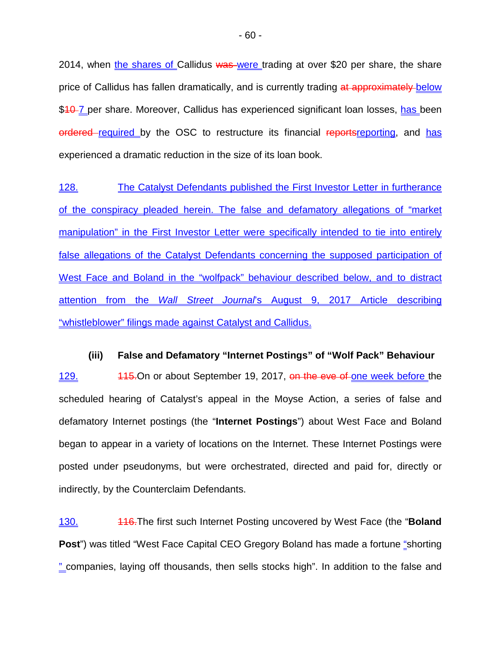2014, when the shares of Callidus was were trading at over \$20 per share, the share price of Callidus has fallen dramatically, and is currently trading at approximately below \$40-7 per share. Moreover, Callidus has experienced significant loan losses, has been ordered required by the OSC to restructure its financial reportsreporting, and has experienced a dramatic reduction in the size of its loan book.

128. The Catalyst Defendants published the First Investor Letter in furtherance of the conspiracy pleaded herein. The false and defamatory allegations of "market manipulation" in the First Investor Letter were specifically intended to tie into entirely false allegations of the Catalyst Defendants concerning the supposed participation of West Face and Boland in the "wolfpack" behaviour described below, and to distract attention from the *Wall Street Journal*'s August 9, 2017 Article describing "whistleblower" filings made against Catalyst and Callidus.

#### **(iii) False and Defamatory "Internet Postings" of "Wolf Pack" Behaviour**

129. 129. 115.On or about September 19, 2017, on the eve of one week before the scheduled hearing of Catalyst's appeal in the Moyse Action, a series of false and defamatory Internet postings (the "**Internet Postings**") about West Face and Boland began to appear in a variety of locations on the Internet. These Internet Postings were posted under pseudonyms, but were orchestrated, directed and paid for, directly or indirectly, by the Counterclaim Defendants.

130. 116.The first such Internet Posting uncovered by West Face (the "**Boland Post**") was titled "West Face Capital CEO Gregory Boland has made a fortune "shorting " companies, laying off thousands, then sells stocks high". In addition to the false and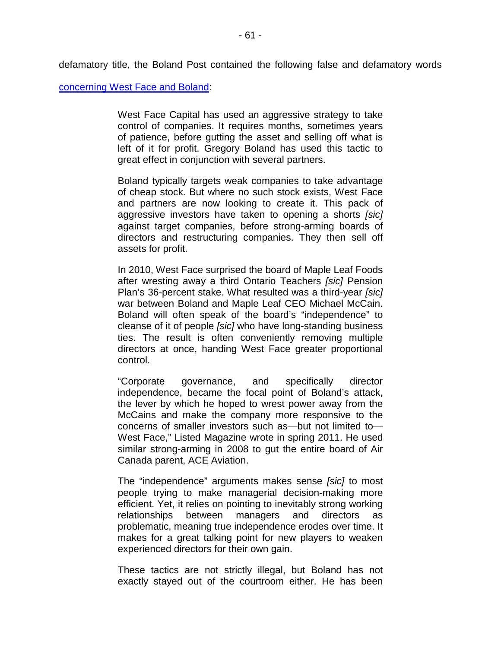defamatory title, the Boland Post contained the following false and defamatory words

#### concerning West Face and Boland:

West Face Capital has used an aggressive strategy to take control of companies. It requires months, sometimes years of patience, before gutting the asset and selling off what is left of it for profit. Gregory Boland has used this tactic to great effect in conjunction with several partners.

Boland typically targets weak companies to take advantage of cheap stock. But where no such stock exists, West Face and partners are now looking to create it. This pack of aggressive investors have taken to opening a shorts *[sic]* against target companies, before strong-arming boards of directors and restructuring companies. They then sell off assets for profit.

In 2010, West Face surprised the board of Maple Leaf Foods after wresting away a third Ontario Teachers *[sic]* Pension Plan's 36-percent stake. What resulted was a third-year *[sic]* war between Boland and Maple Leaf CEO Michael McCain. Boland will often speak of the board's "independence" to cleanse of it of people *[sic]* who have long-standing business ties. The result is often conveniently removing multiple directors at once, handing West Face greater proportional control.

"Corporate governance, and specifically director independence, became the focal point of Boland's attack, the lever by which he hoped to wrest power away from the McCains and make the company more responsive to the concerns of smaller investors such as—but not limited to— West Face," Listed Magazine wrote in spring 2011. He used similar strong-arming in 2008 to gut the entire board of Air Canada parent, ACE Aviation.

The "independence" arguments makes sense *[sic]* to most people trying to make managerial decision-making more efficient. Yet, it relies on pointing to inevitably strong working relationships between managers and directors as problematic, meaning true independence erodes over time. It makes for a great talking point for new players to weaken experienced directors for their own gain.

These tactics are not strictly illegal, but Boland has not exactly stayed out of the courtroom either. He has been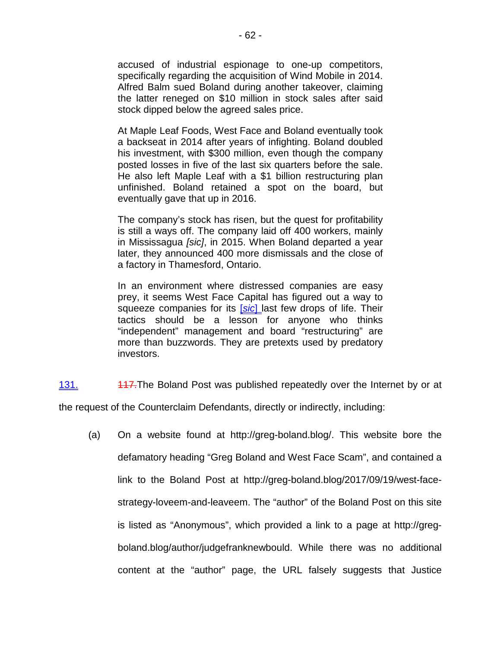accused of industrial espionage to one-up competitors, specifically regarding the acquisition of Wind Mobile in 2014. Alfred Balm sued Boland during another takeover, claiming the latter reneged on \$10 million in stock sales after said stock dipped below the agreed sales price.

At Maple Leaf Foods, West Face and Boland eventually took a backseat in 2014 after years of infighting. Boland doubled his investment, with \$300 million, even though the company posted losses in five of the last six quarters before the sale. He also left Maple Leaf with a \$1 billion restructuring plan unfinished. Boland retained a spot on the board, but eventually gave that up in 2016.

The company's stock has risen, but the quest for profitability is still a ways off. The company laid off 400 workers, mainly in Mississagua *[sic]*, in 2015. When Boland departed a year later, they announced 400 more dismissals and the close of a factory in Thamesford, Ontario.

In an environment where distressed companies are easy prey, it seems West Face Capital has figured out a way to squeeze companies for its [*sic*] last few drops of life. Their tactics should be a lesson for anyone who thinks "independent" management and board "restructuring" are more than buzzwords. They are pretexts used by predatory investors.

131. 117. 119. 117. The Boland Post was published repeatedly over the Internet by or at

the request of the Counterclaim Defendants, directly or indirectly, including:

(a) On a website found at http://greg-boland.blog/. This website bore the defamatory heading "Greg Boland and West Face Scam", and contained a link to the Boland Post at http://greg-boland.blog/2017/09/19/west-facestrategy-loveem-and-leaveem. The "author" of the Boland Post on this site is listed as "Anonymous", which provided a link to a page at http://gregboland.blog/author/judgefranknewbould. While there was no additional content at the "author" page, the URL falsely suggests that Justice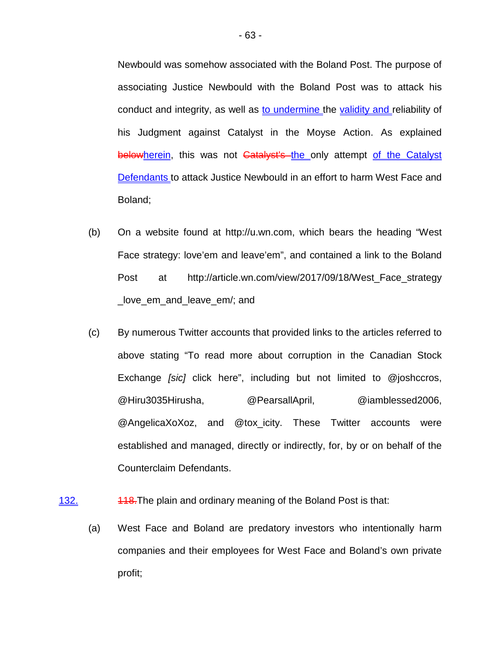Newbould was somehow associated with the Boland Post. The purpose of associating Justice Newbould with the Boland Post was to attack his conduct and integrity, as well as to undermine the validity and reliability of his Judgment against Catalyst in the Moyse Action. As explained belowherein, this was not Catalyst's the only attempt of the Catalyst Defendants to attack Justice Newbould in an effort to harm West Face and Boland;

- (b) On a website found at http://u.wn.com, which bears the heading "West Face strategy: love'em and leave'em", and contained a link to the Boland Post at http://article.wn.com/view/2017/09/18/West\_Face\_strategy \_love\_em\_and\_leave\_em/; and
- (c) By numerous Twitter accounts that provided links to the articles referred to above stating "To read more about corruption in the Canadian Stock Exchange *[sic]* click here", including but not limited to @joshccros, @Hiru3035Hirusha, @PearsallApril, @iamblessed2006, @AngelicaXoXoz, and @tox\_icity. These Twitter accounts were established and managed, directly or indirectly, for, by or on behalf of the Counterclaim Defendants.
- 132. 118.The plain and ordinary meaning of the Boland Post is that:
	- (a) West Face and Boland are predatory investors who intentionally harm companies and their employees for West Face and Boland's own private profit;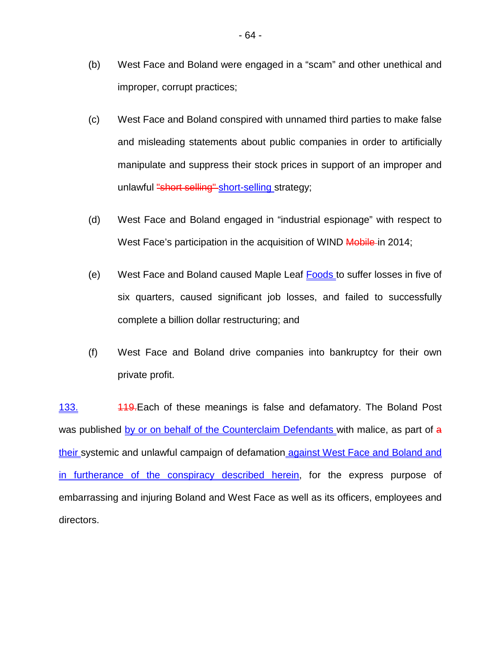- (b) West Face and Boland were engaged in a "scam" and other unethical and improper, corrupt practices;
- (c) West Face and Boland conspired with unnamed third parties to make false and misleading statements about public companies in order to artificially manipulate and suppress their stock prices in support of an improper and unlawful "short selling" short-selling strategy;
- (d) West Face and Boland engaged in "industrial espionage" with respect to West Face's participation in the acquisition of WIND Mobile in 2014;
- (e) West Face and Boland caused Maple Leaf Foods to suffer losses in five of six quarters, caused significant job losses, and failed to successfully complete a billion dollar restructuring; and
- (f) West Face and Boland drive companies into bankruptcy for their own private profit.

133. 119. 119. Each of these meanings is false and defamatory. The Boland Post was published by or on behalf of the Counterclaim Defendants with malice, as part of a their systemic and unlawful campaign of defamation against West Face and Boland and in furtherance of the conspiracy described herein, for the express purpose of embarrassing and injuring Boland and West Face as well as its officers, employees and directors.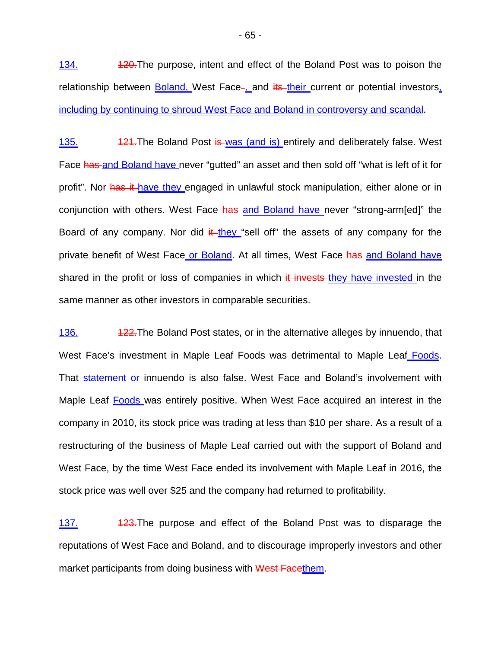134. 134. 120. The purpose, intent and effect of the Boland Post was to poison the relationship between **Boland**, West Face<sub>-</sub> and its their current or potential investors, including by continuing to shroud West Face and Boland in controversy and scandal.

135. 124. The Boland Post is was (and is) entirely and deliberately false. West Face has and Boland have never "gutted" an asset and then sold off "what is left of it for profit". Nor has it have they engaged in unlawful stock manipulation, either alone or in conjunction with others. West Face has and Boland have never "strong-arm[ed]" the Board of any company. Nor did  $\frac{it - \text{thev}}{i}$  sell off" the assets of any company for the private benefit of West Face or Boland. At all times, West Face has and Boland have shared in the profit or loss of companies in which it invests they have invested in the same manner as other investors in comparable securities.

136. 122. The Boland Post states, or in the alternative alleges by innuendo, that West Face's investment in Maple Leaf Foods was detrimental to Maple Leaf Foods. That statement or innuendo is also false. West Face and Boland's involvement with Maple Leaf **Foods** was entirely positive. When West Face acquired an interest in the company in 2010, its stock price was trading at less than \$10 per share. As a result of a restructuring of the business of Maple Leaf carried out with the support of Boland and West Face, by the time West Face ended its involvement with Maple Leaf in 2016, the stock price was well over \$25 and the company had returned to profitability.

137. 137. **123.**The purpose and effect of the Boland Post was to disparage the reputations of West Face and Boland, and to discourage improperly investors and other market participants from doing business with West Facethem.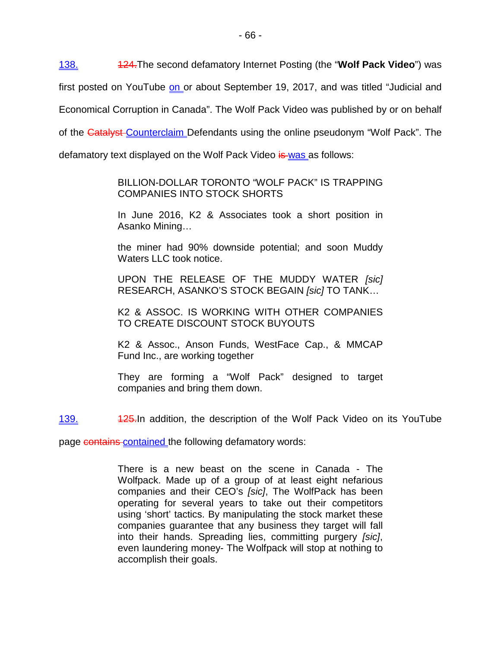138. 124.The second defamatory Internet Posting (the "**Wolf Pack Video**") was

first posted on YouTube on or about September 19, 2017, and was titled "Judicial and

Economical Corruption in Canada". The Wolf Pack Video was published by or on behalf

of the Catalyst Counterclaim Defendants using the online pseudonym "Wolf Pack". The

defamatory text displayed on the Wolf Pack Video is was as follows:

BILLION-DOLLAR TORONTO "WOLF PACK" IS TRAPPING COMPANIES INTO STOCK SHORTS

In June 2016, K2 & Associates took a short position in Asanko Mining…

the miner had 90% downside potential; and soon Muddy Waters LLC took notice.

UPON THE RELEASE OF THE MUDDY WATER *[sic]* RESEARCH, ASANKO'S STOCK BEGAIN *[sic]* TO TANK…

K2 & ASSOC. IS WORKING WITH OTHER COMPANIES TO CREATE DISCOUNT STOCK BUYOUTS

K2 & Assoc., Anson Funds, WestFace Cap., & MMCAP Fund Inc., are working together

They are forming a "Wolf Pack" designed to target companies and bring them down.

139. 125.In addition, the description of the Wolf Pack Video on its YouTube

page contains contained the following defamatory words:

There is a new beast on the scene in Canada - The Wolfpack. Made up of a group of at least eight nefarious companies and their CEO's *[sic]*, The WolfPack has been operating for several years to take out their competitors using 'short' tactics. By manipulating the stock market these companies guarantee that any business they target will fall into their hands. Spreading lies, committing purgery *[sic]*, even laundering money- The Wolfpack will stop at nothing to accomplish their goals.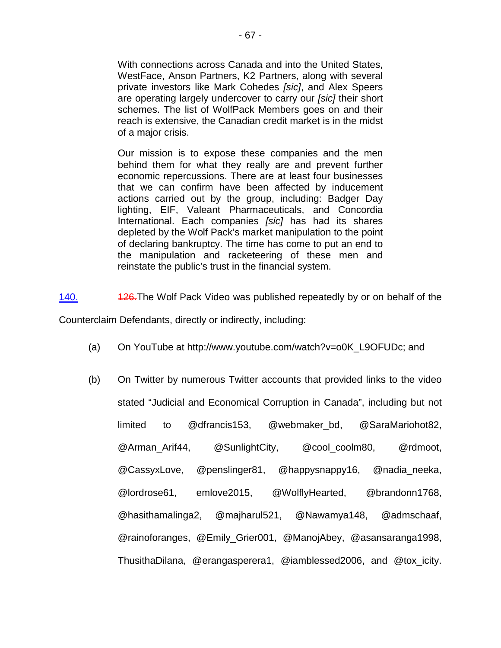With connections across Canada and into the United States, WestFace, Anson Partners, K2 Partners, along with several private investors like Mark Cohedes *[sic]*, and Alex Speers are operating largely undercover to carry our *[sic]* their short schemes. The list of WolfPack Members goes on and their reach is extensive, the Canadian credit market is in the midst of a major crisis.

Our mission is to expose these companies and the men behind them for what they really are and prevent further economic repercussions. There are at least four businesses that we can confirm have been affected by inducement actions carried out by the group, including: Badger Day lighting, EIF, Valeant Pharmaceuticals, and Concordia International. Each companies *[sic]* has had its shares depleted by the Wolf Pack's market manipulation to the point of declaring bankruptcy. The time has come to put an end to the manipulation and racketeering of these men and reinstate the public's trust in the financial system.

140. 126<sub>th</sub> The Wolf Pack Video was published repeatedly by or on behalf of the

Counterclaim Defendants, directly or indirectly, including:

- (a) On YouTube at http://www.youtube.com/watch?v=o0K\_L9OFUDc; and
- (b) On Twitter by numerous Twitter accounts that provided links to the video stated "Judicial and Economical Corruption in Canada", including but not limited to @dfrancis153, @webmaker\_bd, @SaraMariohot82, @Arman\_Arif44, @SunlightCity, @cool\_coolm80, @rdmoot, @CassyxLove, @penslinger81, @happysnappy16, @nadia\_neeka, @lordrose61, emlove2015, @WolflyHearted, @brandonn1768, @hasithamalinga2, @majharul521, @Nawamya148, @admschaaf, @rainoforanges, @Emily\_Grier001, @ManojAbey, @asansaranga1998, ThusithaDilana, @erangasperera1, @iamblessed2006, and @tox\_icity.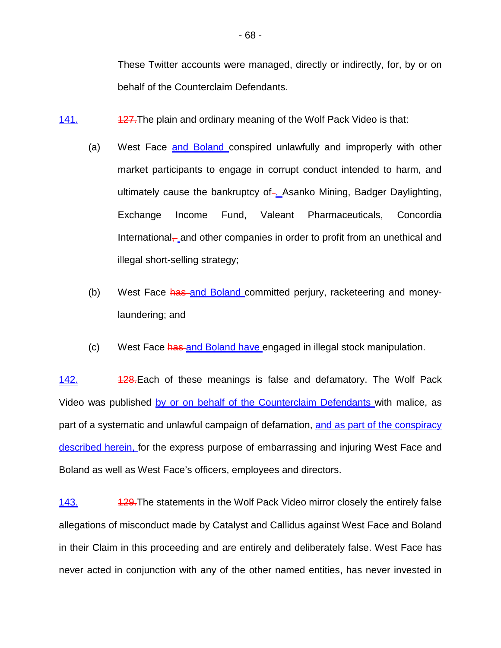These Twitter accounts were managed, directly or indirectly, for, by or on behalf of the Counterclaim Defendants.

- 141. **127.** 127. The plain and ordinary meaning of the Wolf Pack Video is that:
	- (a) West Face and Boland conspired unlawfully and improperly with other market participants to engage in corrupt conduct intended to harm, and ultimately cause the bankruptcy of-, Asanko Mining, Badger Daylighting, Exchange Income Fund, Valeant Pharmaceuticals, Concordia International<sub>,</sub> and other companies in order to profit from an unethical and illegal short-selling strategy;
	- (b) West Face has and Boland committed perjury, racketeering and moneylaundering; and
	- (c) West Face has and Boland have engaged in illegal stock manipulation.

142. 128.Each of these meanings is false and defamatory. The Wolf Pack Video was published by or on behalf of the Counterclaim Defendants with malice, as part of a systematic and unlawful campaign of defamation, and as part of the conspiracy described herein, for the express purpose of embarrassing and injuring West Face and Boland as well as West Face's officers, employees and directors.

143. 143. 129. The statements in the Wolf Pack Video mirror closely the entirely false allegations of misconduct made by Catalyst and Callidus against West Face and Boland in their Claim in this proceeding and are entirely and deliberately false. West Face has never acted in conjunction with any of the other named entities, has never invested in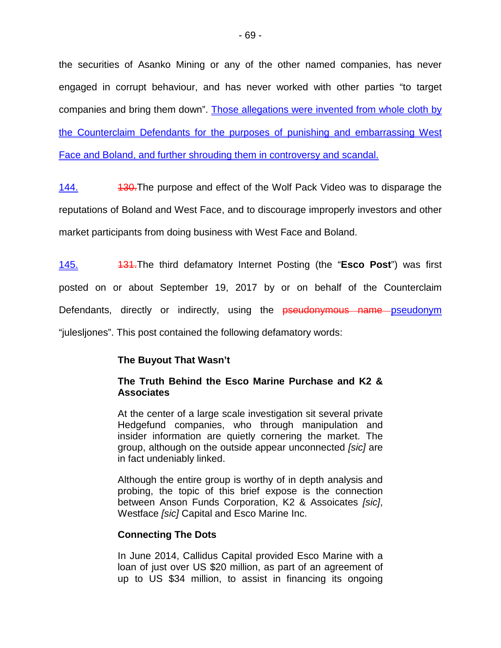the securities of Asanko Mining or any of the other named companies, has never engaged in corrupt behaviour, and has never worked with other parties "to target companies and bring them down". Those allegations were invented from whole cloth by the Counterclaim Defendants for the purposes of punishing and embarrassing West Face and Boland, and further shrouding them in controversy and scandal.

144. **130.**The purpose and effect of the Wolf Pack Video was to disparage the reputations of Boland and West Face, and to discourage improperly investors and other market participants from doing business with West Face and Boland.

145. 131.The third defamatory Internet Posting (the "**Esco Post**") was first posted on or about September 19, 2017 by or on behalf of the Counterclaim Defendants, directly or indirectly, using the **pseudonymous name** pseudonym "julesljones". This post contained the following defamatory words:

## **The Buyout That Wasn't**

## **The Truth Behind the Esco Marine Purchase and K2 & Associates**

At the center of a large scale investigation sit several private Hedgefund companies, who through manipulation and insider information are quietly cornering the market. The group, although on the outside appear unconnected *[sic]* are in fact undeniably linked.

Although the entire group is worthy of in depth analysis and probing, the topic of this brief expose is the connection between Anson Funds Corporation, K2 & Assoicates *[sic]*, Westface *[sic]* Capital and Esco Marine Inc.

## **Connecting The Dots**

In June 2014, Callidus Capital provided Esco Marine with a loan of just over US \$20 million, as part of an agreement of up to US \$34 million, to assist in financing its ongoing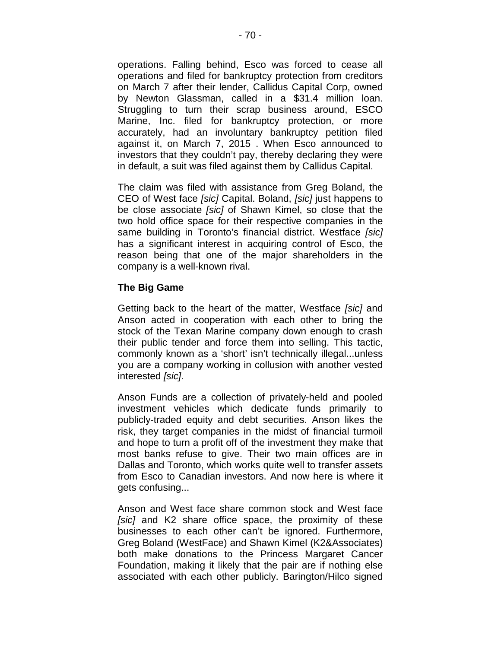operations. Falling behind, Esco was forced to cease all operations and filed for bankruptcy protection from creditors on March 7 after their lender, Callidus Capital Corp, owned by Newton Glassman, called in a \$31.4 million loan. Struggling to turn their scrap business around, ESCO Marine, Inc. filed for bankruptcy protection, or more accurately, had an involuntary bankruptcy petition filed against it, on March 7, 2015 . When Esco announced to investors that they couldn't pay, thereby declaring they were in default, a suit was filed against them by Callidus Capital.

The claim was filed with assistance from Greg Boland, the CEO of West face *[sic]* Capital. Boland, *[sic]* just happens to be close associate *[sic]* of Shawn Kimel, so close that the two hold office space for their respective companies in the same building in Toronto's financial district. Westface *[sic]* has a significant interest in acquiring control of Esco, the reason being that one of the major shareholders in the company is a well-known rival.

## **The Big Game**

Getting back to the heart of the matter, Westface *[sic]* and Anson acted in cooperation with each other to bring the stock of the Texan Marine company down enough to crash their public tender and force them into selling. This tactic, commonly known as a 'short' isn't technically illegal...unless you are a company working in collusion with another vested interested *[sic]*.

Anson Funds are a collection of privately-held and pooled investment vehicles which dedicate funds primarily to publicly-traded equity and debt securities. Anson likes the risk, they target companies in the midst of financial turmoil and hope to turn a profit off of the investment they make that most banks refuse to give. Their two main offices are in Dallas and Toronto, which works quite well to transfer assets from Esco to Canadian investors. And now here is where it gets confusing...

Anson and West face share common stock and West face *[sic]* and K2 share office space, the proximity of these businesses to each other can't be ignored. Furthermore, Greg Boland (WestFace) and Shawn Kimel (K2&Associates) both make donations to the Princess Margaret Cancer Foundation, making it likely that the pair are if nothing else associated with each other publicly. Barington/Hilco signed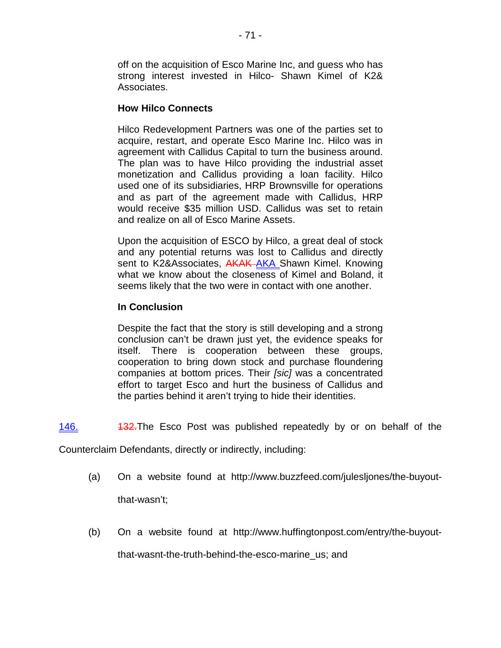off on the acquisition of Esco Marine Inc, and guess who has strong interest invested in Hilco- Shawn Kimel of K2& Associates.

## **How Hilco Connects**

Hilco Redevelopment Partners was one of the parties set to acquire, restart, and operate Esco Marine Inc. Hilco was in agreement with Callidus Capital to turn the business around. The plan was to have Hilco providing the industrial asset monetization and Callidus providing a loan facility. Hilco used one of its subsidiaries, HRP Brownsville for operations and as part of the agreement made with Callidus, HRP would receive \$35 million USD. Callidus was set to retain and realize on all of Esco Marine Assets.

Upon the acquisition of ESCO by Hilco, a great deal of stock and any potential returns was lost to Callidus and directly sent to K2&Associates, AKAK AKA Shawn Kimel. Knowing what we know about the closeness of Kimel and Boland, it seems likely that the two were in contact with one another.

# **In Conclusion**

Despite the fact that the story is still developing and a strong conclusion can't be drawn just yet, the evidence speaks for itself. There is cooperation between these groups, cooperation to bring down stock and purchase floundering companies at bottom prices. Their *[sic]* was a concentrated effort to target Esco and hurt the business of Callidus and the parties behind it aren't trying to hide their identities.

146. 146. 132. The Esco Post was published repeatedly by or on behalf of the

Counterclaim Defendants, directly or indirectly, including:

- (a) On a website found at http://www.buzzfeed.com/julesljones/the-buyoutthat-wasn't;
- (b) On a website found at http://www.huffingtonpost.com/entry/the-buyout-

that-wasnt-the-truth-behind-the-esco-marine\_us; and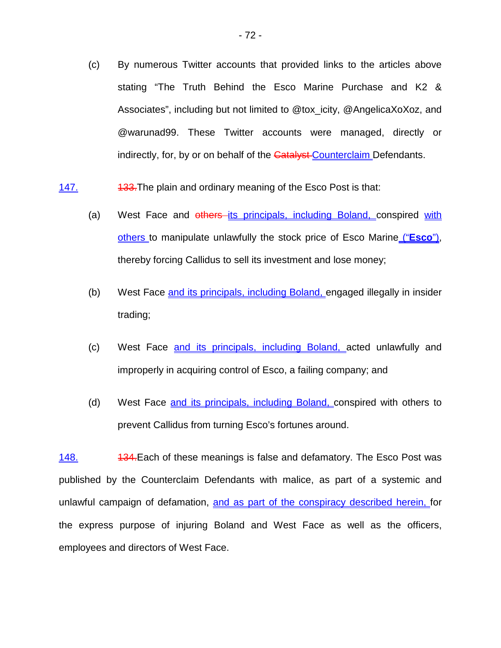- (c) By numerous Twitter accounts that provided links to the articles above stating "The Truth Behind the Esco Marine Purchase and K2 & Associates", including but not limited to @tox\_icity, @AngelicaXoXoz, and @warunad99. These Twitter accounts were managed, directly or indirectly, for, by or on behalf of the Catalyst Counterclaim Defendants.
- 147. **147.** 133. The plain and ordinary meaning of the Esco Post is that:
	- (a) West Face and others-its principals, including Boland, conspired with others to manipulate unlawfully the stock price of Esco Marine ("**Esco**"), thereby forcing Callidus to sell its investment and lose money;
	- (b) West Face and its principals, including Boland, engaged illegally in insider trading;
	- (c) West Face and its principals, including Boland, acted unlawfully and improperly in acquiring control of Esco, a failing company; and
	- (d) West Face and its principals, including Boland, conspired with others to prevent Callidus from turning Esco's fortunes around.

148. 148. 134. Each of these meanings is false and defamatory. The Esco Post was published by the Counterclaim Defendants with malice, as part of a systemic and unlawful campaign of defamation, and as part of the conspiracy described herein, for the express purpose of injuring Boland and West Face as well as the officers, employees and directors of West Face.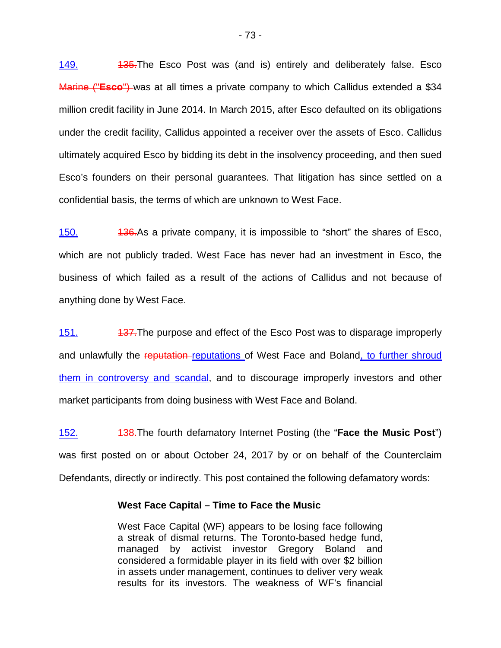149. 149. 135. The Esco Post was (and is) entirely and deliberately false. Esco Marine ("**Esco**") was at all times a private company to which Callidus extended a \$34 million credit facility in June 2014. In March 2015, after Esco defaulted on its obligations under the credit facility, Callidus appointed a receiver over the assets of Esco. Callidus ultimately acquired Esco by bidding its debt in the insolvency proceeding, and then sued Esco's founders on their personal guarantees. That litigation has since settled on a confidential basis, the terms of which are unknown to West Face.

150. 136.As a private company, it is impossible to "short" the shares of Esco, which are not publicly traded. West Face has never had an investment in Esco, the business of which failed as a result of the actions of Callidus and not because of anything done by West Face.

151. 137.The purpose and effect of the Esco Post was to disparage improperly and unlawfully the reputation-reputations of West Face and Boland, to further shroud them in controversy and scandal, and to discourage improperly investors and other market participants from doing business with West Face and Boland.

152. 138.The fourth defamatory Internet Posting (the "**Face the Music Post**") was first posted on or about October 24, 2017 by or on behalf of the Counterclaim Defendants, directly or indirectly. This post contained the following defamatory words:

### **West Face Capital – Time to Face the Music**

West Face Capital (WF) appears to be losing face following a streak of dismal returns. The Toronto-based hedge fund, managed by activist investor Gregory Boland and considered a formidable player in its field with over \$2 billion in assets under management, continues to deliver very weak results for its investors. The weakness of WF's financial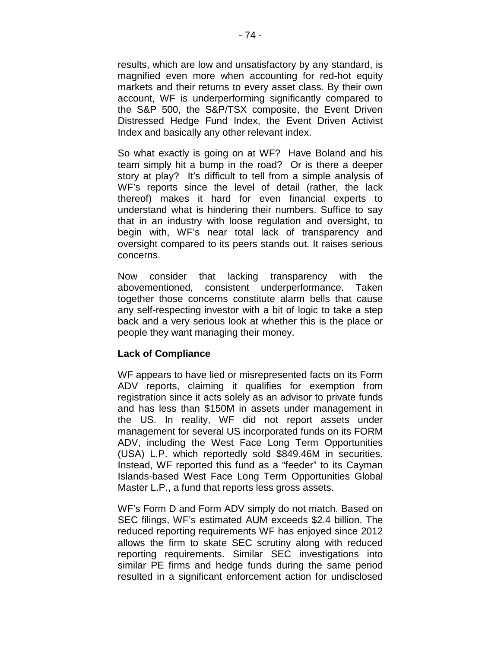results, which are low and unsatisfactory by any standard, is magnified even more when accounting for red-hot equity markets and their returns to every asset class. By their own account, WF is underperforming significantly compared to the S&P 500, the S&P/TSX composite, the Event Driven Distressed Hedge Fund Index, the Event Driven Activist Index and basically any other relevant index.

So what exactly is going on at WF? Have Boland and his team simply hit a bump in the road? Or is there a deeper story at play? It's difficult to tell from a simple analysis of WF's reports since the level of detail (rather, the lack thereof) makes it hard for even financial experts to understand what is hindering their numbers. Suffice to say that in an industry with loose regulation and oversight, to begin with, WF's near total lack of transparency and oversight compared to its peers stands out. It raises serious concerns.

Now consider that lacking transparency with the abovementioned, consistent underperformance. Taken together those concerns constitute alarm bells that cause any self-respecting investor with a bit of logic to take a step back and a very serious look at whether this is the place or people they want managing their money.

# **Lack of Compliance**

WF appears to have lied or misrepresented facts on its Form ADV reports, claiming it qualifies for exemption from registration since it acts solely as an advisor to private funds and has less than \$150M in assets under management in the US. In reality, WF did not report assets under management for several US incorporated funds on its FORM ADV, including the West Face Long Term Opportunities (USA) L.P. which reportedly sold \$849.46M in securities. Instead, WF reported this fund as a "feeder" to its Cayman Islands-based West Face Long Term Opportunities Global Master L.P., a fund that reports less gross assets.

WF's Form D and Form ADV simply do not match. Based on SEC filings, WF's estimated AUM exceeds \$2.4 billion. The reduced reporting requirements WF has enjoyed since 2012 allows the firm to skate SEC scrutiny along with reduced reporting requirements. Similar SEC investigations into similar PE firms and hedge funds during the same period resulted in a significant enforcement action for undisclosed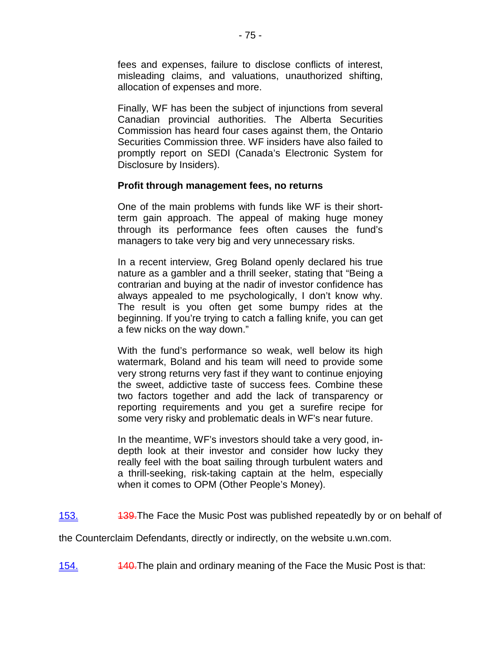fees and expenses, failure to disclose conflicts of interest, misleading claims, and valuations, unauthorized shifting, allocation of expenses and more.

Finally, WF has been the subject of injunctions from several Canadian provincial authorities. The Alberta Securities Commission has heard four cases against them, the Ontario Securities Commission three. WF insiders have also failed to promptly report on SEDI (Canada's Electronic System for Disclosure by Insiders).

# **Profit through management fees, no returns**

One of the main problems with funds like WF is their shortterm gain approach. The appeal of making huge money through its performance fees often causes the fund's managers to take very big and very unnecessary risks.

In a recent interview, Greg Boland openly declared his true nature as a gambler and a thrill seeker, stating that "Being a contrarian and buying at the nadir of investor confidence has always appealed to me psychologically, I don't know why. The result is you often get some bumpy rides at the beginning. If you're trying to catch a falling knife, you can get a few nicks on the way down."

With the fund's performance so weak, well below its high watermark, Boland and his team will need to provide some very strong returns very fast if they want to continue enjoying the sweet, addictive taste of success fees. Combine these two factors together and add the lack of transparency or reporting requirements and you get a surefire recipe for some very risky and problematic deals in WF's near future.

In the meantime, WF's investors should take a very good, indepth look at their investor and consider how lucky they really feel with the boat sailing through turbulent waters and a thrill-seeking, risk-taking captain at the helm, especially when it comes to OPM (Other People's Money).

153. **153.** 139. The Face the Music Post was published repeatedly by or on behalf of

the Counterclaim Defendants, directly or indirectly, on the website u.wn.com.

154. **154. 140.** The plain and ordinary meaning of the Face the Music Post is that: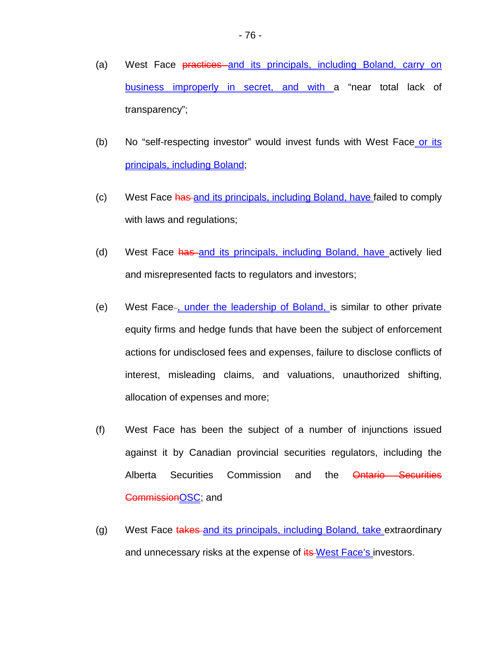- (a) West Face practices and its principals, including Boland, carry on business improperly in secret, and with a "near total lack of transparency";
- (b) No "self-respecting investor" would invest funds with West Face or its principals, including Boland;
- (c) West Face has and its principals, including Boland, have failed to comply with laws and regulations;
- (d) West Face has and its principals, including Boland, have actively lied and misrepresented facts to regulators and investors;
- (e) West Face-, under the leadership of Boland, is similar to other private equity firms and hedge funds that have been the subject of enforcement actions for undisclosed fees and expenses, failure to disclose conflicts of interest, misleading claims, and valuations, unauthorized shifting, allocation of expenses and more;
- (f) West Face has been the subject of a number of injunctions issued against it by Canadian provincial securities regulators, including the Alberta Securities Commission and the **Ontario Securities** CommissionOSC; and
- (g) West Face takes and its principals, including Boland, take extraordinary and unnecessary risks at the expense of its West Face's investors.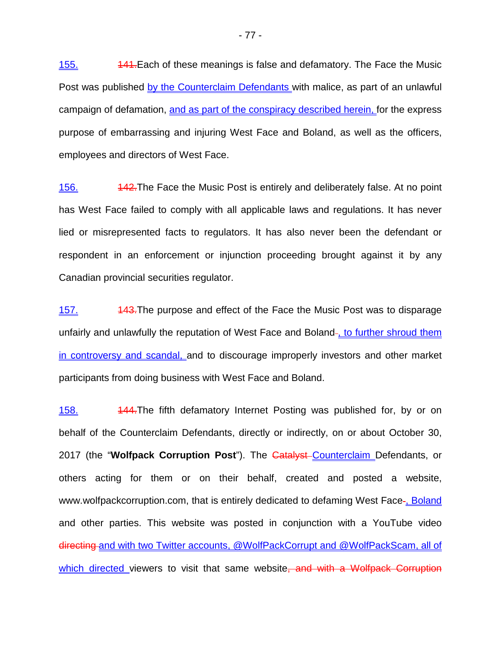155. 141.Each of these meanings is false and defamatory. The Face the Music Post was published by the Counterclaim Defendants with malice, as part of an unlawful campaign of defamation, and as part of the conspiracy described herein, for the express purpose of embarrassing and injuring West Face and Boland, as well as the officers, employees and directors of West Face.

156. **142.**The Face the Music Post is entirely and deliberately false. At no point has West Face failed to comply with all applicable laws and regulations. It has never lied or misrepresented facts to regulators. It has also never been the defendant or respondent in an enforcement or injunction proceeding brought against it by any Canadian provincial securities regulator.

157. **143.** 143. The purpose and effect of the Face the Music Post was to disparage unfairly and unlawfully the reputation of West Face and Boland-, to further shroud them in controversy and scandal, and to discourage improperly investors and other market participants from doing business with West Face and Boland.

158. 158. 144. The fifth defamatory Internet Posting was published for, by or on behalf of the Counterclaim Defendants, directly or indirectly, on or about October 30, 2017 (the "**Wolfpack Corruption Post**"). The Catalyst Counterclaim Defendants, or others acting for them or on their behalf, created and posted a website, www.wolfpackcorruption.com, that is entirely dedicated to defaming West Face-, Boland and other parties. This website was posted in conjunction with a YouTube video directing and with two Twitter accounts, @WolfPackCorrupt and @WolfPackScam, all of which directed viewers to visit that same website, and with a Wolfpack Corruption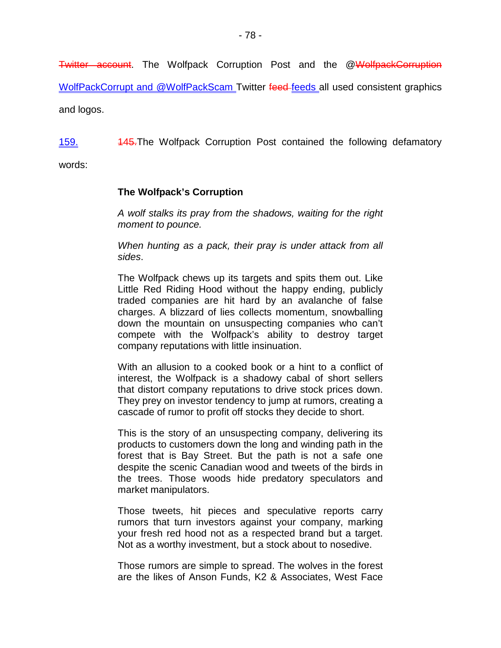WolfPackCorrupt and @WolfPackScam Twitter feed feeds all used consistent graphics

and logos.

159. **145.** 144. The Wolfpack Corruption Post contained the following defamatory

words:

## **The Wolfpack's Corruption**

*A wolf stalks its pray from the shadows, waiting for the right moment to pounce.*

*When hunting as a pack, their pray is under attack from all sides*.

The Wolfpack chews up its targets and spits them out. Like Little Red Riding Hood without the happy ending, publicly traded companies are hit hard by an avalanche of false charges. A blizzard of lies collects momentum, snowballing down the mountain on unsuspecting companies who can't compete with the Wolfpack's ability to destroy target company reputations with little insinuation.

With an allusion to a cooked book or a hint to a conflict of interest, the Wolfpack is a shadowy cabal of short sellers that distort company reputations to drive stock prices down. They prey on investor tendency to jump at rumors, creating a cascade of rumor to profit off stocks they decide to short.

This is the story of an unsuspecting company, delivering its products to customers down the long and winding path in the forest that is Bay Street. But the path is not a safe one despite the scenic Canadian wood and tweets of the birds in the trees. Those woods hide predatory speculators and market manipulators.

Those tweets, hit pieces and speculative reports carry rumors that turn investors against your company, marking your fresh red hood not as a respected brand but a target. Not as a worthy investment, but a stock about to nosedive.

Those rumors are simple to spread. The wolves in the forest are the likes of Anson Funds, K2 & Associates, West Face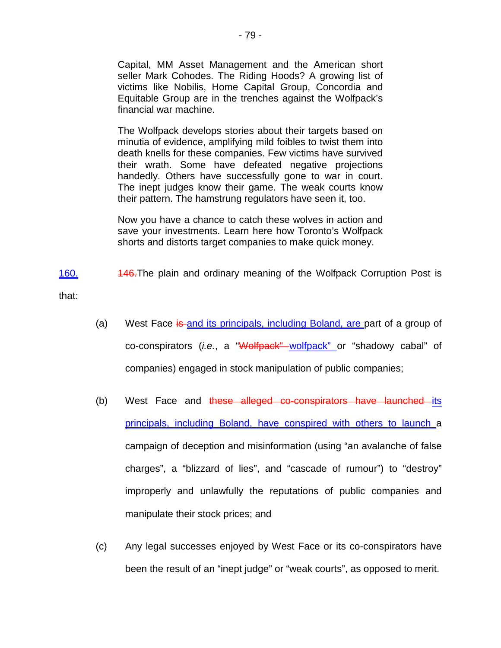Capital, MM Asset Management and the American short seller Mark Cohodes. The Riding Hoods? A growing list of victims like Nobilis, Home Capital Group, Concordia and Equitable Group are in the trenches against the Wolfpack's financial war machine.

The Wolfpack develops stories about their targets based on minutia of evidence, amplifying mild foibles to twist them into death knells for these companies. Few victims have survived their wrath. Some have defeated negative projections handedly. Others have successfully gone to war in court. The inept judges know their game. The weak courts know their pattern. The hamstrung regulators have seen it, too.

Now you have a chance to catch these wolves in action and save your investments. Learn here how Toronto's Wolfpack shorts and distorts target companies to make quick money.

160. 146.The plain and ordinary meaning of the Wolfpack Corruption Post is

that:

- (a) West Face is and its principals, including Boland, are part of a group of co-conspirators (*i.e.*, a "Wolfpack" wolfpack" or "shadowy cabal" of companies) engaged in stock manipulation of public companies;
- (b) West Face and these alleged co-conspirators have launched its principals, including Boland, have conspired with others to launch a campaign of deception and misinformation (using "an avalanche of false charges", a "blizzard of lies", and "cascade of rumour") to "destroy" improperly and unlawfully the reputations of public companies and manipulate their stock prices; and
- (c) Any legal successes enjoyed by West Face or its co-conspirators have been the result of an "inept judge" or "weak courts", as opposed to merit.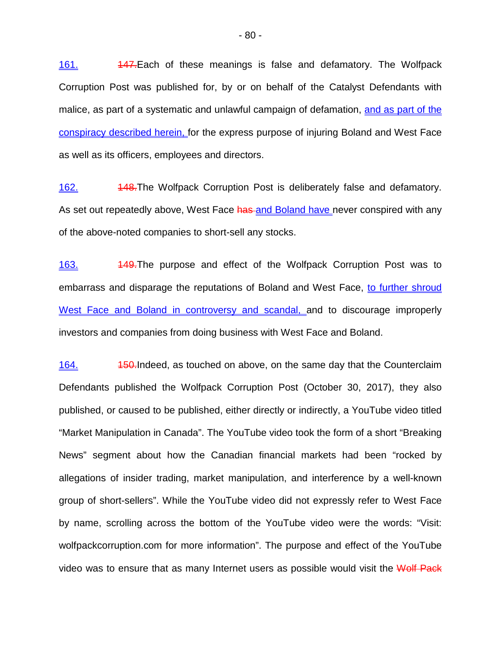161. 147.Each of these meanings is false and defamatory. The Wolfpack Corruption Post was published for, by or on behalf of the Catalyst Defendants with malice, as part of a systematic and unlawful campaign of defamation, and as part of the conspiracy described herein, for the express purpose of injuring Boland and West Face as well as its officers, employees and directors.

162. **148.**The Wolfpack Corruption Post is deliberately false and defamatory. As set out repeatedly above, West Face has and Boland have never conspired with any of the above-noted companies to short-sell any stocks.

163. 149. The purpose and effect of the Wolfpack Corruption Post was to embarrass and disparage the reputations of Boland and West Face, to further shroud West Face and Boland in controversy and scandal, and to discourage improperly investors and companies from doing business with West Face and Boland.

164. **150.**Indeed, as touched on above, on the same day that the Counterclaim Defendants published the Wolfpack Corruption Post (October 30, 2017), they also published, or caused to be published, either directly or indirectly, a YouTube video titled "Market Manipulation in Canada". The YouTube video took the form of a short "Breaking News" segment about how the Canadian financial markets had been "rocked by allegations of insider trading, market manipulation, and interference by a well-known group of short-sellers". While the YouTube video did not expressly refer to West Face by name, scrolling across the bottom of the YouTube video were the words: "Visit: wolfpackcorruption.com for more information". The purpose and effect of the YouTube video was to ensure that as many Internet users as possible would visit the Wolf Pack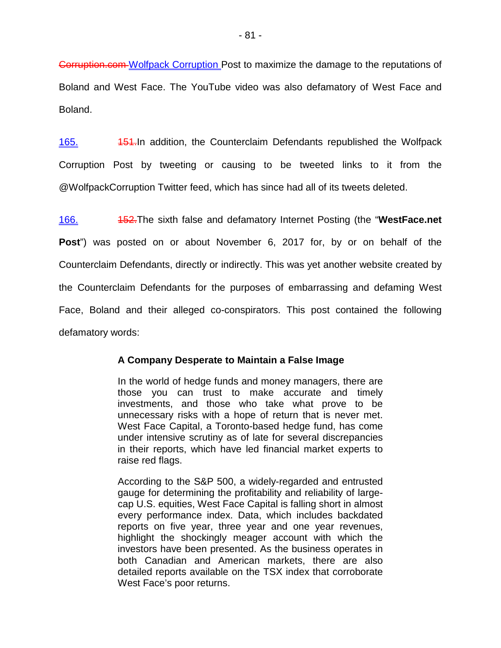Corruption.com Wolfpack Corruption Post to maximize the damage to the reputations of Boland and West Face. The YouTube video was also defamatory of West Face and Boland.

165. **151.**In addition, the Counterclaim Defendants republished the Wolfpack Corruption Post by tweeting or causing to be tweeted links to it from the @WolfpackCorruption Twitter feed, which has since had all of its tweets deleted.

166. 152.The sixth false and defamatory Internet Posting (the "**WestFace.net Post**") was posted on or about November 6, 2017 for, by or on behalf of the Counterclaim Defendants, directly or indirectly. This was yet another website created by the Counterclaim Defendants for the purposes of embarrassing and defaming West Face, Boland and their alleged co-conspirators. This post contained the following defamatory words:

# **A Company Desperate to Maintain a False Image**

In the world of hedge funds and money managers, there are those you can trust to make accurate and timely investments, and those who take what prove to be unnecessary risks with a hope of return that is never met. West Face Capital, a Toronto-based hedge fund, has come under intensive scrutiny as of late for several discrepancies in their reports, which have led financial market experts to raise red flags.

According to the S&P 500, a widely-regarded and entrusted gauge for determining the profitability and reliability of largecap U.S. equities, West Face Capital is falling short in almost every performance index. Data, which includes backdated reports on five year, three year and one year revenues, highlight the shockingly meager account with which the investors have been presented. As the business operates in both Canadian and American markets, there are also detailed reports available on the TSX index that corroborate West Face's poor returns.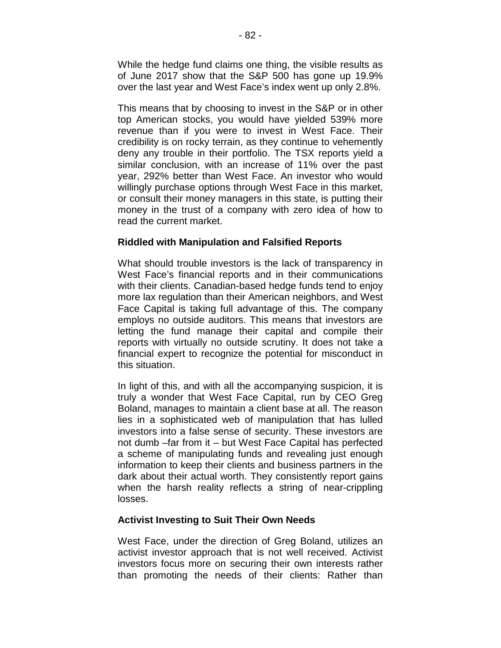While the hedge fund claims one thing, the visible results as of June 2017 show that the S&P 500 has gone up 19.9% over the last year and West Face's index went up only 2.8%.

This means that by choosing to invest in the S&P or in other top American stocks, you would have yielded 539% more revenue than if you were to invest in West Face. Their credibility is on rocky terrain, as they continue to vehemently deny any trouble in their portfolio. The TSX reports yield a similar conclusion, with an increase of 11% over the past year, 292% better than West Face. An investor who would willingly purchase options through West Face in this market, or consult their money managers in this state, is putting their money in the trust of a company with zero idea of how to read the current market.

# **Riddled with Manipulation and Falsified Reports**

What should trouble investors is the lack of transparency in West Face's financial reports and in their communications with their clients. Canadian-based hedge funds tend to enjoy more lax regulation than their American neighbors, and West Face Capital is taking full advantage of this. The company employs no outside auditors. This means that investors are letting the fund manage their capital and compile their reports with virtually no outside scrutiny. It does not take a financial expert to recognize the potential for misconduct in this situation.

In light of this, and with all the accompanying suspicion, it is truly a wonder that West Face Capital, run by CEO Greg Boland, manages to maintain a client base at all. The reason lies in a sophisticated web of manipulation that has lulled investors into a false sense of security. These investors are not dumb –far from it – but West Face Capital has perfected a scheme of manipulating funds and revealing just enough information to keep their clients and business partners in the dark about their actual worth. They consistently report gains when the harsh reality reflects a string of near-crippling losses.

# **Activist Investing to Suit Their Own Needs**

West Face, under the direction of Greg Boland, utilizes an activist investor approach that is not well received. Activist investors focus more on securing their own interests rather than promoting the needs of their clients: Rather than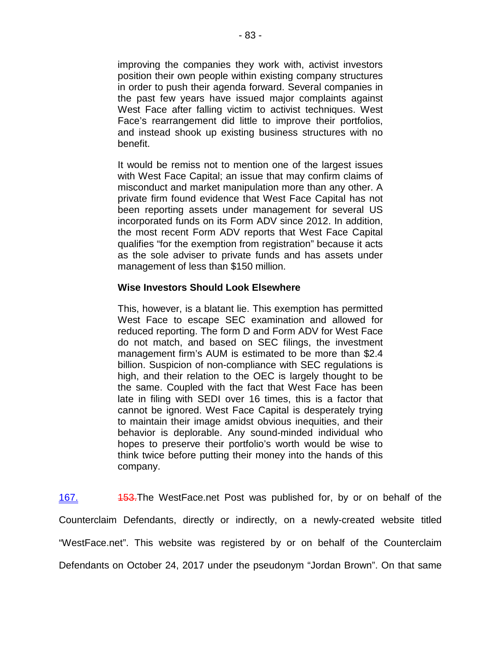improving the companies they work with, activist investors position their own people within existing company structures in order to push their agenda forward. Several companies in the past few years have issued major complaints against West Face after falling victim to activist techniques. West Face's rearrangement did little to improve their portfolios, and instead shook up existing business structures with no benefit.

It would be remiss not to mention one of the largest issues with West Face Capital; an issue that may confirm claims of misconduct and market manipulation more than any other. A private firm found evidence that West Face Capital has not been reporting assets under management for several US incorporated funds on its Form ADV since 2012. In addition, the most recent Form ADV reports that West Face Capital qualifies "for the exemption from registration" because it acts as the sole adviser to private funds and has assets under management of less than \$150 million.

## **Wise Investors Should Look Elsewhere**

This, however, is a blatant lie. This exemption has permitted West Face to escape SEC examination and allowed for reduced reporting. The form D and Form ADV for West Face do not match, and based on SEC filings, the investment management firm's AUM is estimated to be more than \$2.4 billion. Suspicion of non-compliance with SEC regulations is high, and their relation to the OEC is largely thought to be the same. Coupled with the fact that West Face has been late in filing with SEDI over 16 times, this is a factor that cannot be ignored. West Face Capital is desperately trying to maintain their image amidst obvious inequities, and their behavior is deplorable. Any sound-minded individual who hopes to preserve their portfolio's worth would be wise to think twice before putting their money into the hands of this company.

167. **153.**The WestFace.net Post was published for, by or on behalf of the Counterclaim Defendants, directly or indirectly, on a newly-created website titled "WestFace.net". This website was registered by or on behalf of the Counterclaim Defendants on October 24, 2017 under the pseudonym "Jordan Brown". On that same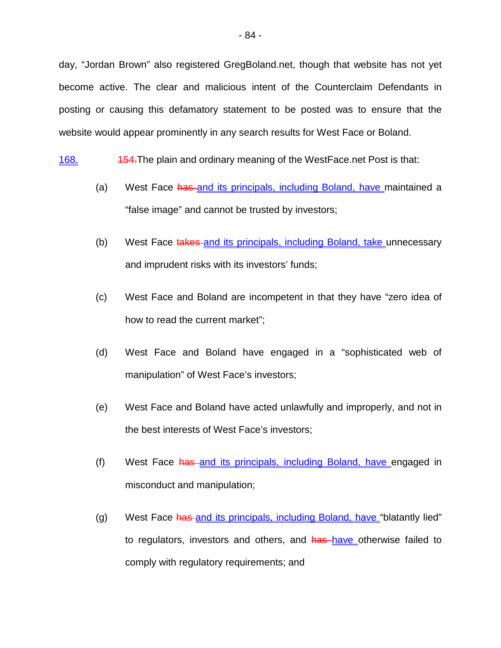day, "Jordan Brown" also registered GregBoland.net, though that website has not yet become active. The clear and malicious intent of the Counterclaim Defendants in posting or causing this defamatory statement to be posted was to ensure that the website would appear prominently in any search results for West Face or Boland.

168. **154. 154. The plain and ordinary meaning of the WestFace.net Post is that:** 

- (a) West Face has and its principals, including Boland, have maintained a "false image" and cannot be trusted by investors;
- (b) West Face takes and its principals, including Boland, take unnecessary and imprudent risks with its investors' funds;
- (c) West Face and Boland are incompetent in that they have "zero idea of how to read the current market";
- (d) West Face and Boland have engaged in a "sophisticated web of manipulation" of West Face's investors;
- (e) West Face and Boland have acted unlawfully and improperly, and not in the best interests of West Face's investors;
- (f) West Face has and its principals, including Boland, have engaged in misconduct and manipulation;
- (g) West Face has and its principals, including Boland, have "blatantly lied" to regulators, investors and others, and has have otherwise failed to comply with regulatory requirements; and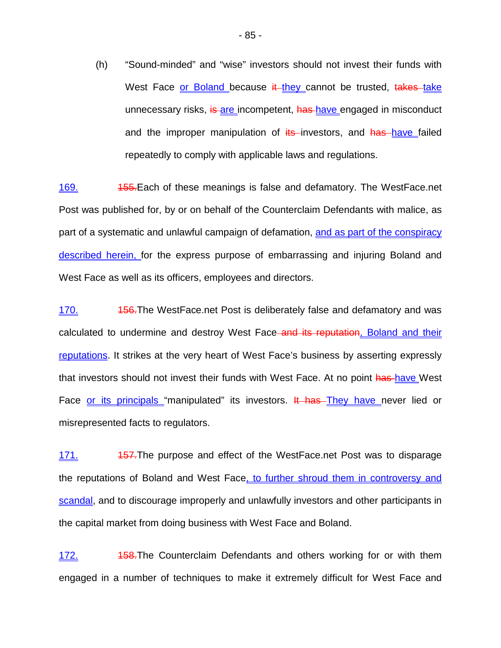(h) "Sound-minded" and "wise" investors should not invest their funds with West Face or Boland because it they cannot be trusted, takes take unnecessary risks, is are incompetent, has have engaged in misconduct and the improper manipulation of its investors, and has have failed repeatedly to comply with applicable laws and regulations.

169. **155.** Each of these meanings is false and defamatory. The WestFace.net Post was published for, by or on behalf of the Counterclaim Defendants with malice, as part of a systematic and unlawful campaign of defamation, and as part of the conspiracy described herein, for the express purpose of embarrassing and injuring Boland and West Face as well as its officers, employees and directors.

170. 156.The WestFace.net Post is deliberately false and defamatory and was calculated to undermine and destroy West Face and its reputation, Boland and their reputations. It strikes at the very heart of West Face's business by asserting expressly that investors should not invest their funds with West Face. At no point has have West Face or its principals "manipulated" its investors. It has They have never lied or misrepresented facts to regulators.

171. 157. 157. The purpose and effect of the WestFace.net Post was to disparage the reputations of Boland and West Face, to further shroud them in controversy and scandal, and to discourage improperly and unlawfully investors and other participants in the capital market from doing business with West Face and Boland.

172. 158.The Counterclaim Defendants and others working for or with them engaged in a number of techniques to make it extremely difficult for West Face and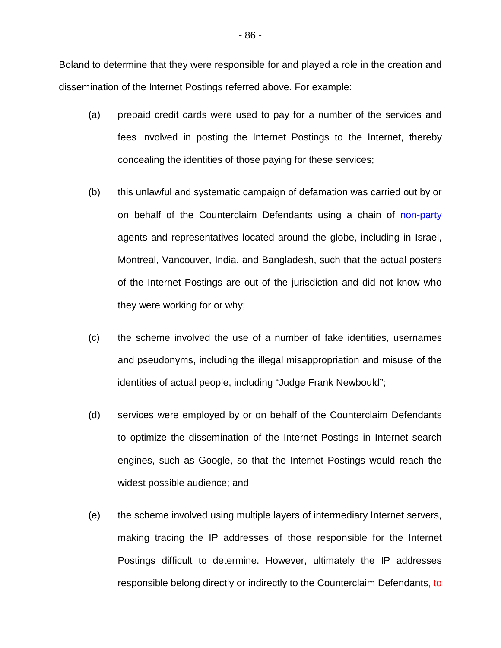Boland to determine that they were responsible for and played a role in the creation and dissemination of the Internet Postings referred above. For example:

- (a) prepaid credit cards were used to pay for a number of the services and fees involved in posting the Internet Postings to the Internet, thereby concealing the identities of those paying for these services;
- (b) this unlawful and systematic campaign of defamation was carried out by or on behalf of the Counterclaim Defendants using a chain of non-party agents and representatives located around the globe, including in Israel, Montreal, Vancouver, India, and Bangladesh, such that the actual posters of the Internet Postings are out of the jurisdiction and did not know who they were working for or why;
- (c) the scheme involved the use of a number of fake identities, usernames and pseudonyms, including the illegal misappropriation and misuse of the identities of actual people, including "Judge Frank Newbould";
- (d) services were employed by or on behalf of the Counterclaim Defendants to optimize the dissemination of the Internet Postings in Internet search engines, such as Google, so that the Internet Postings would reach the widest possible audience; and
- (e) the scheme involved using multiple layers of intermediary Internet servers, making tracing the IP addresses of those responsible for the Internet Postings difficult to determine. However, ultimately the IP addresses responsible belong directly or indirectly to the Counterclaim Defendants, to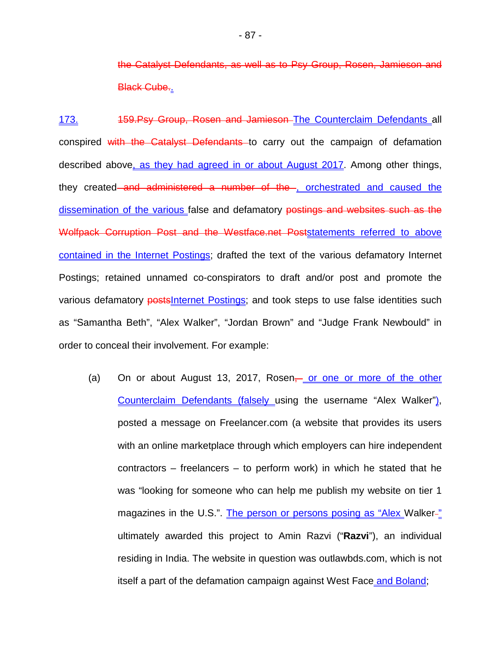the Catalyst Defendants, as well as to Psy Group, Rosen, Jamieson and **Black Cube..** 

173. 159.Psy Group, Rosen and Jamieson-The Counterclaim Defendants all conspired with the Catalyst Defendants to carry out the campaign of defamation described above, as they had agreed in or about August 2017. Among other things, they created and administered a number of the , orchestrated and caused the dissemination of the various false and defamatory postings and websites such as the Wolfpack Corruption Post and the Westface.net Poststatements referred to above contained in the Internet Postings; drafted the text of the various defamatory Internet Postings; retained unnamed co-conspirators to draft and/or post and promote the various defamatory **posts** Internet Postings; and took steps to use false identities such as "Samantha Beth", "Alex Walker", "Jordan Brown" and "Judge Frank Newbould" in order to conceal their involvement. For example:

(a) On or about August 13, 2017, Rosen $\frac{1}{x}$  or one or more of the other Counterclaim Defendants (falsely using the username "Alex Walker"), posted a message on Freelancer.com (a website that provides its users with an online marketplace through which employers can hire independent contractors – freelancers – to perform work) in which he stated that he was "looking for someone who can help me publish my website on tier 1 magazines in the U.S.". The person or persons posing as "Alex Walker-" ultimately awarded this project to Amin Razvi ("**Razvi**"), an individual residing in India. The website in question was outlawbds.com, which is not itself a part of the defamation campaign against West Face and Boland;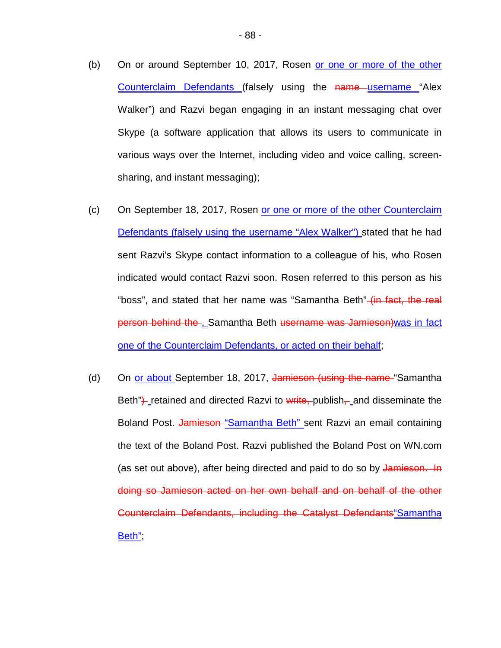- (b) On or around September 10, 2017, Rosen or one or more of the other Counterclaim Defendants (falsely using the name username "Alex Walker") and Razvi began engaging in an instant messaging chat over Skype (a software application that allows its users to communicate in various ways over the Internet, including video and voice calling, screensharing, and instant messaging);
- (c) On September 18, 2017, Rosen or one or more of the other Counterclaim Defendants (falsely using the username "Alex Walker") stated that he had sent Razvi's Skype contact information to a colleague of his, who Rosen indicated would contact Razvi soon. Rosen referred to this person as his "boss", and stated that her name was "Samantha Beth" (in fact, the real person behind the . Samantha Beth username was Jamieson) was in fact one of the Counterclaim Defendants, or acted on their behalf;
- (d) On or about September 18, 2017, Jamieson (using the name "Samantha Beth" $\rightarrow$  retained and directed Razvi to write, publish, and disseminate the Boland Post. Jamieson "Samantha Beth" sent Razvi an email containing the text of the Boland Post. Razvi published the Boland Post on WN.com (as set out above), after being directed and paid to do so by Jamieson. In doing so Jamieson acted on her own behalf and on behalf of the other Counterclaim Defendants, including the Catalyst Defendants"Samantha Beth";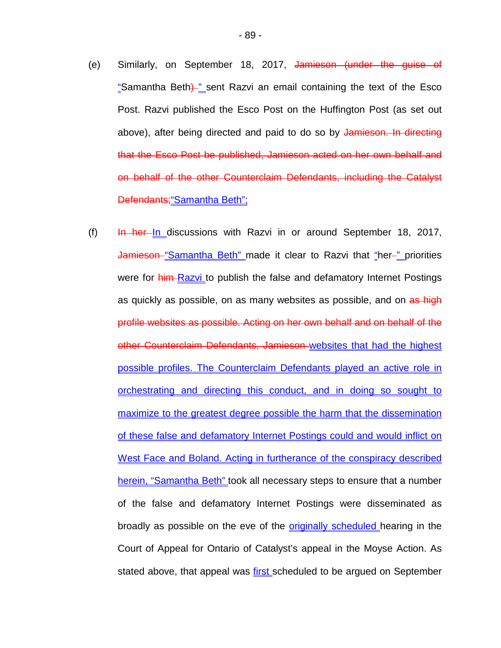- (e) Similarly, on September 18, 2017, Jamieson (under the guise of "Samantha Beth $\frac{1}{2}$ " sent Razvi an email containing the text of the Esco Post. Razvi published the Esco Post on the Huffington Post (as set out above), after being directed and paid to do so by Jamieson. In directing that the Esco Post be published, Jamieson acted on her own behalf and on behalf of the other Counterclaim Defendants, including the Catalyst Defendants;"Samantha Beth";
- (f) In her In discussions with Razvi in or around September 18, 2017, Jamieson "Samantha Beth" made it clear to Razvi that "her-" priorities were for him Razvi to publish the false and defamatory Internet Postings as quickly as possible, on as many websites as possible, and on as high profile websites as possible. Acting on her own behalf and on behalf of the other Counterclaim Defendants, Jamieson websites that had the highest possible profiles. The Counterclaim Defendants played an active role in orchestrating and directing this conduct, and in doing so sought to maximize to the greatest degree possible the harm that the dissemination of these false and defamatory Internet Postings could and would inflict on West Face and Boland. Acting in furtherance of the conspiracy described herein, "Samantha Beth" took all necessary steps to ensure that a number of the false and defamatory Internet Postings were disseminated as broadly as possible on the eve of the originally scheduled hearing in the Court of Appeal for Ontario of Catalyst's appeal in the Moyse Action. As stated above, that appeal was *first* scheduled to be argued on September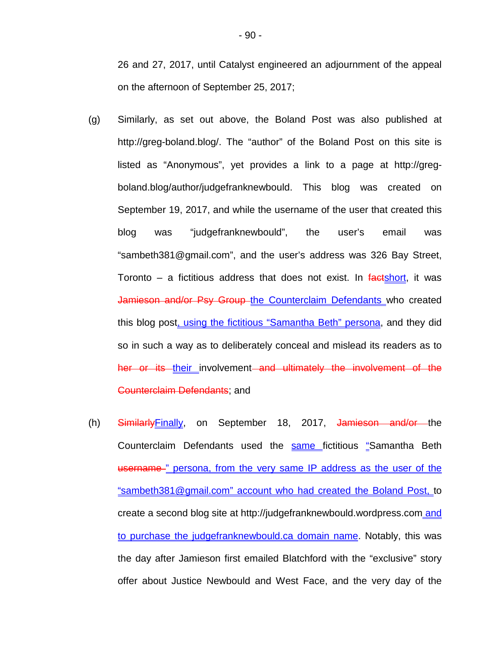26 and 27, 2017, until Catalyst engineered an adjournment of the appeal on the afternoon of September 25, 2017;

- (g) Similarly, as set out above, the Boland Post was also published at http://greg-boland.blog/. The "author" of the Boland Post on this site is listed as "Anonymous", yet provides a link to a page at http://gregboland.blog/author/judgefranknewbould. This blog was created on September 19, 2017, and while the username of the user that created this blog was "judgefranknewbould", the user's email was "sambeth381@gmail.com", and the user's address was 326 Bay Street, Toronto – a fictitious address that does not exist. In factshort, it was Jamieson and/or Psy Group the Counterclaim Defendants who created this blog post, using the fictitious "Samantha Beth" persona, and they did so in such a way as to deliberately conceal and mislead its readers as to her or its their involvement and ultimately the involvement of the Counterclaim Defendants; and
- (h) Similarly Finally, on September 18, 2017, Jamieson and/or the Counterclaim Defendants used the **same** fictitious "Samantha Beth username<sup>"</sup> persona, from the very same IP address as the user of the "sambeth381@gmail.com" account who had created the Boland Post, to create a second blog site at http://judgefranknewbould.wordpress.com and to purchase the judgefranknewbould.ca domain name. Notably, this was the day after Jamieson first emailed Blatchford with the "exclusive" story offer about Justice Newbould and West Face, and the very day of the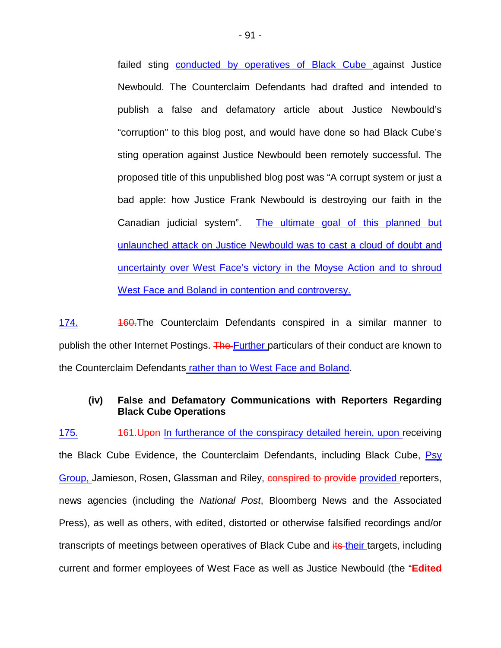failed sting **conducted by operatives of Black Cube** against Justice Newbould. The Counterclaim Defendants had drafted and intended to publish a false and defamatory article about Justice Newbould's "corruption" to this blog post, and would have done so had Black Cube's sting operation against Justice Newbould been remotely successful. The proposed title of this unpublished blog post was "A corrupt system or just a bad apple: how Justice Frank Newbould is destroying our faith in the Canadian judicial system". The ultimate goal of this planned but unlaunched attack on Justice Newbould was to cast a cloud of doubt and uncertainty over West Face's victory in the Moyse Action and to shroud West Face and Boland in contention and controversy.

174. 174. **160.**The Counterclaim Defendants conspired in a similar manner to publish the other Internet Postings. The Further particulars of their conduct are known to the Counterclaim Defendants rather than to West Face and Boland.

## **(iv) False and Defamatory Communications with Reporters Regarding Black Cube Operations**

175. 161. Upon In furtherance of the conspiracy detailed herein, upon receiving the Black Cube Evidence, the Counterclaim Defendants, including Black Cube, Psy Group, Jamieson, Rosen, Glassman and Riley, conspired to provide provided reporters, news agencies (including the *National Post*, Bloomberg News and the Associated Press), as well as others, with edited, distorted or otherwise falsified recordings and/or transcripts of meetings between operatives of Black Cube and its their targets, including current and former employees of West Face as well as Justice Newbould (the "**Edited**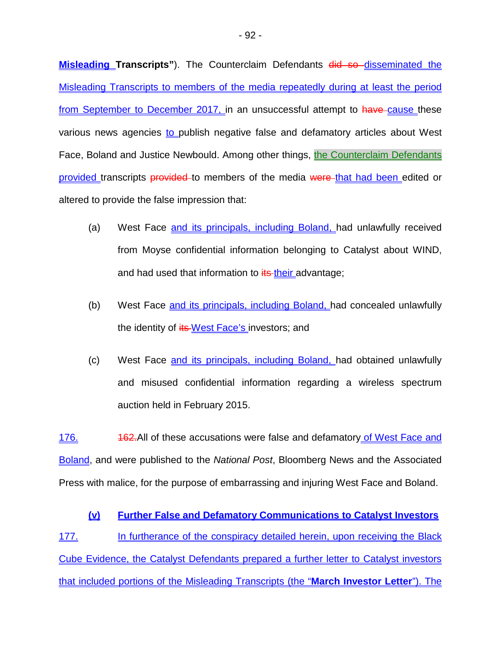**Misleading Transcripts**"). The Counterclaim Defendants did so disseminated the Misleading Transcripts to members of the media repeatedly during at least the period from September to December 2017, in an unsuccessful attempt to have cause these various news agencies to publish negative false and defamatory articles about West Face, Boland and Justice Newbould. Among other things, the Counterclaim Defendants provided transcripts provided to members of the media were that had been edited or altered to provide the false impression that:

- (a) West Face and its principals, including Boland, had unlawfully received from Moyse confidential information belonging to Catalyst about WIND, and had used that information to its their advantage;
- (b) West Face and its principals, including Boland, had concealed unlawfully the identity of its West Face's investors; and
- (c) West Face and its principals, including Boland, had obtained unlawfully and misused confidential information regarding a wireless spectrum auction held in February 2015.

176. 176. 162.All of these accusations were false and defamatory of West Face and Boland, and were published to the *National Post*, Bloomberg News and the Associated Press with malice, for the purpose of embarrassing and injuring West Face and Boland.

# **(v) Further False and Defamatory Communications to Catalyst Investors**

177. In furtherance of the conspiracy detailed herein, upon receiving the Black Cube Evidence, the Catalyst Defendants prepared a further letter to Catalyst investors that included portions of the Misleading Transcripts (the "**March Investor Letter**"). The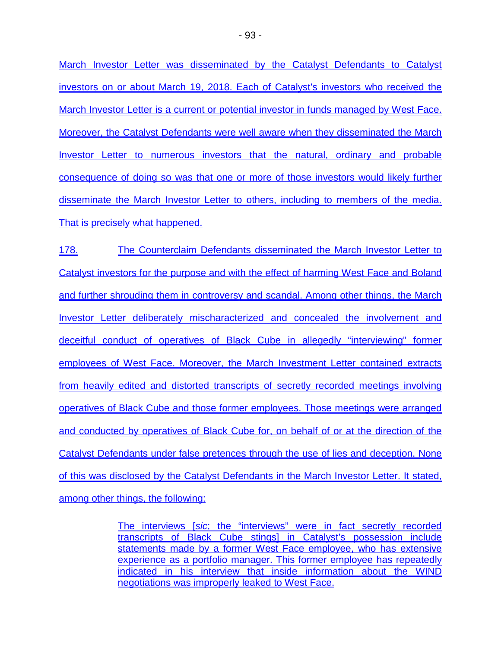March Investor Letter was disseminated by the Catalyst Defendants to Catalyst investors on or about March 19, 2018. Each of Catalyst's investors who received the March Investor Letter is a current or potential investor in funds managed by West Face. Moreover, the Catalyst Defendants were well aware when they disseminated the March Investor Letter to numerous investors that the natural, ordinary and probable consequence of doing so was that one or more of those investors would likely further disseminate the March Investor Letter to others, including to members of the media. That is precisely what happened.

178. The Counterclaim Defendants disseminated the March Investor Letter to Catalyst investors for the purpose and with the effect of harming West Face and Boland and further shrouding them in controversy and scandal. Among other things, the March Investor Letter deliberately mischaracterized and concealed the involvement and deceitful conduct of operatives of Black Cube in allegedly "interviewing" former employees of West Face. Moreover, the March Investment Letter contained extracts from heavily edited and distorted transcripts of secretly recorded meetings involving operatives of Black Cube and those former employees. Those meetings were arranged and conducted by operatives of Black Cube for, on behalf of or at the direction of the Catalyst Defendants under false pretences through the use of lies and deception. None of this was disclosed by the Catalyst Defendants in the March Investor Letter. It stated, among other things, the following:

> The interviews [*sic*; the "interviews" were in fact secretly recorded transcripts of Black Cube stings] in Catalyst's possession include statements made by a former West Face employee, who has extensive experience as a portfolio manager. This former employee has repeatedly indicated in his interview that inside information about the WIND negotiations was improperly leaked to West Face.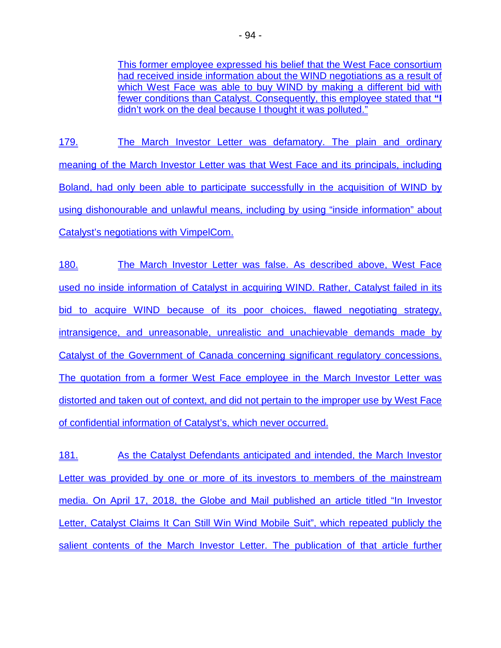This former employee expressed his belief that the West Face consortium had received inside information about the WIND negotiations as a result of which West Face was able to buy WIND by making a different bid with fewer conditions than Catalyst. Consequently, this employee stated that **"I**  didn't work on the deal because I thought it was polluted."

179. The March Investor Letter was defamatory. The plain and ordinary meaning of the March Investor Letter was that West Face and its principals, including Boland, had only been able to participate successfully in the acquisition of WIND by using dishonourable and unlawful means, including by using "inside information" about Catalyst's negotiations with VimpelCom.

180. The March Investor Letter was false. As described above, West Face used no inside information of Catalyst in acquiring WIND. Rather, Catalyst failed in its bid to acquire WIND because of its poor choices, flawed negotiating strategy, intransigence, and unreasonable, unrealistic and unachievable demands made by Catalyst of the Government of Canada concerning significant regulatory concessions. The quotation from a former West Face employee in the March Investor Letter was distorted and taken out of context, and did not pertain to the improper use by West Face of confidential information of Catalyst's, which never occurred.

181. As the Catalyst Defendants anticipated and intended, the March Investor Letter was provided by one or more of its investors to members of the mainstream media. On April 17, 2018, the Globe and Mail published an article titled "In Investor Letter, Catalyst Claims It Can Still Win Wind Mobile Suit", which repeated publicly the salient contents of the March Investor Letter. The publication of that article further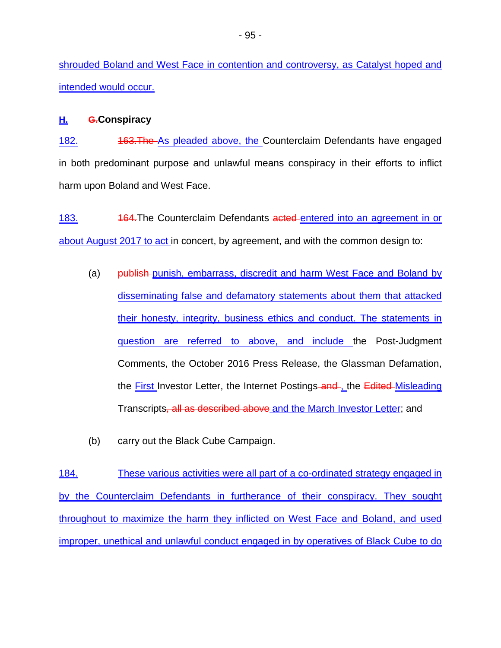shrouded Boland and West Face in contention and controversy, as Catalyst hoped and intended would occur.

# **H. G.Conspiracy**

182. 163. The As pleaded above, the Counterclaim Defendants have engaged in both predominant purpose and unlawful means conspiracy in their efforts to inflict harm upon Boland and West Face.

183. **164.** The Counterclaim Defendants acted entered into an agreement in or about August 2017 to act in concert, by agreement, and with the common design to:

- (a) publish punish, embarrass, discredit and harm West Face and Boland by disseminating false and defamatory statements about them that attacked their honesty, integrity, business ethics and conduct. The statements in question are referred to above, and include the Post-Judgment Comments, the October 2016 Press Release, the Glassman Defamation, the **First** Investor Letter, the Internet Postings and the Edited-Misleading Transcripts, all as described above and the March Investor Letter; and
- (b) carry out the Black Cube Campaign.

184. These various activities were all part of a co-ordinated strategy engaged in by the Counterclaim Defendants in furtherance of their conspiracy. They sought throughout to maximize the harm they inflicted on West Face and Boland, and used improper, unethical and unlawful conduct engaged in by operatives of Black Cube to do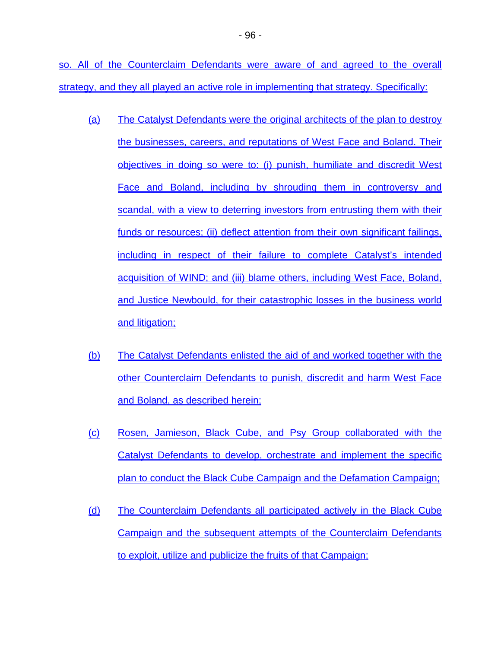so. All of the Counterclaim Defendants were aware of and agreed to the overall strategy, and they all played an active role in implementing that strategy. Specifically:

- (a) The Catalyst Defendants were the original architects of the plan to destroy the businesses, careers, and reputations of West Face and Boland. Their objectives in doing so were to: (i) punish, humiliate and discredit West Face and Boland, including by shrouding them in controversy and scandal, with a view to deterring investors from entrusting them with their funds or resources; (ii) deflect attention from their own significant failings, including in respect of their failure to complete Catalyst's intended acquisition of WIND; and (iii) blame others, including West Face, Boland, and Justice Newbould, for their catastrophic losses in the business world and litigation;
- (b) The Catalyst Defendants enlisted the aid of and worked together with the other Counterclaim Defendants to punish, discredit and harm West Face and Boland, as described herein;
- (c) Rosen, Jamieson, Black Cube, and Psy Group collaborated with the Catalyst Defendants to develop, orchestrate and implement the specific plan to conduct the Black Cube Campaign and the Defamation Campaign;
- (d) The Counterclaim Defendants all participated actively in the Black Cube Campaign and the subsequent attempts of the Counterclaim Defendants to exploit, utilize and publicize the fruits of that Campaign;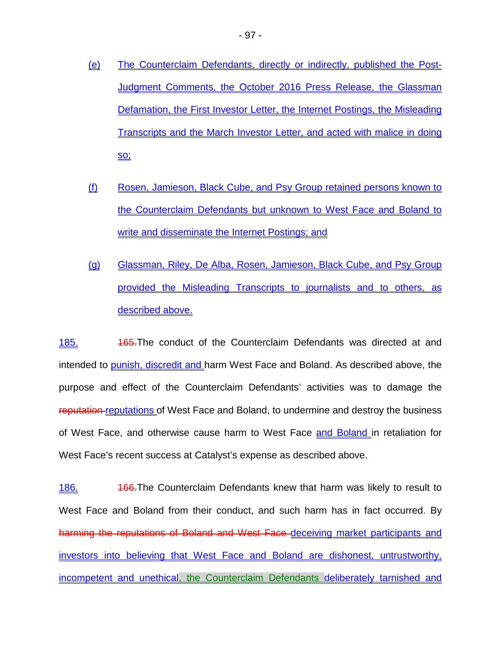- (e) The Counterclaim Defendants, directly or indirectly, published the Post-Judgment Comments, the October 2016 Press Release, the Glassman Defamation, the First Investor Letter, the Internet Postings, the Misleading Transcripts and the March Investor Letter, and acted with malice in doing so;
- (f) Rosen, Jamieson, Black Cube, and Psy Group retained persons known to the Counterclaim Defendants but unknown to West Face and Boland to write and disseminate the Internet Postings; and
- (g) Glassman, Riley, De Alba, Rosen, Jamieson, Black Cube, and Psy Group provided the Misleading Transcripts to journalists and to others, as described above.

185. **165.** 165. The conduct of the Counterclaim Defendants was directed at and intended to punish, discredit and harm West Face and Boland. As described above, the purpose and effect of the Counterclaim Defendants' activities was to damage the reputation reputations of West Face and Boland, to undermine and destroy the business of West Face, and otherwise cause harm to West Face and Boland in retaliation for West Face's recent success at Catalyst's expense as described above.

186. 166. 166. 166. The Counterclaim Defendants knew that harm was likely to result to West Face and Boland from their conduct, and such harm has in fact occurred. By harming the reputations of Boland and West Face deceiving market participants and investors into believing that West Face and Boland are dishonest, untrustworthy, incompetent and unethical, the Counterclaim Defendants deliberately tarnished and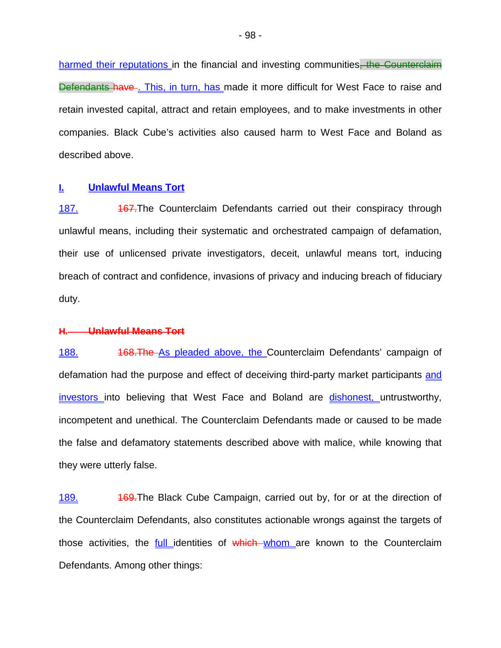harmed their reputations in the financial and investing communities, the Counterclaim Defendants have. This, in turn, has made it more difficult for West Face to raise and retain invested capital, attract and retain employees, and to make investments in other companies. Black Cube's activities also caused harm to West Face and Boland as described above.

### **I. Unlawful Means Tort**

187. **167.** 167. The Counterclaim Defendants carried out their conspiracy through unlawful means, including their systematic and orchestrated campaign of defamation, their use of unlicensed private investigators, deceit, unlawful means tort, inducing breach of contract and confidence, invasions of privacy and inducing breach of fiduciary duty.

### **H. Unlawful Means Tort**

188. 168. The As pleaded above, the Counterclaim Defendants' campaign of defamation had the purpose and effect of deceiving third-party market participants and investors into believing that West Face and Boland are dishonest, untrustworthy, incompetent and unethical. The Counterclaim Defendants made or caused to be made the false and defamatory statements described above with malice, while knowing that they were utterly false.

189. 189. 169. The Black Cube Campaign, carried out by, for or at the direction of the Counterclaim Defendants, also constitutes actionable wrongs against the targets of those activities, the **full** identities of which whom are known to the Counterclaim Defendants. Among other things: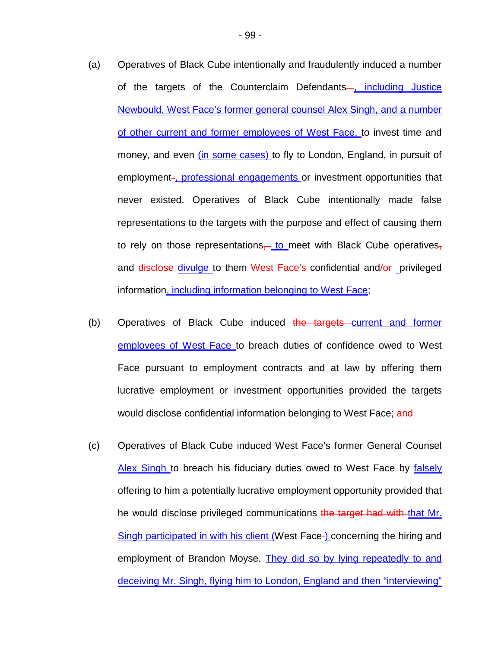- (a) Operatives of Black Cube intentionally and fraudulently induced a number of the targets of the Counterclaim Defendants-, including Justice Newbould, West Face's former general counsel Alex Singh, and a number of other current and former employees of West Face, to invest time and money, and even *(in some cases)* to fly to London, England, in pursuit of employment-, professional engagements or investment opportunities that never existed. Operatives of Black Cube intentionally made false representations to the targets with the purpose and effect of causing them to rely on those representations $\frac{1}{x}$  to meet with Black Cube operatives, and disclose divulge to them West Face's confidential and/or privileged information, including information belonging to West Face;
- (b) Operatives of Black Cube induced the targets current and former employees of West Face to breach duties of confidence owed to West Face pursuant to employment contracts and at law by offering them lucrative employment or investment opportunities provided the targets would disclose confidential information belonging to West Face; and
- (c) Operatives of Black Cube induced West Face's former General Counsel Alex Singh to breach his fiduciary duties owed to West Face by falsely offering to him a potentially lucrative employment opportunity provided that he would disclose privileged communications the target had with that Mr. Singh participated in with his client (West Face-) concerning the hiring and employment of Brandon Moyse. They did so by lying repeatedly to and deceiving Mr. Singh, flying him to London, England and then "interviewing"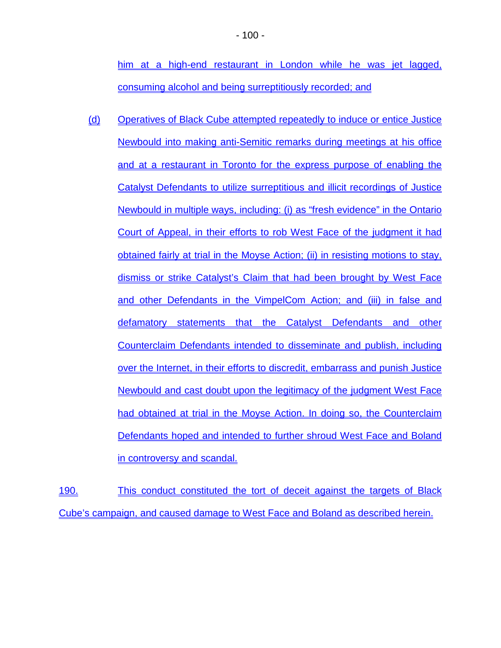him at a high-end restaurant in London while he was jet lagged, consuming alcohol and being surreptitiously recorded; and

(d) Operatives of Black Cube attempted repeatedly to induce or entice Justice Newbould into making anti-Semitic remarks during meetings at his office and at a restaurant in Toronto for the express purpose of enabling the Catalyst Defendants to utilize surreptitious and illicit recordings of Justice Newbould in multiple ways, including: (i) as "fresh evidence" in the Ontario Court of Appeal, in their efforts to rob West Face of the judgment it had obtained fairly at trial in the Moyse Action; (ii) in resisting motions to stay, dismiss or strike Catalyst's Claim that had been brought by West Face and other Defendants in the VimpelCom Action; and (iii) in false and defamatory statements that the Catalyst Defendants and other Counterclaim Defendants intended to disseminate and publish, including over the Internet, in their efforts to discredit, embarrass and punish Justice Newbould and cast doubt upon the legitimacy of the judgment West Face had obtained at trial in the Moyse Action. In doing so, the Counterclaim Defendants hoped and intended to further shroud West Face and Boland in controversy and scandal.

190. This conduct constituted the tort of deceit against the targets of Black Cube's campaign, and caused damage to West Face and Boland as described herein.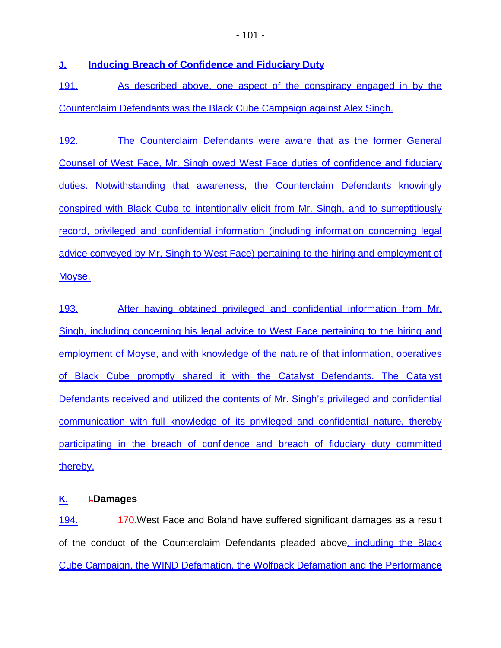**J. Inducing Breach of Confidence and Fiduciary Duty**

191. As described above, one aspect of the conspiracy engaged in by the Counterclaim Defendants was the Black Cube Campaign against Alex Singh.

192. The Counterclaim Defendants were aware that as the former General Counsel of West Face, Mr. Singh owed West Face duties of confidence and fiduciary duties. Notwithstanding that awareness, the Counterclaim Defendants knowingly conspired with Black Cube to intentionally elicit from Mr. Singh, and to surreptitiously record, privileged and confidential information (including information concerning legal advice conveyed by Mr. Singh to West Face) pertaining to the hiring and employment of Moyse.

193. After having obtained privileged and confidential information from Mr. Singh, including concerning his legal advice to West Face pertaining to the hiring and employment of Moyse, and with knowledge of the nature of that information, operatives of Black Cube promptly shared it with the Catalyst Defendants. The Catalyst Defendants received and utilized the contents of Mr. Singh's privileged and confidential communication with full knowledge of its privileged and confidential nature, thereby participating in the breach of confidence and breach of fiduciary duty committed thereby.

### **K. I.Damages**

194. **170.** 170. Heta Face and Boland have suffered significant damages as a result of the conduct of the Counterclaim Defendants pleaded above, including the Black Cube Campaign, the WIND Defamation, the Wolfpack Defamation and the Performance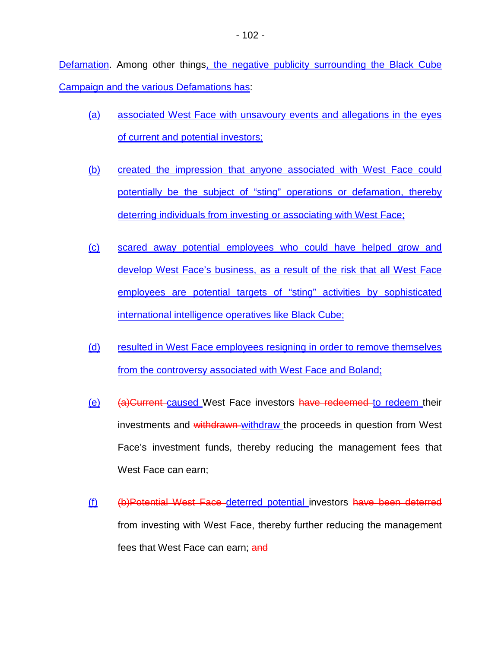Defamation. Among other things, the negative publicity surrounding the Black Cube Campaign and the various Defamations has:

- (a) associated West Face with unsavoury events and allegations in the eyes of current and potential investors;
- (b) created the impression that anyone associated with West Face could potentially be the subject of "sting" operations or defamation, thereby deterring individuals from investing or associating with West Face;
- (c) scared away potential employees who could have helped grow and develop West Face's business, as a result of the risk that all West Face employees are potential targets of "sting" activities by sophisticated international intelligence operatives like Black Cube;
- (d) resulted in West Face employees resigning in order to remove themselves from the controversy associated with West Face and Boland;
- (e) (a)Current-caused West Face investors have redeemed to redeem their investments and withdrawn-withdraw the proceeds in question from West Face's investment funds, thereby reducing the management fees that West Face can earn;
- (f) (b)Potential West Face deterred potential investors have been deterred from investing with West Face, thereby further reducing the management fees that West Face can earn; and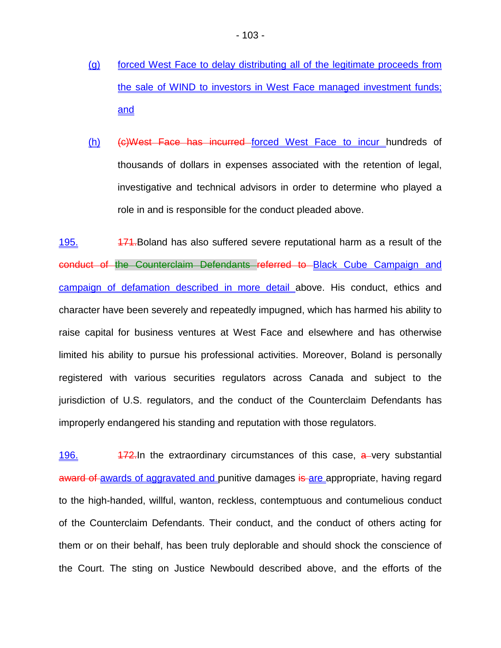- (g) forced West Face to delay distributing all of the legitimate proceeds from the sale of WIND to investors in West Face managed investment funds; and
- (h) (c)West Face has incurred forced West Face to incur hundreds of thousands of dollars in expenses associated with the retention of legal, investigative and technical advisors in order to determine who played a role in and is responsible for the conduct pleaded above.

195. **171.**Boland has also suffered severe reputational harm as a result of the conduct of the Counterclaim Defendants referred to Black Cube Campaign and campaign of defamation described in more detail above. His conduct, ethics and character have been severely and repeatedly impugned, which has harmed his ability to raise capital for business ventures at West Face and elsewhere and has otherwise limited his ability to pursue his professional activities. Moreover, Boland is personally registered with various securities regulators across Canada and subject to the jurisdiction of U.S. regulators, and the conduct of the Counterclaim Defendants has improperly endangered his standing and reputation with those regulators.

196. 196. 172. In the extraordinary circumstances of this case, a very substantial award of awards of aggravated and punitive damages is are appropriate, having regard to the high-handed, willful, wanton, reckless, contemptuous and contumelious conduct of the Counterclaim Defendants. Their conduct, and the conduct of others acting for them or on their behalf, has been truly deplorable and should shock the conscience of the Court. The sting on Justice Newbould described above, and the efforts of the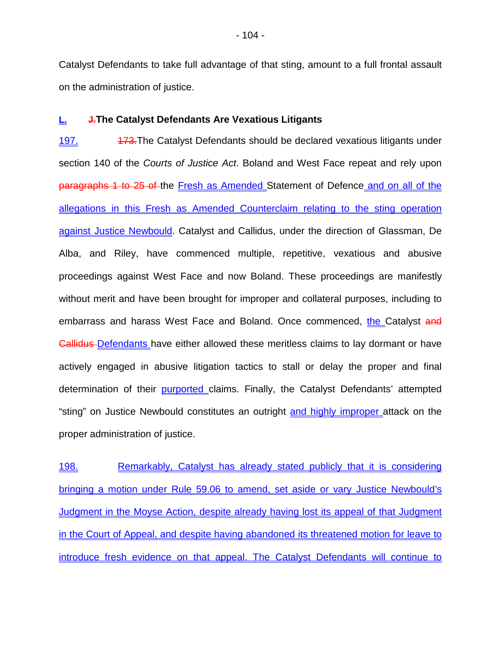Catalyst Defendants to take full advantage of that sting, amount to a full frontal assault on the administration of justice.

### **L. J.The Catalyst Defendants Are Vexatious Litigants**

197. **173.** 173. The Catalyst Defendants should be declared vexatious litigants under section 140 of the *Courts of Justice Act*. Boland and West Face repeat and rely upon paragraphs 1 to 25 of the Fresh as Amended Statement of Defence and on all of the allegations in this Fresh as Amended Counterclaim relating to the sting operation against Justice Newbould. Catalyst and Callidus, under the direction of Glassman, De Alba, and Riley, have commenced multiple, repetitive, vexatious and abusive proceedings against West Face and now Boland. These proceedings are manifestly without merit and have been brought for improper and collateral purposes, including to embarrass and harass West Face and Boland. Once commenced, the Catalyst and Callidus Defendants have either allowed these meritless claims to lay dormant or have actively engaged in abusive litigation tactics to stall or delay the proper and final determination of their purported claims. Finally, the Catalyst Defendants' attempted "sting" on Justice Newbould constitutes an outright and highly improper attack on the proper administration of justice.

198. Remarkably, Catalyst has already stated publicly that it is considering bringing a motion under Rule 59.06 to amend, set aside or vary Justice Newbould's Judgment in the Moyse Action, despite already having lost its appeal of that Judgment in the Court of Appeal, and despite having abandoned its threatened motion for leave to introduce fresh evidence on that appeal. The Catalyst Defendants will continue to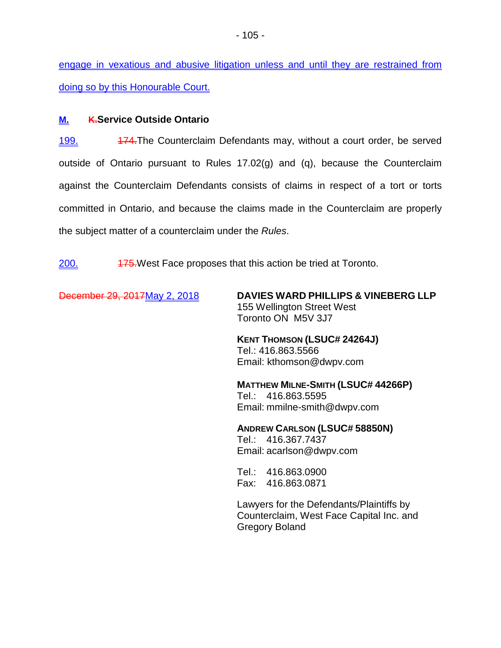engage in vexatious and abusive litigation unless and until they are restrained from doing so by this Honourable Court.

# **M. K.Service Outside Ontario**

199. **174.** The Counterclaim Defendants may, without a court order, be served outside of Ontario pursuant to Rules 17.02(g) and (q), because the Counterclaim against the Counterclaim Defendants consists of claims in respect of a tort or torts committed in Ontario, and because the claims made in the Counterclaim are properly the subject matter of a counterclaim under the *Rules*.

200. 175. West Face proposes that this action be tried at Toronto.

December 29, 2017May 2, 2018 **DAVIES WARD PHILLIPS & VINEBERG LLP** 155 Wellington Street West Toronto ON M5V 3J7

> **KENT THOMSON (LSUC# 24264J)** Tel.: 416.863.5566 Email: kthomson@dwpv.com

**MATTHEW MILNE-SMITH (LSUC# 44266P)** Tel.: 416.863.5595 Email: mmilne-smith@dwpv.com

**ANDREW CARLSON (LSUC# 58850N)** Tel.: 416.367.7437 Email: acarlson@dwpv.com

Tel.: 416.863.0900 Fax: 416.863.0871

Lawyers for the Defendants/Plaintiffs by Counterclaim, West Face Capital Inc. and Gregory Boland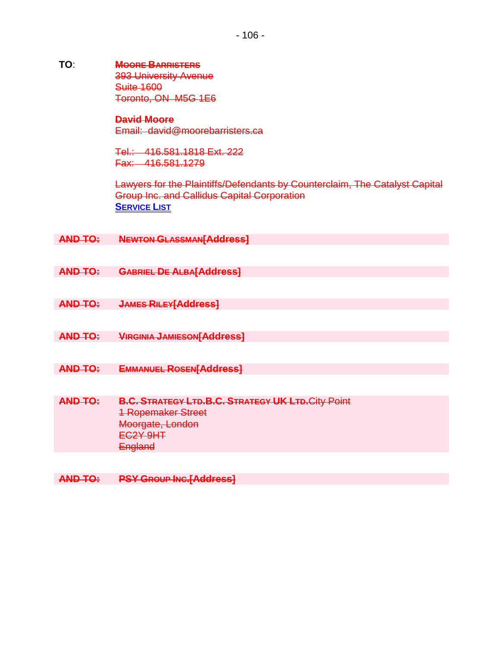| TO∶ | <b>MOORE BARRISTERS</b>      |
|-----|------------------------------|
|     | <b>393 University Avenue</b> |
|     | <b>Suite 1600</b>            |
|     | Toronto, ON M5G 1E6          |

**David Moore** Email: david@moorebarristers.ca

Tel.: 416.581.1818 Ext. 222 Fax: 416.581.1279

Lawyers for the Plaintiffs/Defendants by Counterclaim, The Catalyst Capital Group Inc. and Callidus Capital Corporation **SERVICE LIST**

| AND TO:        | <b>NEWTON GLASSMAN[Address]</b>                                                   |
|----------------|-----------------------------------------------------------------------------------|
| <b>AND TO:</b> | <b>GABRIEL DE ALBA[Address]</b>                                                   |
| <b>AND TO:</b> | <b>JAMES RILEY[Address]</b>                                                       |
| <b>AND TO:</b> | <b>VIRGINIA JAMIESON[Address]</b>                                                 |
| <b>AND TO:</b> | <b>EMMANUEL ROSEN[Address]</b>                                                    |
| <b>AND TO:</b> | <b>B.C. STRATEGY LTD.B.C. STRATEGY UK LTD. City Point</b>                         |
|                | <b>1 Ropemaker Street</b><br>Moorgate, London<br>EC <sub>2</sub> Y 9HT<br>England |
|                |                                                                                   |

**AND TO: PSY GROUP INC.[Address]**